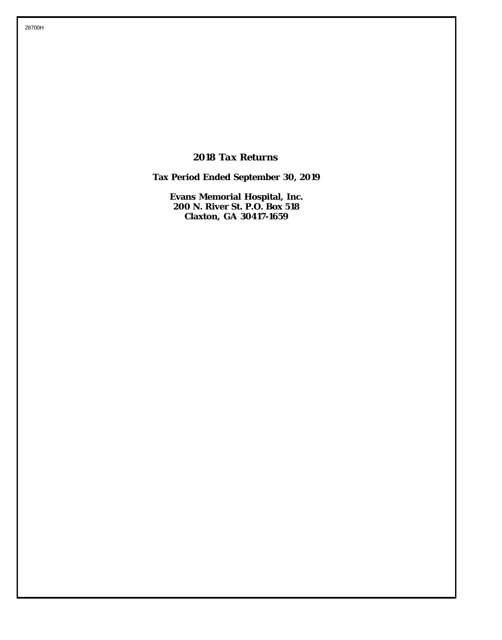*2018 Tax Returns*

**Tax Period Ended September 30, 2019**

**Evans Memorial Hospital, Inc. 200 N. River St. P.O. Box 518 Claxton, GA 30417-1659**

28700H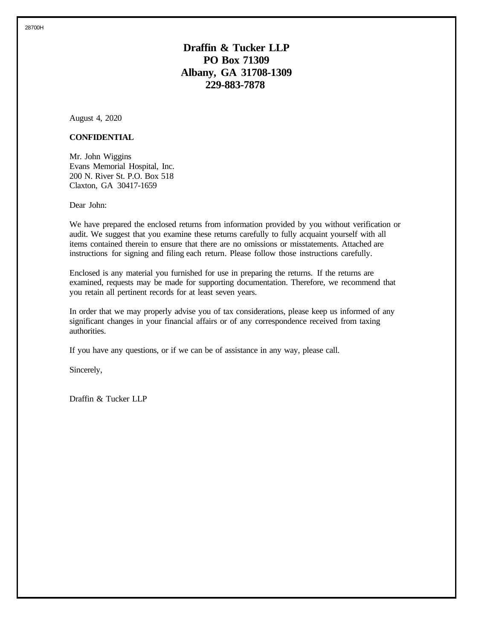28700H

## **Draffin & Tucker LLP PO Box 71309 Albany, GA 31708-1309 229-883-7878**

August 4, 2020

## **CONFIDENTIAL**

Mr. John Wiggins Evans Memorial Hospital, Inc. 200 N. River St. P.O. Box 518 Claxton, GA 30417-1659

Dear John:

We have prepared the enclosed returns from information provided by you without verification or audit. We suggest that you examine these returns carefully to fully acquaint yourself with all items contained therein to ensure that there are no omissions or misstatements. Attached are instructions for signing and filing each return. Please follow those instructions carefully.

Enclosed is any material you furnished for use in preparing the returns. If the returns are examined, requests may be made for supporting documentation. Therefore, we recommend that you retain all pertinent records for at least seven years.

In order that we may properly advise you of tax considerations, please keep us informed of any significant changes in your financial affairs or of any correspondence received from taxing authorities.

If you have any questions, or if we can be of assistance in any way, please call.

Sincerely,

Draffin & Tucker LLP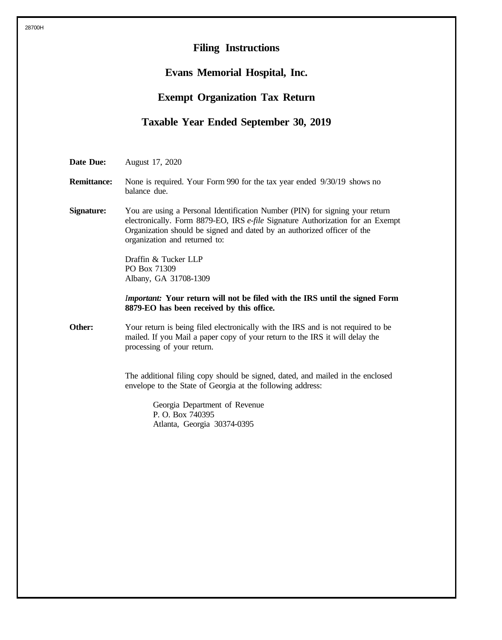# **Filing Instructions Evans Memorial Hospital, Inc. Exempt Organization Tax Return Taxable Year Ended September 30, 2019 Date Due:** August 17, 2020 **Remittance:** None is required. Your Form 990 for the tax year ended 9/30/19 shows no balance due. **Signature:** You are using a Personal Identification Number (PIN) for signing your return electronically. Form 8879-EO, IRS *e-file* Signature Authorization for an Exempt Organization should be signed and dated by an authorized officer of the organization and returned to: Draffin & Tucker LLP PO Box 71309 Albany, GA 31708-1309 *Important:* **Your return will not be filed with the IRS until the signed Form 8879-EO has been received by this office. Other:** Your return is being filed electronically with the IRS and is not required to be mailed. If you Mail a paper copy of your return to the IRS it will delay the processing of your return. The additional filing copy should be signed, dated, and mailed in the enclosed envelope to the State of Georgia at the following address: Georgia Department of Revenue P. O. Box 740395 Atlanta, Georgia 30374-0395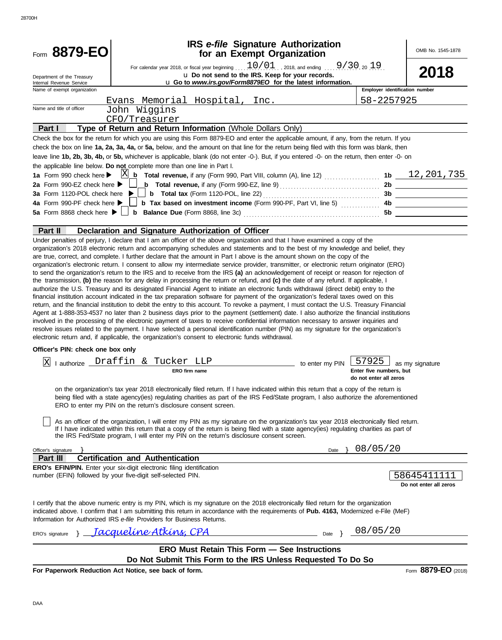| Form 8879-EO                                           |                                                                                                                                                                                                                                                                                                                                                                                                                                                                                                                                                                                                                                                                                                                                                                                                                                                                                                                                                                                                                                                                                                                                                                                                                                                                                                                                                                                         | <b>IRS</b> e-file Signature Authorization<br>for an Exempt Organization                                        |                                                   | OMB No. 1545-1878                     |
|--------------------------------------------------------|-----------------------------------------------------------------------------------------------------------------------------------------------------------------------------------------------------------------------------------------------------------------------------------------------------------------------------------------------------------------------------------------------------------------------------------------------------------------------------------------------------------------------------------------------------------------------------------------------------------------------------------------------------------------------------------------------------------------------------------------------------------------------------------------------------------------------------------------------------------------------------------------------------------------------------------------------------------------------------------------------------------------------------------------------------------------------------------------------------------------------------------------------------------------------------------------------------------------------------------------------------------------------------------------------------------------------------------------------------------------------------------------|----------------------------------------------------------------------------------------------------------------|---------------------------------------------------|---------------------------------------|
| Department of the Treasury<br>Internal Revenue Service | For calendar year 2018, or fiscal year beginning $10/01$ , 2018, and ending  9/30, 2019.                                                                                                                                                                                                                                                                                                                                                                                                                                                                                                                                                                                                                                                                                                                                                                                                                                                                                                                                                                                                                                                                                                                                                                                                                                                                                                | u Do not send to the IRS. Keep for your records.<br>u Go to www.irs.gov/Form8879EO for the latest information. |                                                   | 2018                                  |
| Name of exempt organization                            |                                                                                                                                                                                                                                                                                                                                                                                                                                                                                                                                                                                                                                                                                                                                                                                                                                                                                                                                                                                                                                                                                                                                                                                                                                                                                                                                                                                         |                                                                                                                | Employer identification number                    |                                       |
|                                                        | Evans Memorial Hospital, Inc.                                                                                                                                                                                                                                                                                                                                                                                                                                                                                                                                                                                                                                                                                                                                                                                                                                                                                                                                                                                                                                                                                                                                                                                                                                                                                                                                                           |                                                                                                                | 58-2257925                                        |                                       |
| Name and title of officer                              | John Wiggins                                                                                                                                                                                                                                                                                                                                                                                                                                                                                                                                                                                                                                                                                                                                                                                                                                                                                                                                                                                                                                                                                                                                                                                                                                                                                                                                                                            |                                                                                                                |                                                   |                                       |
|                                                        | CFO/Treasurer                                                                                                                                                                                                                                                                                                                                                                                                                                                                                                                                                                                                                                                                                                                                                                                                                                                                                                                                                                                                                                                                                                                                                                                                                                                                                                                                                                           |                                                                                                                |                                                   |                                       |
| Part I                                                 | Type of Return and Return Information (Whole Dollars Only)                                                                                                                                                                                                                                                                                                                                                                                                                                                                                                                                                                                                                                                                                                                                                                                                                                                                                                                                                                                                                                                                                                                                                                                                                                                                                                                              |                                                                                                                |                                                   |                                       |
| 2a Form 990-EZ check here $\blacktriangleright$        | Check the box for the return for which you are using this Form 8879-EO and enter the applicable amount, if any, from the return. If you<br>check the box on line 1a, 2a, 3a, 4a, or 5a, below, and the amount on that line for the return being filed with this form was blank, then<br>leave line 1b, 2b, 3b, 4b, or 5b, whichever is applicable, blank (do not enter -0-). But, if you entered -0- on the return, then enter -0- on<br>the applicable line below. Do not complete more than one line in Part I.                                                                                                                                                                                                                                                                                                                                                                                                                                                                                                                                                                                                                                                                                                                                                                                                                                                                       |                                                                                                                |                                                   |                                       |
| 4a Form 990-PF check here ▶                            | $\Box$ b Tax based on investment income (Form 990-PF, Part VI, line 5) $\Box$                                                                                                                                                                                                                                                                                                                                                                                                                                                                                                                                                                                                                                                                                                                                                                                                                                                                                                                                                                                                                                                                                                                                                                                                                                                                                                           |                                                                                                                |                                                   |                                       |
|                                                        |                                                                                                                                                                                                                                                                                                                                                                                                                                                                                                                                                                                                                                                                                                                                                                                                                                                                                                                                                                                                                                                                                                                                                                                                                                                                                                                                                                                         |                                                                                                                |                                                   |                                       |
| Part II                                                | Declaration and Signature Authorization of Officer                                                                                                                                                                                                                                                                                                                                                                                                                                                                                                                                                                                                                                                                                                                                                                                                                                                                                                                                                                                                                                                                                                                                                                                                                                                                                                                                      |                                                                                                                |                                                   |                                       |
|                                                        | organization's electronic return. I consent to allow my intermediate service provider, transmitter, or electronic return originator (ERO)<br>to send the organization's return to the IRS and to receive from the IRS (a) an acknowledgement of receipt or reason for rejection of<br>the transmission, (b) the reason for any delay in processing the return or refund, and (c) the date of any refund. If applicable, I<br>authorize the U.S. Treasury and its designated Financial Agent to initiate an electronic funds withdrawal (direct debit) entry to the<br>financial institution account indicated in the tax preparation software for payment of the organization's federal taxes owed on this<br>return, and the financial institution to debit the entry to this account. To revoke a payment, I must contact the U.S. Treasury Financial<br>Agent at 1-888-353-4537 no later than 2 business days prior to the payment (settlement) date. I also authorize the financial institutions<br>involved in the processing of the electronic payment of taxes to receive confidential information necessary to answer inquiries and<br>resolve issues related to the payment. I have selected a personal identification number (PIN) as my signature for the organization's<br>electronic return and, if applicable, the organization's consent to electronic funds withdrawal. |                                                                                                                |                                                   |                                       |
| Officer's PIN: check one box only                      |                                                                                                                                                                                                                                                                                                                                                                                                                                                                                                                                                                                                                                                                                                                                                                                                                                                                                                                                                                                                                                                                                                                                                                                                                                                                                                                                                                                         |                                                                                                                |                                                   |                                       |
|                                                        | lauthorize Draffin & Tucker LLP                                                                                                                                                                                                                                                                                                                                                                                                                                                                                                                                                                                                                                                                                                                                                                                                                                                                                                                                                                                                                                                                                                                                                                                                                                                                                                                                                         |                                                                                                                | 57925                                             |                                       |
| ΙxΙ                                                    | ERO firm name                                                                                                                                                                                                                                                                                                                                                                                                                                                                                                                                                                                                                                                                                                                                                                                                                                                                                                                                                                                                                                                                                                                                                                                                                                                                                                                                                                           | to enter my PIN                                                                                                | Enter five numbers, but<br>do not enter all zeros | as my signature                       |
|                                                        | on the organization's tax year 2018 electronically filed return. If I have indicated within this return that a copy of the return is<br>being filed with a state agency(ies) regulating charities as part of the IRS Fed/State program, I also authorize the aforementioned<br>ERO to enter my PIN on the return's disclosure consent screen.                                                                                                                                                                                                                                                                                                                                                                                                                                                                                                                                                                                                                                                                                                                                                                                                                                                                                                                                                                                                                                           |                                                                                                                |                                                   |                                       |
|                                                        | As an officer of the organization, I will enter my PIN as my signature on the organization's tax year 2018 electronically filed return.<br>If I have indicated within this return that a copy of the return is being filed with a state agency(ies) regulating charities as part of<br>the IRS Fed/State program, I will enter my PIN on the return's disclosure consent screen.                                                                                                                                                                                                                                                                                                                                                                                                                                                                                                                                                                                                                                                                                                                                                                                                                                                                                                                                                                                                        |                                                                                                                |                                                   |                                       |
| Officer's signature                                    |                                                                                                                                                                                                                                                                                                                                                                                                                                                                                                                                                                                                                                                                                                                                                                                                                                                                                                                                                                                                                                                                                                                                                                                                                                                                                                                                                                                         | Date $\}$                                                                                                      | 08/05/20                                          |                                       |
| Part III                                               | <b>Certification and Authentication</b>                                                                                                                                                                                                                                                                                                                                                                                                                                                                                                                                                                                                                                                                                                                                                                                                                                                                                                                                                                                                                                                                                                                                                                                                                                                                                                                                                 |                                                                                                                |                                                   |                                       |
|                                                        | <b>ERO's EFIN/PIN.</b> Enter your six-digit electronic filing identification<br>number (EFIN) followed by your five-digit self-selected PIN.                                                                                                                                                                                                                                                                                                                                                                                                                                                                                                                                                                                                                                                                                                                                                                                                                                                                                                                                                                                                                                                                                                                                                                                                                                            |                                                                                                                |                                                   | 58645411111<br>Do not enter all zeros |
|                                                        | I certify that the above numeric entry is my PIN, which is my signature on the 2018 electronically filed return for the organization<br>indicated above. I confirm that I am submitting this return in accordance with the requirements of Pub. 4163, Modernized e-File (MeF)<br>Information for Authorized IRS e-file Providers for Business Returns.                                                                                                                                                                                                                                                                                                                                                                                                                                                                                                                                                                                                                                                                                                                                                                                                                                                                                                                                                                                                                                  |                                                                                                                |                                                   |                                       |
| ERO's signature                                        | <u> Facqueline Atkinz, CPA</u>                                                                                                                                                                                                                                                                                                                                                                                                                                                                                                                                                                                                                                                                                                                                                                                                                                                                                                                                                                                                                                                                                                                                                                                                                                                                                                                                                          | Date } 08/05/20                                                                                                |                                                   |                                       |
|                                                        | <b>ERO Must Retain This Form - See Instructions</b>                                                                                                                                                                                                                                                                                                                                                                                                                                                                                                                                                                                                                                                                                                                                                                                                                                                                                                                                                                                                                                                                                                                                                                                                                                                                                                                                     |                                                                                                                |                                                   |                                       |
|                                                        | Do Not Submit This Form to the IRS Unless Requested To Do So                                                                                                                                                                                                                                                                                                                                                                                                                                                                                                                                                                                                                                                                                                                                                                                                                                                                                                                                                                                                                                                                                                                                                                                                                                                                                                                            |                                                                                                                |                                                   |                                       |
|                                                        | For Paperwork Reduction Act Notice, see back of form.                                                                                                                                                                                                                                                                                                                                                                                                                                                                                                                                                                                                                                                                                                                                                                                                                                                                                                                                                                                                                                                                                                                                                                                                                                                                                                                                   |                                                                                                                |                                                   | Form 8879-EO (2018)                   |

28700H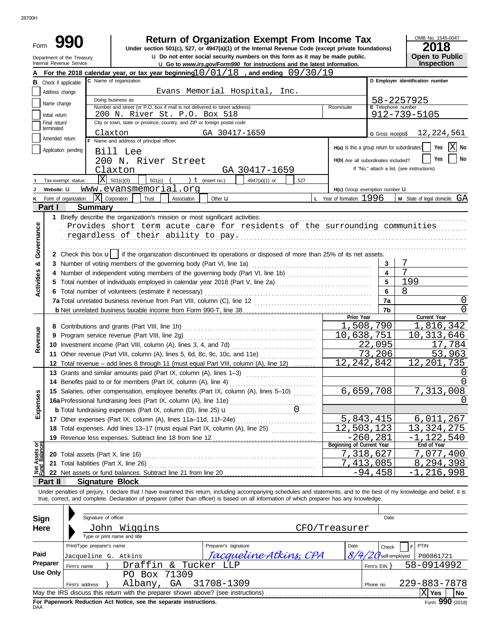| Form              | Department of the Treasury<br>Internal Revenue Service | <b>Return of Organization Exempt From Income Tax</b><br>Under section 501(c), 527, or 4947(a)(1) of the Internal Revenue Code (except private foundations)<br>u Do not enter social security numbers on this form as it may be made public.                                                                              |                                               |                         | OMB No. 1545-0047<br>2018<br>Open to Public |
|-------------------|--------------------------------------------------------|--------------------------------------------------------------------------------------------------------------------------------------------------------------------------------------------------------------------------------------------------------------------------------------------------------------------------|-----------------------------------------------|-------------------------|---------------------------------------------|
|                   |                                                        | <b>u</b> Go to www.irs.gov/Form990 for instructions and the latest information.<br>For the 2018 calendar year, or tax year beginning $10/01/18$ , and ending $09/30/19$                                                                                                                                                  |                                               |                         | Inspection                                  |
| в                 | Check if applicable:                                   | C Name of organization                                                                                                                                                                                                                                                                                                   |                                               |                         | D Employer identification number            |
|                   |                                                        | Evans Memorial Hospital, Inc.                                                                                                                                                                                                                                                                                            |                                               |                         |                                             |
|                   | Address change                                         | Doing business as                                                                                                                                                                                                                                                                                                        |                                               |                         |                                             |
|                   | Name change                                            | Number and street (or P.O. box if mail is not delivered to street address)                                                                                                                                                                                                                                               | Room/suite                                    | E Telephone number      | 58-2257925                                  |
|                   | Initial return                                         | 200 N. River St. P.O. Box 518                                                                                                                                                                                                                                                                                            |                                               |                         | 912-739-5105                                |
|                   | Final return/                                          | City or town, state or province, country, and ZIP or foreign postal code                                                                                                                                                                                                                                                 |                                               |                         |                                             |
|                   | terminated                                             | GA 30417-1659<br>Claxton                                                                                                                                                                                                                                                                                                 |                                               | G Gross receipts\$      | 12,224,561                                  |
|                   | Amended return                                         | F Name and address of principal officer:                                                                                                                                                                                                                                                                                 |                                               |                         |                                             |
|                   | Application pending                                    | Bill Lee                                                                                                                                                                                                                                                                                                                 | H(a) Is this a group return for subordinates? |                         | ΧI<br>Yes<br>No                             |
|                   |                                                        | 200 N. River Street                                                                                                                                                                                                                                                                                                      | H(b) Are all subordinates included?           |                         | No<br>Yes                                   |
|                   |                                                        | Claxton<br>GA 30417-1659                                                                                                                                                                                                                                                                                                 |                                               |                         | If "No," attach a list. (see instructions)  |
|                   | X<br>Tax-exempt status:                                | 501(c)(3)<br>) $t$ (insert no.)<br>$501(c)$ (<br>4947(a)(1) or<br>527                                                                                                                                                                                                                                                    |                                               |                         |                                             |
|                   | Website: U                                             | www.evansmemorial.org                                                                                                                                                                                                                                                                                                    | H(c) Group exemption number LI                |                         |                                             |
| κ                 | Form of organization:                                  | $\vert X \vert$ Corporation<br>Trust<br>Association<br>Other <b>u</b>                                                                                                                                                                                                                                                    | L Year of formation: 1996                     |                         | <b>M</b> State of legal domicile: $GA$      |
|                   | Part I<br><b>Summary</b>                               |                                                                                                                                                                                                                                                                                                                          |                                               |                         |                                             |
|                   |                                                        | 1 Briefly describe the organization's mission or most significant activities:                                                                                                                                                                                                                                            |                                               |                         |                                             |
|                   |                                                        | Provides short term acute care for residents of the surrounding communities                                                                                                                                                                                                                                              |                                               |                         |                                             |
| Governance        |                                                        | regardless of their ability to pay.                                                                                                                                                                                                                                                                                      |                                               |                         |                                             |
|                   |                                                        | 2 Check this box $\mathbf{u}$ if the organization discontinued its operations or disposed of more than 25% of its net assets.                                                                                                                                                                                            |                                               |                         |                                             |
| ઌ                 |                                                        | 3 Number of voting members of the governing body (Part VI, line 1a)                                                                                                                                                                                                                                                      |                                               | 3                       | 7                                           |
|                   |                                                        |                                                                                                                                                                                                                                                                                                                          |                                               | $\overline{\mathbf{4}}$ | 7                                           |
| <b>Activities</b> |                                                        |                                                                                                                                                                                                                                                                                                                          |                                               | 5                       | 199                                         |
|                   |                                                        | 6 Total number of volunteers (estimate if necessary)                                                                                                                                                                                                                                                                     |                                               | 6                       | 8                                           |
|                   |                                                        |                                                                                                                                                                                                                                                                                                                          |                                               | 7a                      |                                             |
|                   |                                                        |                                                                                                                                                                                                                                                                                                                          |                                               |                         | 0<br>0                                      |
|                   |                                                        |                                                                                                                                                                                                                                                                                                                          | Prior Year                                    | 7b                      | Current Year                                |
|                   |                                                        | 8 Contributions and grants (Part VIII, line 1h)                                                                                                                                                                                                                                                                          |                                               | 1,508,790               | 1,816,342                                   |
|                   |                                                        | 9 Program service revenue (Part VIII, line 2g)                                                                                                                                                                                                                                                                           | 10,638,751                                    |                         | 10, 313, 646                                |
| Revenue           |                                                        |                                                                                                                                                                                                                                                                                                                          |                                               | 22,095                  | 17,784                                      |
|                   |                                                        | 11 Other revenue (Part VIII, column (A), lines 5, 6d, 8c, 9c, 10c, and 11e)                                                                                                                                                                                                                                              |                                               | 73,206                  | 53,963                                      |
|                   |                                                        |                                                                                                                                                                                                                                                                                                                          | 12, 242, 842                                  |                         | 12, 201, 735                                |
|                   |                                                        | 12 Total revenue - add lines 8 through 11 (must equal Part VIII, column (A), line 12)                                                                                                                                                                                                                                    |                                               |                         |                                             |
|                   |                                                        | 13 Grants and similar amounts paid (Part IX, column (A), lines 1-3)                                                                                                                                                                                                                                                      |                                               |                         | 0                                           |
|                   |                                                        | 14 Benefits paid to or for members (Part IX, column (A), line 4)                                                                                                                                                                                                                                                         |                                               |                         |                                             |
| Expenses          |                                                        | 15 Salaries, other compensation, employee benefits (Part IX, column (A), lines 5-10)                                                                                                                                                                                                                                     |                                               | 6,659,708               | 7,313,008                                   |
|                   |                                                        |                                                                                                                                                                                                                                                                                                                          |                                               |                         | $\Omega$                                    |
|                   |                                                        | <b>b</b> Total fundraising expenses (Part IX, column (D), line 25) <b>u</b>                                                                                                                                                                                                                                              |                                               |                         |                                             |
|                   |                                                        | 17 Other expenses (Part IX, column (A), lines 11a-11d, 11f-24e)                                                                                                                                                                                                                                                          |                                               | 5,843,415               | 6,011,267                                   |
|                   |                                                        | 18 Total expenses. Add lines 13-17 (must equal Part IX, column (A), line 25)                                                                                                                                                                                                                                             | 12,503,123                                    |                         | 13, 324, 275                                |
|                   |                                                        |                                                                                                                                                                                                                                                                                                                          |                                               | $-260, 281$             | $-122,540$                                  |
|                   |                                                        |                                                                                                                                                                                                                                                                                                                          | Beginning of Current Year                     |                         | End of Year                                 |
| Assets or         |                                                        |                                                                                                                                                                                                                                                                                                                          | 7,318,627                                     |                         | 7,077,400                                   |
|                   | 21 Total liabilities (Part X, line 26)                 |                                                                                                                                                                                                                                                                                                                          |                                               | 7,413,085               | 8,294,398                                   |
|                   |                                                        |                                                                                                                                                                                                                                                                                                                          |                                               | $-94,458$               | $-1, 216, 998$                              |
|                   | Part II                                                | <b>Signature Block</b>                                                                                                                                                                                                                                                                                                   |                                               |                         |                                             |
|                   |                                                        | Under penalties of perjury, I declare that I have examined this return, including accompanying schedules and statements, and to the best of my knowledge and belief, it is<br>true, correct, and complete. Declaration of preparer (other than officer) is based on all information of which preparer has any knowledge. |                                               |                         |                                             |
|                   |                                                        |                                                                                                                                                                                                                                                                                                                          |                                               |                         |                                             |
| <b>Sign</b>       | Signature of officer                                   |                                                                                                                                                                                                                                                                                                                          |                                               | Date                    |                                             |
| <b>Here</b>       |                                                        | John Wiggins                                                                                                                                                                                                                                                                                                             | CFO/Treasurer                                 |                         |                                             |
|                   |                                                        | Type or print name and title                                                                                                                                                                                                                                                                                             |                                               |                         |                                             |
|                   | Print/Type preparer's name                             | Preparer's signature                                                                                                                                                                                                                                                                                                     | Date                                          | Check                   | <b>PTIN</b>                                 |
| Paid              | Jacqueline G. Atkins                                   | Jacquelíne Atkíns, CPA                                                                                                                                                                                                                                                                                                   | 8/4                                           | $20$ self-employed      | P00861721                                   |
|                   | Preparer<br>Firm's name                                | Draffin & Tucker LLP<br>λ.                                                                                                                                                                                                                                                                                               |                                               | Firm's EIN }            | 58-0914992                                  |
|                   | <b>Use Only</b>                                        | PO Box 71309                                                                                                                                                                                                                                                                                                             |                                               |                         |                                             |
|                   | Firm's address                                         | GA<br>31708-1309<br>Albany,                                                                                                                                                                                                                                                                                              |                                               | Phone no.               | 229-883-7878                                |
|                   |                                                        |                                                                                                                                                                                                                                                                                                                          |                                               |                         | $ X $ Yes<br>No                             |

| For Paperwork Reduction Act Notice, see the separate instructions.<br>DAA |  |
|---------------------------------------------------------------------------|--|
|---------------------------------------------------------------------------|--|

Form **990** (2018)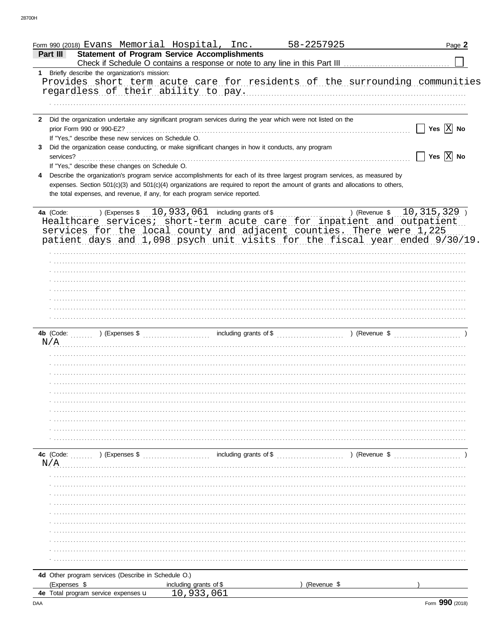| Form 990 (2018) Evans Memorial Hospital, Inc.<br><b>Statement of Program Service Accomplishments</b><br>Part III                                                                                                                             |                               | Page 2                             |
|----------------------------------------------------------------------------------------------------------------------------------------------------------------------------------------------------------------------------------------------|-------------------------------|------------------------------------|
|                                                                                                                                                                                                                                              |                               |                                    |
| 1 Briefly describe the organization's mission:                                                                                                                                                                                               |                               |                                    |
| Provides short term acute care for residents of the surrounding communities<br>regardless of their ability to pay.                                                                                                                           |                               |                                    |
|                                                                                                                                                                                                                                              |                               |                                    |
| 2 Did the organization undertake any significant program services during the year which were not listed on the<br>prior Form 990 or 990-EZ?<br>If "Yes," describe these new services on Schedule O.                                          |                               | Yes $ X $ No                       |
| Did the organization cease conducting, or make significant changes in how it conducts, any program<br>3.<br>services?                                                                                                                        |                               | $\Box$ Yes $\boxed{\mathrm{X}}$ No |
| If "Yes," describe these changes on Schedule O.<br>Describe the organization's program service accomplishments for each of its three largest program services, as measured by                                                                |                               |                                    |
| expenses. Section 501(c)(3) and 501(c)(4) organizations are required to report the amount of grants and allocations to others,<br>the total expenses, and revenue, if any, for each program service reported.                                |                               |                                    |
| 4a (Code:<br>Healthcare services; short-term acute care for inpatient and outpatient<br>services for the local county and adjacent counties. There were 1,225<br>patient days and 1,098 psych unit visits for the fiscal year ended 9/30/19. | ) (Revenue $$ 10, 315, 329$ ) |                                    |
|                                                                                                                                                                                                                                              |                               |                                    |
|                                                                                                                                                                                                                                              |                               |                                    |
|                                                                                                                                                                                                                                              |                               |                                    |
|                                                                                                                                                                                                                                              |                               |                                    |
|                                                                                                                                                                                                                                              |                               |                                    |
| N/A                                                                                                                                                                                                                                          |                               |                                    |
|                                                                                                                                                                                                                                              |                               |                                    |
|                                                                                                                                                                                                                                              |                               |                                    |
|                                                                                                                                                                                                                                              |                               |                                    |
|                                                                                                                                                                                                                                              |                               |                                    |
|                                                                                                                                                                                                                                              |                               |                                    |
|                                                                                                                                                                                                                                              |                               |                                    |
|                                                                                                                                                                                                                                              |                               |                                    |
|                                                                                                                                                                                                                                              |                               |                                    |
| including grants of \$<br>4c (Code:<br>$\sim$ (Expenses \$<br>N/A                                                                                                                                                                            | ) (Revenue \$                 |                                    |
|                                                                                                                                                                                                                                              |                               |                                    |
|                                                                                                                                                                                                                                              |                               |                                    |
|                                                                                                                                                                                                                                              |                               |                                    |
|                                                                                                                                                                                                                                              |                               |                                    |
|                                                                                                                                                                                                                                              |                               |                                    |
|                                                                                                                                                                                                                                              |                               |                                    |
|                                                                                                                                                                                                                                              |                               |                                    |
|                                                                                                                                                                                                                                              |                               |                                    |
| 4d Other program services (Describe in Schedule O.)                                                                                                                                                                                          |                               |                                    |
| (Expenses \$<br>including grants of \$                                                                                                                                                                                                       | (Revenue \$                   |                                    |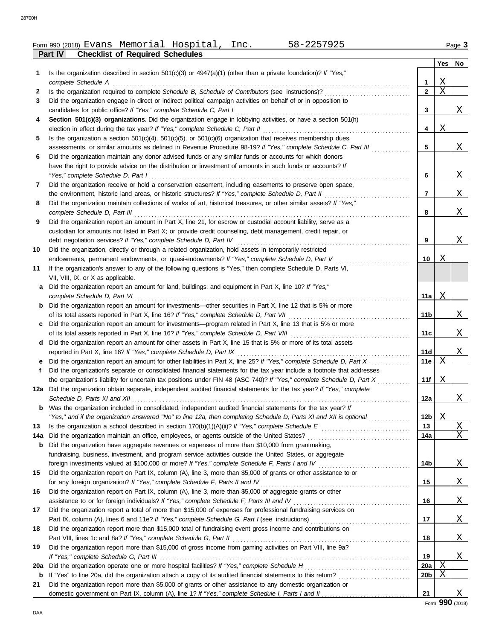|     |                                                                                                                                                                                              |                 | Yes         | No |
|-----|----------------------------------------------------------------------------------------------------------------------------------------------------------------------------------------------|-----------------|-------------|----|
| 1   | Is the organization described in section $501(c)(3)$ or $4947(a)(1)$ (other than a private foundation)? If "Yes,"                                                                            |                 |             |    |
|     | complete Schedule A                                                                                                                                                                          | 1               | Χ           |    |
| 2   | Is the organization required to complete Schedule B, Schedule of Contributors (see instructions)?                                                                                            | $\mathbf{2}$    | $\mathbf X$ |    |
| 3   | Did the organization engage in direct or indirect political campaign activities on behalf of or in opposition to                                                                             |                 |             |    |
|     | candidates for public office? If "Yes," complete Schedule C, Part I                                                                                                                          | 3               |             | X  |
| 4   | Section 501(c)(3) organizations. Did the organization engage in lobbying activities, or have a section 501(h)                                                                                |                 |             |    |
|     | election in effect during the tax year? If "Yes," complete Schedule C, Part II                                                                                                               | 4               | Χ           |    |
| 5   | Is the organization a section $501(c)(4)$ , $501(c)(5)$ , or $501(c)(6)$ organization that receives membership dues,                                                                         |                 |             |    |
|     | assessments, or similar amounts as defined in Revenue Procedure 98-19? If "Yes," complete Schedule C, Part III                                                                               | 5               |             | X  |
| 6   | Did the organization maintain any donor advised funds or any similar funds or accounts for which donors                                                                                      |                 |             |    |
|     | have the right to provide advice on the distribution or investment of amounts in such funds or accounts? If                                                                                  |                 |             |    |
|     | "Yes," complete Schedule D, Part I                                                                                                                                                           | 6               |             | X  |
| 7   | Did the organization receive or hold a conservation easement, including easements to preserve open space,                                                                                    |                 |             |    |
|     | the environment, historic land areas, or historic structures? If "Yes," complete Schedule D, Part II                                                                                         | 7               |             | X  |
| 8   | Did the organization maintain collections of works of art, historical treasures, or other similar assets? If "Yes,"                                                                          |                 |             |    |
|     | complete Schedule D, Part III                                                                                                                                                                | 8               |             | Χ  |
| 9   | Did the organization report an amount in Part X, line 21, for escrow or custodial account liability, serve as a                                                                              |                 |             |    |
|     | custodian for amounts not listed in Part X; or provide credit counseling, debt management, credit repair, or                                                                                 |                 |             |    |
|     | debt negotiation services? If "Yes," complete Schedule D, Part IV                                                                                                                            | 9               |             | Χ  |
| 10  | Did the organization, directly or through a related organization, hold assets in temporarily restricted                                                                                      |                 |             |    |
|     | endowments, permanent endowments, or quasi-endowments? If "Yes," complete Schedule D, Part V                                                                                                 | 10              | Χ           |    |
| 11  | If the organization's answer to any of the following questions is "Yes," then complete Schedule D, Parts VI,                                                                                 |                 |             |    |
|     | VII, VIII, IX, or X as applicable.                                                                                                                                                           |                 |             |    |
| a   | Did the organization report an amount for land, buildings, and equipment in Part X, line 10? If "Yes,"                                                                                       |                 |             |    |
|     | complete Schedule D, Part VI                                                                                                                                                                 | 11a             | Χ           |    |
| b   | Did the organization report an amount for investments—other securities in Part X, line 12 that is 5% or more                                                                                 |                 |             |    |
|     | of its total assets reported in Part X, line 16? If "Yes," complete Schedule D, Part VII                                                                                                     | 11b             |             | Χ  |
| C   | Did the organization report an amount for investments—program related in Part X, line 13 that is 5% or more                                                                                  |                 |             |    |
|     |                                                                                                                                                                                              | 11c             |             | Χ  |
| d   | Did the organization report an amount for other assets in Part X, line 15 that is 5% or more of its total assets                                                                             |                 |             | X  |
|     | reported in Part X, line 16? If "Yes," complete Schedule D, Part IX<br>Did the organization report an amount for other liabilities in Part X, line 25? If "Yes," complete Schedule D, Part X | 11d<br>11e      | X           |    |
| f   | Did the organization's separate or consolidated financial statements for the tax year include a footnote that addresses                                                                      |                 |             |    |
|     | the organization's liability for uncertain tax positions under FIN 48 (ASC 740)? If "Yes," complete Schedule D, Part X                                                                       | 11f             | Χ           |    |
|     | 12a Did the organization obtain separate, independent audited financial statements for the tax year? If "Yes," complete                                                                      |                 |             |    |
|     |                                                                                                                                                                                              | 12a             |             | Χ  |
|     | Was the organization included in consolidated, independent audited financial statements for the tax year? If                                                                                 |                 |             |    |
|     | "Yes," and if the organization answered "No" to line 12a, then completing Schedule D, Parts XI and XII is optional                                                                           | 12b             | Χ           |    |
| 13  |                                                                                                                                                                                              | 13              |             | X  |
| 14a |                                                                                                                                                                                              | 14a             |             | X  |
| b   | Did the organization have aggregate revenues or expenses of more than \$10,000 from grantmaking,                                                                                             |                 |             |    |
|     | fundraising, business, investment, and program service activities outside the United States, or aggregate                                                                                    |                 |             |    |
|     |                                                                                                                                                                                              | 14b             |             | Χ  |
| 15  | Did the organization report on Part IX, column (A), line 3, more than \$5,000 of grants or other assistance to or                                                                            |                 |             |    |
|     |                                                                                                                                                                                              | 15              |             | Χ  |
| 16  | Did the organization report on Part IX, column (A), line 3, more than \$5,000 of aggregate grants or other                                                                                   |                 |             |    |
|     |                                                                                                                                                                                              | 16              |             | Χ  |
| 17  | Did the organization report a total of more than \$15,000 of expenses for professional fundraising services on                                                                               |                 |             |    |
|     |                                                                                                                                                                                              | 17              |             | X  |
| 18  | Did the organization report more than \$15,000 total of fundraising event gross income and contributions on                                                                                  |                 |             |    |
|     |                                                                                                                                                                                              | 18              |             | Χ  |
| 19  | Did the organization report more than \$15,000 of gross income from gaming activities on Part VIII, line 9a?                                                                                 |                 |             |    |
|     |                                                                                                                                                                                              | 19              |             | Χ  |
| 20a |                                                                                                                                                                                              | 20a             | Χ           |    |
| b   | If "Yes" to line 20a, did the organization attach a copy of its audited financial statements to this return?                                                                                 | 20 <sub>b</sub> | Χ           |    |
| 21  | Did the organization report more than \$5,000 of grants or other assistance to any domestic organization or                                                                                  |                 |             |    |
|     |                                                                                                                                                                                              | 21              |             | X  |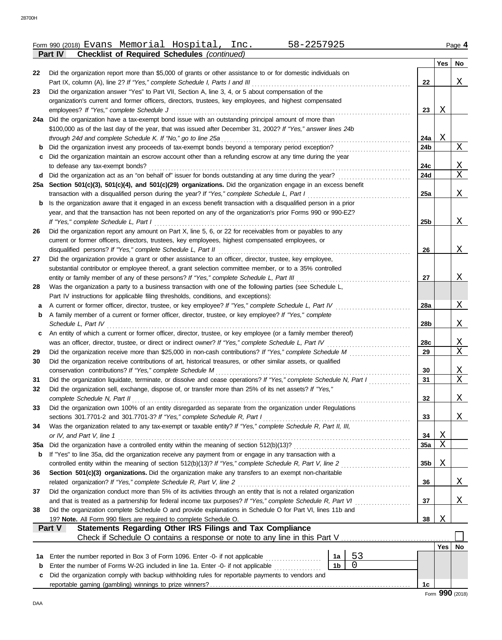|     | <b>Checklist of Required Schedules (continued)</b><br><b>Part IV</b>                                               |                 |            |    |
|-----|--------------------------------------------------------------------------------------------------------------------|-----------------|------------|----|
|     |                                                                                                                    |                 | Yes        | No |
| 22  | Did the organization report more than \$5,000 of grants or other assistance to or for domestic individuals on      |                 |            |    |
|     | Part IX, column (A), line 2? If "Yes," complete Schedule I, Parts I and III                                        | 22              |            | X  |
| 23  | Did the organization answer "Yes" to Part VII, Section A, line 3, 4, or 5 about compensation of the                |                 |            |    |
|     | organization's current and former officers, directors, trustees, key employees, and highest compensated            |                 |            |    |
|     | employees? If "Yes," complete Schedule J                                                                           | 23              | Χ          |    |
| 24a | Did the organization have a tax-exempt bond issue with an outstanding principal amount of more than                |                 |            |    |
|     | \$100,000 as of the last day of the year, that was issued after December 31, 2002? If "Yes," answer lines 24b      |                 |            |    |
|     | through 24d and complete Schedule K. If "No," go to line 25a                                                       | 24a             | X          |    |
| b   | Did the organization invest any proceeds of tax-exempt bonds beyond a temporary period exception?                  | 24b             |            | Χ  |
|     | Did the organization maintain an escrow account other than a refunding escrow at any time during the year          |                 |            |    |
|     | to defease any tax-exempt bonds?                                                                                   | 24c             |            | Χ  |
| d   | Did the organization act as an "on behalf of" issuer for bonds outstanding at any time during the year?            | 24d             |            | Χ  |
|     | 25a Section 501(c)(3), 501(c)(4), and 501(c)(29) organizations. Did the organization engage in an excess benefit   |                 |            |    |
|     | transaction with a disqualified person during the year? If "Yes," complete Schedule L, Part I                      | 25a             |            | Χ  |
| b   | Is the organization aware that it engaged in an excess benefit transaction with a disqualified person in a prior   |                 |            |    |
|     | year, and that the transaction has not been reported on any of the organization's prior Forms 990 or 990-EZ?       |                 |            |    |
|     | If "Yes," complete Schedule L, Part I                                                                              | 25 <sub>b</sub> |            | X  |
| 26  | Did the organization report any amount on Part X, line 5, 6, or 22 for receivables from or payables to any         |                 |            |    |
|     | current or former officers, directors, trustees, key employees, highest compensated employees, or                  |                 |            |    |
|     | disqualified persons? If "Yes," complete Schedule L, Part II                                                       | 26              |            | X  |
| 27  | Did the organization provide a grant or other assistance to an officer, director, trustee, key employee,           |                 |            |    |
|     | substantial contributor or employee thereof, a grant selection committee member, or to a 35% controlled            |                 |            |    |
|     | entity or family member of any of these persons? If "Yes," complete Schedule L, Part III                           | 27              |            | X  |
| 28  | Was the organization a party to a business transaction with one of the following parties (see Schedule L,          |                 |            |    |
|     | Part IV instructions for applicable filing thresholds, conditions, and exceptions):                                |                 |            |    |
| a   | A current or former officer, director, trustee, or key employee? If "Yes," complete Schedule L, Part IV            | <b>28a</b>      |            | Χ  |
| b   | A family member of a current or former officer, director, trustee, or key employee? If "Yes," complete             |                 |            |    |
|     | Schedule L, Part IV                                                                                                | 28b             |            | X  |
| c   | An entity of which a current or former officer, director, trustee, or key employee (or a family member thereof)    |                 |            |    |
|     | was an officer, director, trustee, or direct or indirect owner? If "Yes," complete Schedule L, Part IV             | 28c             |            | Χ  |
| 29  | Did the organization receive more than \$25,000 in non-cash contributions? If "Yes," complete Schedule M           | 29              |            | X  |
| 30  | Did the organization receive contributions of art, historical treasures, or other similar assets, or qualified     |                 |            |    |
|     | conservation contributions? If "Yes," complete Schedule M                                                          | 30              |            | Χ  |
| 31  | Did the organization liquidate, terminate, or dissolve and cease operations? If "Yes," complete Schedule N, Part I | 31              |            | Χ  |
| 32  | Did the organization sell, exchange, dispose of, or transfer more than 25% of its net assets? If "Yes,"            |                 |            |    |
|     | complete Schedule N, Part II                                                                                       | 32              |            | X  |
| 33  | Did the organization own 100% of an entity disregarded as separate from the organization under Regulations         |                 |            |    |
|     | sections 301.7701-2 and 301.7701-3? If "Yes," complete Schedule R, Part I                                          | 33              |            | Χ  |
| 34  | Was the organization related to any tax-exempt or taxable entity? If "Yes," complete Schedule R, Part II, III,     |                 |            |    |
|     | or IV, and Part V, line 1                                                                                          | 34              | Χ          |    |
| 35a |                                                                                                                    | 35a             | Χ          |    |
| b   | If "Yes" to line 35a, did the organization receive any payment from or engage in any transaction with a            |                 |            |    |
|     | controlled entity within the meaning of section 512(b)(13)? If "Yes," complete Schedule R, Part V, line 2          | 35 <sub>b</sub> | Χ          |    |
| 36  | Section 501(c)(3) organizations. Did the organization make any transfers to an exempt non-charitable               |                 |            |    |
|     | related organization? If "Yes," complete Schedule R, Part V, line 2                                                | 36              |            | X  |
| 37  | Did the organization conduct more than 5% of its activities through an entity that is not a related organization   |                 |            |    |
|     | and that is treated as a partnership for federal income tax purposes? If "Yes," complete Schedule R, Part VI       | 37              |            | Χ  |
| 38  | Did the organization complete Schedule O and provide explanations in Schedule O for Part VI, lines 11b and         |                 |            |    |
|     | 19? Note. All Form 990 filers are required to complete Schedule O.                                                 | 38              | Χ          |    |
|     | Statements Regarding Other IRS Filings and Tax Compliance<br>Part V                                                |                 |            |    |
|     | Check if Schedule O contains a response or note to any line in this Part V                                         |                 |            |    |
|     |                                                                                                                    |                 | $Yes \mid$ | No |
| 1a  | 53<br>Enter the number reported in Box 3 of Form 1096. Enter -0- if not applicable<br>1a                           |                 |            |    |
| b   | 0<br>1 <sub>b</sub><br>Enter the number of Forms W-2G included in line 1a. Enter -0- if not applicable             |                 |            |    |
| c   | Did the organization comply with backup withholding rules for reportable payments to vendors and                   |                 |            |    |
|     |                                                                                                                    | 1c              |            |    |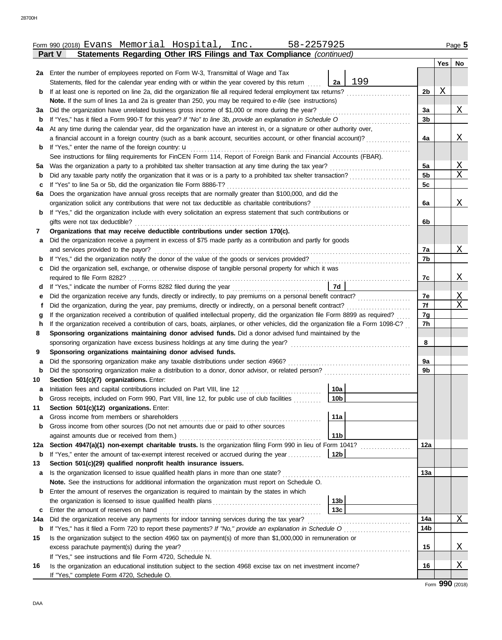|          | Part V<br>Statements Regarding Other IRS Filings and Tax Compliance (continued)                                                                                                                                 |                        |     |                |     |              |
|----------|-----------------------------------------------------------------------------------------------------------------------------------------------------------------------------------------------------------------|------------------------|-----|----------------|-----|--------------|
|          |                                                                                                                                                                                                                 |                        |     |                | Yes | No           |
|          | 2a Enter the number of employees reported on Form W-3, Transmittal of Wage and Tax                                                                                                                              | 2a                     | 199 |                |     |              |
|          | Statements, filed for the calendar year ending with or within the year covered by this return<br>If at least one is reported on line 2a, did the organization file all required federal employment tax returns? |                        |     | 2 <sub>b</sub> | Χ   |              |
| b        | Note. If the sum of lines 1a and 2a is greater than 250, you may be required to e-file (see instructions)                                                                                                       |                        |     |                |     |              |
| За       | Did the organization have unrelated business gross income of \$1,000 or more during the year?                                                                                                                   |                        |     | 3a             |     | <u>X</u>     |
| b        | If "Yes," has it filed a Form 990-T for this year? If "No" to line 3b, provide an explanation in Schedule O                                                                                                     |                        |     | 3b             |     |              |
| 4a       | At any time during the calendar year, did the organization have an interest in, or a signature or other authority over,                                                                                         |                        |     |                |     |              |
|          | a financial account in a foreign country (such as a bank account, securities account, or other financial account)?                                                                                              |                        |     | 4a             |     | $\mathbf{X}$ |
| b        | If "Yes," enter the name of the foreign country: <b>u</b>                                                                                                                                                       |                        |     |                |     |              |
|          | See instructions for filing requirements for FinCEN Form 114, Report of Foreign Bank and Financial Accounts (FBAR).                                                                                             |                        |     |                |     |              |
| 5a       | Was the organization a party to a prohibited tax shelter transaction at any time during the tax year?                                                                                                           |                        |     | 5a             |     | $\mathbf{X}$ |
| b        | Did any taxable party notify the organization that it was or is a party to a prohibited tax shelter transaction?                                                                                                |                        |     | 5b             |     | Χ            |
| c        | If "Yes" to line 5a or 5b, did the organization file Form 8886-T?                                                                                                                                               |                        |     | 5c             |     |              |
| 6a       | Does the organization have annual gross receipts that are normally greater than \$100,000, and did the                                                                                                          |                        |     |                |     |              |
|          | organization solicit any contributions that were not tax deductible as charitable contributions?                                                                                                                |                        |     | 6a             |     | $\mathbf{X}$ |
| b        | If "Yes," did the organization include with every solicitation an express statement that such contributions or                                                                                                  |                        |     |                |     |              |
|          | gifts were not tax deductible?                                                                                                                                                                                  |                        |     | 6b             |     |              |
| 7        | Organizations that may receive deductible contributions under section 170(c).                                                                                                                                   |                        |     |                |     |              |
| а        | Did the organization receive a payment in excess of \$75 made partly as a contribution and partly for goods                                                                                                     |                        |     |                |     |              |
|          | and services provided to the payor?                                                                                                                                                                             |                        |     | 7а             |     | $\mathbf{X}$ |
| b        |                                                                                                                                                                                                                 |                        |     | 7b             |     |              |
| с        | Did the organization sell, exchange, or otherwise dispose of tangible personal property for which it was                                                                                                        |                        |     |                |     |              |
|          | required to file Form 8282?                                                                                                                                                                                     |                        |     | 7c             |     | <u>X</u>     |
| d        | If "Yes," indicate the number of Forms 8282 filed during the year                                                                                                                                               | 7d                     |     |                |     |              |
| е        |                                                                                                                                                                                                                 |                        |     | 7e             |     | $\mathbf{X}$ |
| t        | Did the organization, during the year, pay premiums, directly or indirectly, on a personal benefit contract?                                                                                                    |                        |     | 7f             |     | Χ            |
| g        | If the organization received a contribution of qualified intellectual property, did the organization file Form 8899 as required?                                                                                |                        |     | 7g<br>7h       |     |              |
| h        | If the organization received a contribution of cars, boats, airplanes, or other vehicles, did the organization file a Form 1098-C?                                                                              |                        |     |                |     |              |
| 8        | Sponsoring organizations maintaining donor advised funds. Did a donor advised fund maintained by the                                                                                                            |                        |     | 8              |     |              |
| 9        | Sponsoring organizations maintaining donor advised funds.                                                                                                                                                       |                        |     |                |     |              |
| а        | Did the sponsoring organization make any taxable distributions under section 4966?                                                                                                                              |                        |     | 9a             |     |              |
| b        |                                                                                                                                                                                                                 |                        |     | 9b             |     |              |
| 10       | Section 501(c)(7) organizations. Enter:                                                                                                                                                                         |                        |     |                |     |              |
| а        |                                                                                                                                                                                                                 | 10a                    |     |                |     |              |
|          | Gross receipts, included on Form 990, Part VIII, line 12, for public use of club facilities                                                                                                                     | 10 <sub>b</sub>        |     |                |     |              |
| 11       | Section 501(c)(12) organizations. Enter:                                                                                                                                                                        |                        |     |                |     |              |
| a        | Gross income from members or shareholders                                                                                                                                                                       | 11a                    |     |                |     |              |
| b        | Gross income from other sources (Do not net amounts due or paid to other sources                                                                                                                                |                        |     |                |     |              |
|          | against amounts due or received from them.)                                                                                                                                                                     | 11 <sub>b</sub>        |     |                |     |              |
| 12a      | Section 4947(a)(1) non-exempt charitable trusts. Is the organization filing Form 990 in lieu of Form 1041?                                                                                                      |                        |     | 12a            |     |              |
| b        | If "Yes," enter the amount of tax-exempt interest received or accrued during the year                                                                                                                           | 12b                    |     |                |     |              |
| 13       | Section 501(c)(29) qualified nonprofit health insurance issuers.                                                                                                                                                |                        |     |                |     |              |
| a        |                                                                                                                                                                                                                 |                        |     | 13a            |     |              |
|          | Note. See the instructions for additional information the organization must report on Schedule O.                                                                                                               |                        |     |                |     |              |
| b        | Enter the amount of reserves the organization is required to maintain by the states in which                                                                                                                    |                        |     |                |     |              |
|          |                                                                                                                                                                                                                 | 13 <sub>b</sub><br>13c |     |                |     |              |
| c<br>14a | Enter the amount of reserves on hand<br>Did the organization receive any payments for indoor tanning services during the tax year?                                                                              |                        |     | 14a            |     | Χ            |
| b        |                                                                                                                                                                                                                 |                        |     | 14b            |     |              |
| 15       | Is the organization subject to the section 4960 tax on payment(s) of more than \$1,000,000 in remuneration or                                                                                                   |                        |     |                |     |              |
|          | excess parachute payment(s) during the year?                                                                                                                                                                    |                        |     | 15             |     | X            |
|          | If "Yes," see instructions and file Form 4720, Schedule N.                                                                                                                                                      |                        |     |                |     |              |
| 16       | Is the organization an educational institution subject to the section 4968 excise tax on net investment income?                                                                                                 |                        |     | 16             |     | Χ            |
|          | If "Yes," complete Form 4720, Schedule O.                                                                                                                                                                       |                        |     |                |     |              |

<u>Form 990 (2018) Evans Memorial Hospital, Inc. 58-2257925 Page 5</u>

Form **990** (2018)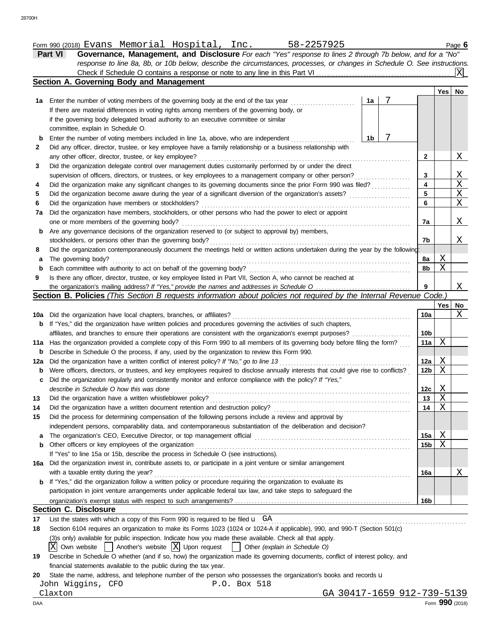| Form 990 (2018) | Evans | Memoriaı | ---<br>HOSPITAL | $\sim$ $\sim$<br>LIIC | c<br>ורי ב<br>O C.<br><i>,,,</i> | مصدر<br>. .<br>aue |
|-----------------|-------|----------|-----------------|-----------------------|----------------------------------|--------------------|
|                 |       |          |                 |                       |                                  |                    |

| <b>Part VI</b><br>Governance, Management, and Disclosure For each "Yes" response to lines 2 through 7b below, and for a "No" |
|------------------------------------------------------------------------------------------------------------------------------|
| response to line 8a, 8b, or 10b below, describe the circumstances, processes, or changes in Schedule O. See instructions.    |
|                                                                                                                              |
| Section A. Governing Body and Management                                                                                     |
| Yesl                                                                                                                         |
| 1a Enter the number of voting members of the governing body at the end of the tax year<br>1a l                               |

| 1а        | Enter the number of voting members of the governing body at the end of the tax year<br>1a                                           |                 |             |             |
|-----------|-------------------------------------------------------------------------------------------------------------------------------------|-----------------|-------------|-------------|
|           | If there are material differences in voting rights among members of the governing body, or                                          |                 |             |             |
|           | if the governing body delegated broad authority to an executive committee or similar                                                |                 |             |             |
|           | committee, explain in Schedule O.                                                                                                   |                 |             |             |
| b         | 7<br>1b<br>Enter the number of voting members included in line 1a, above, who are independent                                       |                 |             |             |
| 2         | Did any officer, director, trustee, or key employee have a family relationship or a business relationship with                      |                 |             |             |
|           | any other officer, director, trustee, or key employee?                                                                              | 2               |             | Χ           |
| 3         | Did the organization delegate control over management duties customarily performed by or under the direct                           |                 |             |             |
|           | supervision of officers, directors, or trustees, or key employees to a management company or other person?                          | 3               |             | <u>X</u>    |
| 4         | Did the organization make any significant changes to its governing documents since the prior Form 990 was filed?                    | 4               |             | $\mathbf X$ |
| 5         | Did the organization become aware during the year of a significant diversion of the organization's assets?                          | 5               |             | X           |
| 6         | Did the organization have members or stockholders?                                                                                  | 6               |             | Χ           |
| 7a        | Did the organization have members, stockholders, or other persons who had the power to elect or appoint                             |                 |             |             |
|           | one or more members of the governing body?                                                                                          | 7a              |             | X           |
| b         | Are any governance decisions of the organization reserved to (or subject to approval by) members,                                   |                 |             |             |
|           | stockholders, or persons other than the governing body?                                                                             | 7b              |             | X           |
| 8         | Did the organization contemporaneously document the meetings held or written actions undertaken during the year by the following:   |                 |             |             |
| а         | The governing body?                                                                                                                 | 8a              | Χ           |             |
| b         | Each committee with authority to act on behalf of the governing body?                                                               | 8b              | X           |             |
| 9         | Is there any officer, director, trustee, or key employee listed in Part VII, Section A, who cannot be reached at                    |                 |             |             |
|           |                                                                                                                                     | 9               |             | X           |
|           |                                                                                                                                     |                 |             |             |
|           | Section B. Policies (This Section B requests information about policies not required by the Internal Revenue Code.)                 |                 |             |             |
|           |                                                                                                                                     |                 | Yes I       | No          |
|           | 10a Did the organization have local chapters, branches, or affiliates?                                                              | 10a             |             | Χ           |
|           | <b>b</b> If "Yes," did the organization have written policies and procedures governing the activities of such chapters,             |                 |             |             |
|           | affiliates, and branches to ensure their operations are consistent with the organization's exempt purposes?                         | 10 <sub>b</sub> |             |             |
| 11a       | Has the organization provided a complete copy of this Form 990 to all members of its governing body before filing the form?         | 11a             | Χ           |             |
| b         | Describe in Schedule O the process, if any, used by the organization to review this Form 990.                                       |                 |             |             |
| 12a       |                                                                                                                                     | 12a             | X           |             |
| b         | Were officers, directors, or trustees, and key employees required to disclose annually interests that could give rise to conflicts? | 12b             | Χ           |             |
| c         | Did the organization regularly and consistently monitor and enforce compliance with the policy? If "Yes,"                           |                 |             |             |
|           | describe in Schedule O how this was done                                                                                            | 12c             | Χ           |             |
| 13        | Did the organization have a written whistleblower policy?                                                                           | 13              | Χ           |             |
| 14        | Did the organization have a written document retention and destruction policy?                                                      | 14              | Χ           |             |
|           | Did the process for determining compensation of the following persons include a review and approval by                              |                 |             |             |
|           | independent persons, comparability data, and contemporaneous substantiation of the deliberation and decision?                       |                 |             |             |
|           | The organization's CEO, Executive Director, or top management official                                                              | 15a             | X           |             |
|           | Other officers or key employees of the organization                                                                                 | 15 <sub>b</sub> | $\mathbf X$ |             |
|           | If "Yes" to line 15a or 15b, describe the process in Schedule O (see instructions).                                                 |                 |             |             |
| 15<br>16a | Did the organization invest in, contribute assets to, or participate in a joint venture or similar arrangement                      |                 |             |             |
|           | with a taxable entity during the year?                                                                                              | 16a             |             | Χ           |
| b         | If "Yes," did the organization follow a written policy or procedure requiring the organization to evaluate its                      |                 |             |             |
|           | participation in joint venture arrangements under applicable federal tax law, and take steps to safeguard the                       | 16 <sub>b</sub> |             |             |

#### **Section C. Disclosure**

**17** List the states with which a copy of this Form 990 is required to be filed u . . . . . . . . . . . . . . . . . . . . . . . . . . . . . . . . . . . . . . . . . . . . . . . . . . . . . . . . . . . . . . . . . . . . . . . . . . GA

**18** Section 6104 requires an organization to make its Forms 1023 (1024 or 1024-A if applicable), 990, and 990-T (Section 501(c)

(3)s only) available for public inspection. Indicate how you made these available. Check all that apply.

 $\overline{X}$  Own website  $\Box$  Another's website  $\overline{X}$  Upon request  $\Box$  Other *(explain in Schedule O)* 

| 19 Describe in Schedule O whether (and if so, how) the organization made its governing documents, conflict of interest policy, and |
|------------------------------------------------------------------------------------------------------------------------------------|
| financial statements available to the public during the tax year.                                                                  |

20 State the name, address, and telephone number of the person who possesses the organization's books and records u

John Wiggins, CFO BOX 518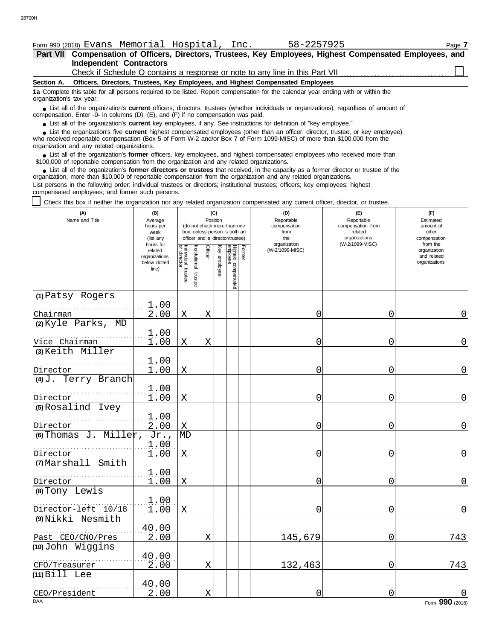| Form 990 (2018) Evans Memorial Hospital, |  | Inc. | 58-2257925 | Page |
|------------------------------------------|--|------|------------|------|

**Independent Contractors Part VII Compensation of Officers, Directors, Trustees, Key Employees, Highest Compensated Employees, and**

Check if Schedule O contains a response or note to any line in this Part VII

**Section A. Officers, Directors, Trustees, Key Employees, and Highest Compensated Employees**

**1a** Complete this table for all persons required to be listed. Report compensation for the calendar year ending with or within the organization's tax year.

■ List all of the organization's **current** officers, directors, trustees (whether individuals or organizations), regardless of amount of annount of annount of the companies (D) (E) and (E) if no companiestion was paid compensation. Enter - $0$ - in columns (D), (E), and (F) if no compensation was paid.

● List all of the organization's **current** key employees, if any. See instructions for definition of "key employee."

who received reportable compensation (Box 5 of Form W-2 and/or Box 7 of Form 1099-MISC) of more than \$100,000 from the organization and any related organizations. ■ List the organization's five **current** highest compensated employees (other than an officer, director, trustee, or key employee)<br> **•** Peceived reportable compensation (Box 5 of Form W-2 and/or Box 7 of Form 1000-MISC) o

■ List all of the organization's **former** officers, key employees, and highest compensated employees who received more than<br>00,000 of reportable compensation from the organization and any related organizations \$100,000 of reportable compensation from the organization and any related organizations.

■ List all of the organization's **former directors or trustees** that received, in the capacity as a former director or trustee of the prization more than \$10,000 of reportable compensation from the organization and any re organization, more than \$10,000 of reportable compensation from the organization and any related organizations.

List persons in the following order: individual trustees or directors; institutional trustees; officers; key employees; highest compensated employees; and former such persons.

Check this box if neither the organization nor any related organization compensated any current officer, director, or trustee.

| (A)<br>Name and Title                  | (B)<br>Average<br>hours per<br>week<br>(list any               |                                   |                         | (C)<br>Position |              | (do not check more than one<br>box, unless person is both an<br>officer and a director/trustee) | (D)<br>(E)<br>Reportable<br>Reportable<br>compensation<br>compensation from<br>from<br>related<br>organizations<br>the<br>organization<br>(W-2/1099-MISC) |                 | (F)<br>Estimated<br>amount of<br>other<br>compensation |                                                          |
|----------------------------------------|----------------------------------------------------------------|-----------------------------------|-------------------------|-----------------|--------------|-------------------------------------------------------------------------------------------------|-----------------------------------------------------------------------------------------------------------------------------------------------------------|-----------------|--------------------------------------------------------|----------------------------------------------------------|
|                                        | hours for<br>related<br>organizations<br>below dotted<br>line) | Individual trustee<br>or director | nstitutional<br>trustee | Officer         | Key employee | Highest compensated<br>employee                                                                 | Former                                                                                                                                                    | (W-2/1099-MISC) |                                                        | from the<br>organization<br>and related<br>organizations |
| (1) Patsy Rogers                       | 1.00                                                           |                                   |                         |                 |              |                                                                                                 |                                                                                                                                                           |                 |                                                        |                                                          |
| Chairman                               | 2.00                                                           | $\mathbf X$                       |                         | X               |              |                                                                                                 |                                                                                                                                                           | 0               | 0                                                      | 0                                                        |
| (2) Kyle Parks, MD                     |                                                                |                                   |                         |                 |              |                                                                                                 |                                                                                                                                                           |                 |                                                        |                                                          |
| Vice Chairman                          | 1.00<br>1.00                                                   | X                                 |                         | X               |              |                                                                                                 |                                                                                                                                                           | 0               | 0                                                      | $\mathbf 0$                                              |
| (3) Keith Miller                       |                                                                |                                   |                         |                 |              |                                                                                                 |                                                                                                                                                           |                 |                                                        |                                                          |
| Director                               | 1.00<br>1.00                                                   | $\mathbf X$                       |                         |                 |              |                                                                                                 |                                                                                                                                                           | 0               | 0                                                      | 0                                                        |
| Terry Branch<br>$(4)$ $\overline{J}$ . |                                                                |                                   |                         |                 |              |                                                                                                 |                                                                                                                                                           |                 |                                                        |                                                          |
| Director                               | 1.00<br>1.00                                                   | $\mathbf X$                       |                         |                 |              |                                                                                                 |                                                                                                                                                           | 0               | 0                                                      | $\mathsf{O}\xspace$                                      |
| (5) Rosalind Ivey                      |                                                                |                                   |                         |                 |              |                                                                                                 |                                                                                                                                                           |                 |                                                        |                                                          |
| Director                               | 1.00<br>2.00                                                   | X                                 |                         |                 |              |                                                                                                 |                                                                                                                                                           | 0               | 0                                                      | $\mathbf 0$                                              |
| (6) Thomas J. Miller,                  | Jr.,                                                           | МD                                |                         |                 |              |                                                                                                 |                                                                                                                                                           |                 |                                                        |                                                          |
| Director                               | 1.00<br>1.00                                                   | X                                 |                         |                 |              |                                                                                                 |                                                                                                                                                           | 0               | 0                                                      | $\overline{0}$                                           |
| $(7)$ Marshall<br>Smith                |                                                                |                                   |                         |                 |              |                                                                                                 |                                                                                                                                                           |                 |                                                        |                                                          |
| Director                               | 1.00<br>1.00                                                   | $\mathbf X$                       |                         |                 |              |                                                                                                 |                                                                                                                                                           | 0               | 0                                                      | 0                                                        |
| (8) Tony Lewis                         |                                                                |                                   |                         |                 |              |                                                                                                 |                                                                                                                                                           |                 |                                                        |                                                          |
| Director-left 10/18                    | 1.00<br>1.00                                                   | $\mathbf X$                       |                         |                 |              |                                                                                                 |                                                                                                                                                           | 0               | 0                                                      | $\Omega$                                                 |
| (9) Nikki Nesmith                      |                                                                |                                   |                         |                 |              |                                                                                                 |                                                                                                                                                           |                 |                                                        |                                                          |
| Past CEO/CNO/Pres                      | 40.00<br>2.00                                                  |                                   |                         | X               |              |                                                                                                 |                                                                                                                                                           | 145,679         | $\overline{0}$                                         | 743                                                      |
| (10) John Wiggins                      |                                                                |                                   |                         |                 |              |                                                                                                 |                                                                                                                                                           |                 |                                                        |                                                          |
| CFO/Treasurer                          | 40.00<br>2.00                                                  |                                   |                         | X               |              |                                                                                                 |                                                                                                                                                           | 132,463         | 0                                                      | 743                                                      |
| $(11)$ Bill Lee                        |                                                                |                                   |                         |                 |              |                                                                                                 |                                                                                                                                                           |                 |                                                        |                                                          |
| CEO/President                          | 40.00<br>2.00                                                  |                                   |                         | X               |              |                                                                                                 |                                                                                                                                                           | 0               | 0                                                      |                                                          |
| <b>DAA</b>                             |                                                                |                                   |                         |                 |              |                                                                                                 |                                                                                                                                                           |                 |                                                        | Form 990 (2018)                                          |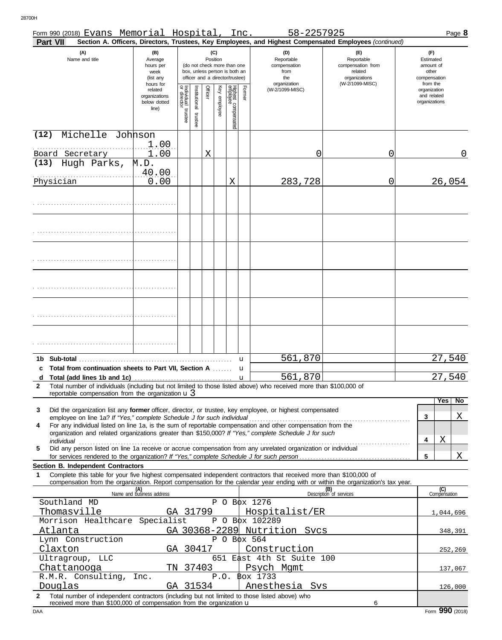| Form 990 (2018) Evans Memorial Hospital, Inc.                                                                                                                                                                                        |                                                                |                                      |                      |                                                                                                                    |              |                                 |        | 58-2257925                                                                                             |                                                                    |   |                                                          | Page 8    |
|--------------------------------------------------------------------------------------------------------------------------------------------------------------------------------------------------------------------------------------|----------------------------------------------------------------|--------------------------------------|----------------------|--------------------------------------------------------------------------------------------------------------------|--------------|---------------------------------|--------|--------------------------------------------------------------------------------------------------------|--------------------------------------------------------------------|---|----------------------------------------------------------|-----------|
| Part VII                                                                                                                                                                                                                             |                                                                |                                      |                      |                                                                                                                    |              |                                 |        | Section A. Officers, Directors, Trustees, Key Employees, and Highest Compensated Employees (continued) |                                                                    |   |                                                          |           |
| (A)<br>Name and title                                                                                                                                                                                                                | (B)<br>Average<br>hours per<br>week<br>(list any               |                                      |                      | (C)<br>Position<br>(do not check more than one<br>box, unless person is both an<br>officer and a director/trustee) |              |                                 |        | (D)<br>Reportable<br>compensation<br>from<br>the                                                       | (E)<br>Reportable<br>compensation from<br>related<br>organizations |   | (F)<br>Estimated<br>amount of<br>other<br>compensation   |           |
|                                                                                                                                                                                                                                      | hours for<br>related<br>organizations<br>below dotted<br>line) | Individual<br>or director<br>trustee | nstitutional trustee | Officer                                                                                                            | Key employee | Highest compensated<br>employee | Former | organization<br>(W-2/1099-MISC)                                                                        | (W-2/1099-MISC)                                                    |   | from the<br>organization<br>and related<br>organizations |           |
| Michelle Johnson<br>(12)                                                                                                                                                                                                             |                                                                |                                      |                      |                                                                                                                    |              |                                 |        |                                                                                                        |                                                                    |   |                                                          |           |
| Board Secretary                                                                                                                                                                                                                      | 1.00<br>1.00                                                   |                                      |                      | Χ                                                                                                                  |              |                                 |        | 0                                                                                                      | 0                                                                  |   |                                                          | 0         |
| Hugh Parks,<br>(13)                                                                                                                                                                                                                  | M.D.                                                           |                                      |                      |                                                                                                                    |              |                                 |        |                                                                                                        |                                                                    |   |                                                          |           |
| Physician                                                                                                                                                                                                                            | 40.00<br>0.00                                                  |                                      |                      |                                                                                                                    |              |                                 |        | 283,728                                                                                                |                                                                    |   |                                                          | 26,054    |
|                                                                                                                                                                                                                                      |                                                                |                                      |                      |                                                                                                                    |              | Χ                               |        |                                                                                                        | 0                                                                  |   |                                                          |           |
|                                                                                                                                                                                                                                      |                                                                |                                      |                      |                                                                                                                    |              |                                 |        |                                                                                                        |                                                                    |   |                                                          |           |
|                                                                                                                                                                                                                                      |                                                                |                                      |                      |                                                                                                                    |              |                                 |        |                                                                                                        |                                                                    |   |                                                          |           |
|                                                                                                                                                                                                                                      |                                                                |                                      |                      |                                                                                                                    |              |                                 |        |                                                                                                        |                                                                    |   |                                                          |           |
|                                                                                                                                                                                                                                      |                                                                |                                      |                      |                                                                                                                    |              |                                 |        |                                                                                                        |                                                                    |   |                                                          |           |
|                                                                                                                                                                                                                                      |                                                                |                                      |                      |                                                                                                                    |              |                                 |        |                                                                                                        |                                                                    |   |                                                          |           |
|                                                                                                                                                                                                                                      |                                                                |                                      |                      |                                                                                                                    |              |                                 |        |                                                                                                        |                                                                    |   |                                                          |           |
|                                                                                                                                                                                                                                      |                                                                |                                      |                      |                                                                                                                    |              |                                 |        |                                                                                                        |                                                                    |   |                                                          |           |
|                                                                                                                                                                                                                                      |                                                                |                                      |                      |                                                                                                                    |              |                                 | u      | 561,870                                                                                                |                                                                    |   |                                                          | 27,540    |
| c Total from continuation sheets to Part VII, Section A                                                                                                                                                                              |                                                                |                                      |                      |                                                                                                                    |              |                                 | u      | 561,870                                                                                                |                                                                    |   |                                                          | 27,540    |
| Total number of individuals (including but not limited to those listed above) who received more than \$100,000 of<br>$\mathbf{2}$<br>reportable compensation from the organization $\mathbf{u}$ 3                                    |                                                                |                                      |                      |                                                                                                                    |              |                                 |        |                                                                                                        |                                                                    |   |                                                          |           |
|                                                                                                                                                                                                                                      |                                                                |                                      |                      |                                                                                                                    |              |                                 |        |                                                                                                        |                                                                    |   |                                                          | Yes   No  |
| Did the organization list any former officer, director, or trustee, key employee, or highest compensated<br>3<br>employee on line 1a? If "Yes," complete Schedule J for such individual                                              |                                                                |                                      |                      |                                                                                                                    |              |                                 |        |                                                                                                        |                                                                    |   | 3                                                        | Χ         |
| 4<br>organization and related organizations greater than \$150,000? If "Yes," complete Schedule J for such                                                                                                                           |                                                                |                                      |                      |                                                                                                                    |              |                                 |        |                                                                                                        |                                                                    |   |                                                          |           |
| individual with the contract of the contract of the contract of the contract of the contract of the contract o<br>Did any person listed on line 1a receive or accrue compensation from any unrelated organization or individual<br>5 |                                                                |                                      |                      |                                                                                                                    |              |                                 |        |                                                                                                        |                                                                    |   | Χ<br>4                                                   |           |
|                                                                                                                                                                                                                                      |                                                                |                                      |                      |                                                                                                                    |              |                                 |        |                                                                                                        |                                                                    | 5 |                                                          | X         |
| Section B. Independent Contractors<br>Complete this table for your five highest compensated independent contractors that received more than \$100,000 of<br>1                                                                        |                                                                |                                      |                      |                                                                                                                    |              |                                 |        |                                                                                                        |                                                                    |   |                                                          |           |
| compensation from the organization. Report compensation for the calendar year ending with or within the organization's tax year.                                                                                                     |                                                                |                                      |                      |                                                                                                                    |              |                                 |        |                                                                                                        |                                                                    |   |                                                          |           |
| Southland MD                                                                                                                                                                                                                         | (A)<br>Name and business address                               |                                      |                      |                                                                                                                    |              |                                 |        | P O Box 1276                                                                                           | (B)<br>Description of services                                     |   | (C)<br>Compensation                                      |           |
| Thomasville                                                                                                                                                                                                                          | GA 31799                                                       |                                      |                      |                                                                                                                    |              |                                 |        | Hospitalist/ER                                                                                         |                                                                    |   |                                                          | 1,044,696 |
| Morrison Healthcare Specialist                                                                                                                                                                                                       |                                                                |                                      |                      |                                                                                                                    |              |                                 |        | P O Box 102289                                                                                         |                                                                    |   |                                                          |           |
| Atlanta<br>Lynn Construction                                                                                                                                                                                                         |                                                                |                                      |                      |                                                                                                                    |              |                                 |        | GA 30368-2289 Nutrition Svcs<br>$P$ O B $\phi$ x 564                                                   |                                                                    |   |                                                          | 348,391   |
| Claxton                                                                                                                                                                                                                              |                                                                |                                      |                      | GA 30417                                                                                                           |              |                                 |        | Construction                                                                                           |                                                                    |   |                                                          | 252,269   |
| Ultragroup, LLC                                                                                                                                                                                                                      |                                                                |                                      |                      |                                                                                                                    |              |                                 |        | 651 East 4th St Suite 100                                                                              |                                                                    |   |                                                          |           |
| Chattanooga<br>R.M.R. Consulting,                                                                                                                                                                                                    | Inc.                                                           |                                      |                      | TN 37403                                                                                                           |              |                                 |        | Psych Mgmt<br>P.O. \$0x 1733                                                                           |                                                                    |   |                                                          | 137,067   |
| Douglas                                                                                                                                                                                                                              |                                                                |                                      |                      | GA 31534                                                                                                           |              |                                 |        | Anesthesia Svs                                                                                         |                                                                    |   |                                                          | 126,000   |
| Total number of independent contractors (including but not limited to those listed above) who<br>$\mathbf{2}$<br>received more than \$100,000 of compensation from the organization u                                                |                                                                |                                      |                      |                                                                                                                    |              |                                 |        |                                                                                                        | 6                                                                  |   |                                                          |           |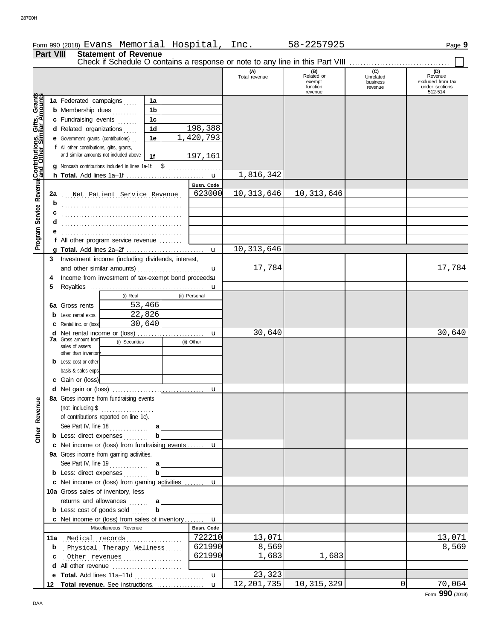|  | Form 990 (2018) |  | Evans | Memorial | $- -$<br>Hospital | Inc | 2257925<br>$58 -$ | Page |
|--|-----------------|--|-------|----------|-------------------|-----|-------------------|------|
|--|-----------------|--|-------|----------|-------------------|-----|-------------------|------|

|                                              | Part VIII | <b>Statement of Revenue</b><br>Check if Schedule O contains a response or note to any line in this Part VIII                                                                                                                                                                        |                                 |                      |                                                    |                                         |                                                                  |
|----------------------------------------------|-----------|-------------------------------------------------------------------------------------------------------------------------------------------------------------------------------------------------------------------------------------------------------------------------------------|---------------------------------|----------------------|----------------------------------------------------|-----------------------------------------|------------------------------------------------------------------|
|                                              |           |                                                                                                                                                                                                                                                                                     |                                 | (A)<br>Total revenue | (B)<br>Related or<br>exempt<br>function<br>revenue | (C)<br>Unrelated<br>business<br>revenue | (D)<br>Revenue<br>excluded from tax<br>under sections<br>512-514 |
| Service Revenue Contributions, Gifts, Grants |           | 1a Federated campaigns<br>1a<br><b>b</b> Membership dues<br>1b<br>c Fundraising events<br>1c<br>1 <sub>d</sub><br>d Related organizations<br>e Government grants (contributions)<br>1e<br>f All other contributions, gifts, grants,<br>and similar amounts not included above<br>1f | 198,388<br>1,420,793<br>197,161 |                      |                                                    |                                         |                                                                  |
|                                              |           | g Noncash contributions included in lines 1a-1f: \$                                                                                                                                                                                                                                 | .<br>$\mathbf u$                | 1,816,342            |                                                    |                                         |                                                                  |
|                                              | 2a<br>b   | Net Patient Service Revenue                                                                                                                                                                                                                                                         | <b>Busn. Code</b><br>623000     | 10, 313, 646         | 10, 313, 646                                       |                                         |                                                                  |
|                                              | с<br>d    |                                                                                                                                                                                                                                                                                     |                                 |                      |                                                    |                                         |                                                                  |
| Program                                      |           | f All other program service revenue                                                                                                                                                                                                                                                 |                                 | 10, 313, 646         |                                                    |                                         |                                                                  |
|                                              | 3         | Investment income (including dividends, interest,<br>and other similar amounts)                                                                                                                                                                                                     | $\mathbf{u}$<br>u               | 17,784               |                                                    |                                         | 17,784                                                           |
|                                              | 4<br>5    | Income from investment of tax-exempt bond proceedsu                                                                                                                                                                                                                                 | u                               |                      |                                                    |                                         |                                                                  |
|                                              | 6а        | (i) Real<br>53,466<br>Gross rents                                                                                                                                                                                                                                                   | (ii) Personal                   |                      |                                                    |                                         |                                                                  |
|                                              |           | 22,826<br>Less: rental exps.<br>30,640<br>Rental inc. or (loss)                                                                                                                                                                                                                     |                                 |                      |                                                    |                                         |                                                                  |
|                                              | d         | <b>7a</b> Gross amount from<br>(i) Securities<br>sales of assets                                                                                                                                                                                                                    | u<br>(ii) Other                 | 30,640               |                                                    |                                         | 30,640                                                           |
|                                              |           | other than inventory<br>Less: cost or other<br>basis & sales exps                                                                                                                                                                                                                   |                                 |                      |                                                    |                                         |                                                                  |
|                                              |           | c Gain or (loss)                                                                                                                                                                                                                                                                    |                                 |                      |                                                    |                                         |                                                                  |
| Other Revenue                                |           | 8a Gross income from fundraising events  <br>(not including $$$<br>.<br>of contributions reported on line 1c).                                                                                                                                                                      | u                               |                      |                                                    |                                         |                                                                  |
|                                              |           | See Part IV, line $18$<br>a<br><b>b</b> Less: direct expenses<br>b                                                                                                                                                                                                                  |                                 |                      |                                                    |                                         |                                                                  |
|                                              |           | c Net income or (loss) from fundraising events  u                                                                                                                                                                                                                                   |                                 |                      |                                                    |                                         |                                                                  |
|                                              |           | 9a Gross income from gaming activities.<br>b<br><b>b</b> Less: direct expenses                                                                                                                                                                                                      |                                 |                      |                                                    |                                         |                                                                  |
|                                              |           | c Net income or (loss) from gaming activities  u                                                                                                                                                                                                                                    |                                 |                      |                                                    |                                         |                                                                  |
|                                              |           | 10a Gross sales of inventory, less<br>returns and allowances<br>a<br>b                                                                                                                                                                                                              |                                 |                      |                                                    |                                         |                                                                  |
|                                              |           | <b>b</b> Less: $cost$ of goods $sol$<br>c Net income or (loss) from sales of inventory                                                                                                                                                                                              | $\mathbf{u}$                    |                      |                                                    |                                         |                                                                  |
|                                              |           | Miscellaneous Revenue                                                                                                                                                                                                                                                               | Busn. Code                      |                      |                                                    |                                         |                                                                  |
|                                              |           | 11a Medical records                                                                                                                                                                                                                                                                 | 722210                          | 13,071               |                                                    |                                         | 13,071                                                           |
|                                              | b         | Physical Therapy Wellness                                                                                                                                                                                                                                                           | 621990<br>621990                | 8,569<br>1,683       | 1,683                                              |                                         | 8,569                                                            |
|                                              |           | Other revenues<br>d All other revenue                                                                                                                                                                                                                                               |                                 |                      |                                                    |                                         |                                                                  |
|                                              |           | e Total. Add lines 11a-11d                                                                                                                                                                                                                                                          | $\mathbf{u}$                    | 23,323               |                                                    |                                         |                                                                  |

 $\bm{{\sf u}}$  | 12,201,735 | 10,315,329 | 0 | 70,064

**Total revenue.** See instructions. . . . . . . . . . . . . . . . . . **12**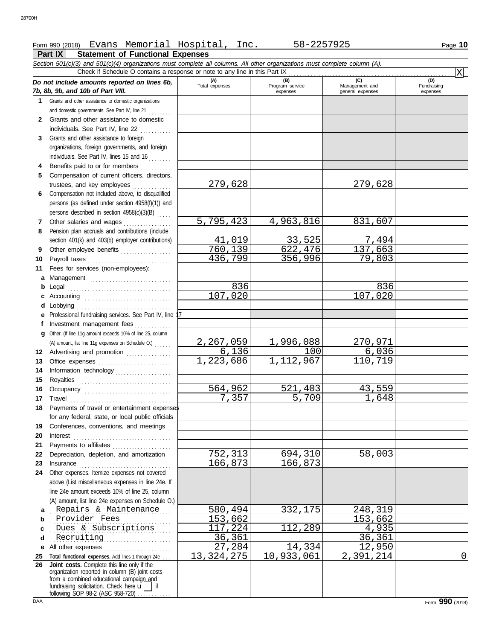## Form 990 (2018) Page **10** Evans Memorial Hospital, Inc. 58-2257925

#### **Part IX Statement of Functional Expenses**

*Section 501(c)(3) and 501(c)(4) organizations must complete all columns. All other organizations must complete column (A). Do not include amounts reported on lines 6b, 7b, 8b, 9b, and 10b of Part VIII.* **1 2 3 4 5 6** Compensation not included above, to disqualified **7 8 9 10 11 a** Management ............................. **b** Legal . . . . . . . . . . . . . . . . . . . . . . . . . . . . . . . . . . . . . **c d** Lobbying . . . . . . . . . . . . . . . . . . . . . . . . . . . . . . . . . . **e f g** Other. (If line 11g amount exceeds 10% of line 25, column **12** Advertising and promotion ................ **13** Office expenses **.......................**... **14 15 16 17** Travel . . . . . . . . . . . . . . . . . . . . . . . . . . . . . . . . . . . . **18 19 20 21 22** Depreciation, depletion, and amortization . **23** Insurance . . . . . . . . . . . . . . . . . . . . . . . . . . . . . . . . . **24** Other expenses. Itemize expenses not covered **a** . . . . . . . . . . . . . . . . . . . . . . . . . . . . . . . . . . . . . . . . . . . Repairs & Maintenance 580,494 332,175 248,319 **b c d** . . . . . . . . . . . . . . . . . . . . . . . . . . . . . . . . . . . . . . . . . . . Recruiting 36,361 36,361 **e** All other expenses . . . . . . . . . . . . . . . . . . . . . . . . **25 Total functional expenses.** Add lines 1 through 24e . . . **26 Joint costs.** Complete this line only if the Grants and other assistance to domestic organizations and domestic governments. See Part IV, line 21 . . . . . . . . Grants and other assistance to domestic individuals. See Part IV, line 22 Grants and other assistance to foreign organizations, foreign governments, and foreign individuals. See Part IV, lines 15 and 16 Benefits paid to or for members ............ Compensation of current officers, directors, trustees, and key employees . . . . . . . . . . . . persons (as defined under section 4958(f)(1)) and persons described in section  $4958(c)(3)(B)$  .... Other salaries and wages . . . . . . . . . . . . . . . . Pension plan accruals and contributions (include section 401(k) and 403(b) employer contributions) Other employee benefits .................. Payroll taxes . . . . . . . . . . . . . . . . . . . . . . . . . . . . . . Fees for services (non-employees): Accounting . . . . . . . . . . . . . . . . . . . . . . . . . . . . . . . Professional fundraising services. See Part IV, line 17 Investment management fees .............. Information technology Royalties . . . . . . . . . . . . . . . . . . . . . . . . . . . . . . . . . Occupancy . . . . . . . . . . . . . . . . . . . . . . . . . . . . . . . Payments of travel or entertainment expenses for any federal, state, or local public officials Conferences, conventions, and meetings . Interest . . . . . . . . . . . . . . . . . . . . . . . . . . . . . . . . . . . Payments to affiliates ...................... above (List miscellaneous expenses in line 24e. If line 24e amount exceeds 10% of line 25, column (A) amount, list line 24e expenses on Schedule O.) fundraising solicitation. Check here  $\mathbf{u}$  if organization reported in column (B) joint costs from a combined educational campaign and following SOP 98-2 (ASC 958-720) **(A) (B) (C) (D)** Total expenses Program service Management and expenses and general expenses (D)<br>Fundraising expenses . . . . . . . . . . . . . . . . . . . . . . . . . . . . . . . . . . . . . . . . . . . Provider Fees 153,662 153,662 . . . . . . . . . . . . . . . . . . . . . . . . . . . . . . . . . . . . . . . . . . . Dues & Subscriptions 117,224 112,289 4,935 Check if Schedule O contains a response or note to any line in this Part IX (A) amount, list line 11g expenses on Schedule O.) . . . . . . **x** 279,628 279,628 5,795,423 4,963,816 831,607 41,019 33,525 7,494 760,139 622,476 137,663 356,996 836 836 107,020 107,020 2,267,059 1,996,088 270,971<br>6,136 100 6,036  $\begin{array}{|c|c|c|c|c|}\n\hline\n6,136 & 1.112,967 & 100,719 \\
\hline\n3,686 & 1.112,967 & 110,719\n\end{array}$ ,223,686  $\begin{array}{c|c} 564,962 & 521,403 & 43,559 \\ \hline 7,357 & 5,709 & 1,648 \end{array}$ 5,709 752,313 694,310 58,003 166,873 27,284 14,334 12,950<br>24,275 10,933,061 2,391,214 13,324,275 10,933,061 2,391,214 0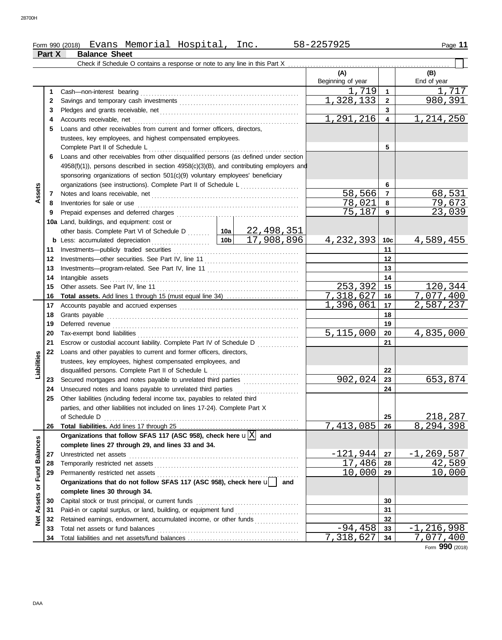**Part X Balance Sheet**

|                         |    | Check if Schedule O contains a response or note to any line in this Part X                                                                                                                                                     |                                                 |                                   |                 |                    |
|-------------------------|----|--------------------------------------------------------------------------------------------------------------------------------------------------------------------------------------------------------------------------------|-------------------------------------------------|-----------------------------------|-----------------|--------------------|
|                         |    |                                                                                                                                                                                                                                |                                                 | (A)<br>Beginning of year          |                 | (B)<br>End of year |
|                         | 1  | Cash-non-interest bearing                                                                                                                                                                                                      |                                                 | 1,719                             | $\mathbf{1}$    | 1,717              |
|                         | 2  |                                                                                                                                                                                                                                |                                                 | $\overline{1}$ , 328, 133         | $\overline{2}$  | 980,391            |
|                         | 3  | Pledges and grants receivable, net Materian Construction of the state of the state of the state of the state of the state of the state of the state of the state of the state of the state of the state of the state of the st |                                                 |                                   | 3               |                    |
|                         | 4  | Accounts receivable, net                                                                                                                                                                                                       |                                                 | 1,291,216                         | 4               | 1,214,250          |
|                         | 5  | Loans and other receivables from current and former officers, directors,                                                                                                                                                       |                                                 |                                   |                 |                    |
|                         |    | trustees, key employees, and highest compensated employees.                                                                                                                                                                    |                                                 |                                   |                 |                    |
|                         |    | Complete Part II of Schedule L                                                                                                                                                                                                 |                                                 |                                   | 5               |                    |
|                         | 6  | Loans and other receivables from other disqualified persons (as defined under section                                                                                                                                          |                                                 |                                   |                 |                    |
|                         |    | $4958(f)(1)$ ), persons described in section $4958(c)(3)(B)$ , and contributing employers and                                                                                                                                  |                                                 |                                   |                 |                    |
|                         |    | sponsoring organizations of section 501(c)(9) voluntary employees' beneficiary                                                                                                                                                 |                                                 |                                   |                 |                    |
|                         |    | organizations (see instructions). Complete Part II of Schedule L                                                                                                                                                               | <u> 1986 - Johann Stoff, Amerikaansk politi</u> |                                   | 6               |                    |
| Assets                  | 7  |                                                                                                                                                                                                                                |                                                 | 58,566                            | $\overline{7}$  | 68,531             |
|                         | 8  | Inventories for sale or use                                                                                                                                                                                                    |                                                 | 78,021                            | 8               | 79,673             |
|                         | 9  | Prepaid expenses and deferred charges                                                                                                                                                                                          |                                                 | 75,187                            | 9               | 23,039             |
|                         |    | 10a Land, buildings, and equipment: cost or                                                                                                                                                                                    |                                                 |                                   |                 |                    |
|                         |    | other basis. Complete Part VI of Schedule D  10a                                                                                                                                                                               | 22,498,351                                      |                                   |                 |                    |
|                         |    | <b>b</b> Less: accumulated depreciation<br>.                                                                                                                                                                                   | 17,908,896<br>10 <sub>b</sub>                   | 4, 232, 393                       | 10 <sub>c</sub> | <u>4,589,455</u>   |
|                         | 11 |                                                                                                                                                                                                                                |                                                 |                                   | 11              |                    |
|                         | 12 |                                                                                                                                                                                                                                |                                                 |                                   | 12              |                    |
|                         | 13 |                                                                                                                                                                                                                                |                                                 |                                   | 13              |                    |
|                         | 14 | Intangible assets                                                                                                                                                                                                              |                                                 |                                   | 14              |                    |
|                         | 15 |                                                                                                                                                                                                                                |                                                 | 253,392                           | 15              | 120,344            |
|                         | 16 | <b>Total assets.</b> Add lines 1 through 15 (must equal line 34)                                                                                                                                                               |                                                 | $\overline{7}$ , 3 <u>18, 627</u> | 16              | 7,077,400          |
|                         | 17 |                                                                                                                                                                                                                                |                                                 | 1,396,061                         | 17              | 2,587,237          |
|                         | 18 | Grants payable                                                                                                                                                                                                                 |                                                 |                                   | 18              |                    |
|                         | 19 |                                                                                                                                                                                                                                |                                                 |                                   | 19              |                    |
|                         | 20 |                                                                                                                                                                                                                                |                                                 | 5,115,000                         | 20              | 4,835,000          |
|                         | 21 | Escrow or custodial account liability. Complete Part IV of Schedule D                                                                                                                                                          |                                                 |                                   | 21              |                    |
|                         | 22 | Loans and other payables to current and former officers, directors,                                                                                                                                                            |                                                 |                                   |                 |                    |
|                         |    | trustees, key employees, highest compensated employees, and                                                                                                                                                                    |                                                 |                                   |                 |                    |
| Liabilities             |    | disqualified persons. Complete Part II of Schedule L                                                                                                                                                                           |                                                 |                                   | 22              |                    |
|                         | 23 |                                                                                                                                                                                                                                |                                                 | 902,024                           | 23              | 653,874            |
|                         | 24 | Unsecured notes and loans payable to unrelated third parties                                                                                                                                                                   |                                                 |                                   | 24              |                    |
|                         | 25 | Other liabilities (including federal income tax, payables to related third<br>parties, and other liabilities not included on lines 17-24). Complete Part X                                                                     |                                                 |                                   |                 |                    |
|                         |    | of Schedule D                                                                                                                                                                                                                  |                                                 |                                   | 25              | 218,287            |
|                         | 26 |                                                                                                                                                                                                                                |                                                 | 7,413,085                         | 26              | 8,294,398          |
|                         |    | Organizations that follow SFAS 117 (ASC 958), check here $\mathbf{u} \overline{X} $ and                                                                                                                                        |                                                 |                                   |                 |                    |
|                         |    | complete lines 27 through 29, and lines 33 and 34.                                                                                                                                                                             |                                                 |                                   |                 |                    |
|                         | 27 | Unrestricted net assets                                                                                                                                                                                                        |                                                 | $-121,944$                        | 27              | $-1, 269, 587$     |
|                         | 28 |                                                                                                                                                                                                                                |                                                 | 17,486                            | 28              | <u>42,589</u>      |
|                         | 29 |                                                                                                                                                                                                                                |                                                 | 10,000                            | 29              | 10,000             |
|                         |    | Organizations that do not follow SFAS 117 (ASC 958), check here u                                                                                                                                                              | and                                             |                                   |                 |                    |
|                         |    | complete lines 30 through 34.                                                                                                                                                                                                  |                                                 |                                   |                 |                    |
| Assets or Fund Balances | 30 | Capital stock or trust principal, or current funds                                                                                                                                                                             |                                                 |                                   | 30              |                    |
|                         | 31 | Paid-in or capital surplus, or land, building, or equipment fund [                                                                                                                                                             |                                                 |                                   | 31              |                    |
| <b>Pet</b>              | 32 | Retained earnings, endowment, accumulated income, or other funds                                                                                                                                                               |                                                 |                                   | 32              |                    |
|                         | 33 | Total net assets or fund balances                                                                                                                                                                                              |                                                 | $-94,458$                         | 33              | $-1, 216, 998$     |
|                         | 34 |                                                                                                                                                                                                                                |                                                 | 7,318,627                         | 34              | 7,077,400          |

Form **990** (2018)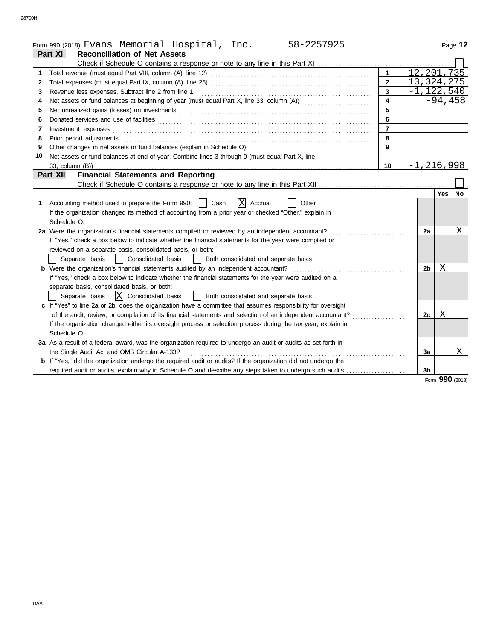|    | 58-2257925<br>Form 990 (201 <u>8) Evans Memorial Hospital, Inc.</u>                                            |                         |                |     | Page 12         |
|----|----------------------------------------------------------------------------------------------------------------|-------------------------|----------------|-----|-----------------|
|    | <b>Reconciliation of Net Assets</b><br>Part XI                                                                 |                         |                |     |                 |
|    |                                                                                                                |                         |                |     |                 |
| 1  |                                                                                                                | $\mathbf{1}$            | 12, 201, 735   |     |                 |
| 2  |                                                                                                                | $\overline{2}$          | 13, 324, 275   |     |                 |
| 3  | Revenue less expenses. Subtract line 2 from line 1                                                             | $\overline{3}$          |                |     | $-1,122,540$    |
| 4  | Net assets or fund balances at beginning of year (must equal Part X, line 33, column (A))                      | $\overline{\mathbf{4}}$ |                |     | $-94,458$       |
| 5  |                                                                                                                | 5                       |                |     |                 |
| 6  |                                                                                                                | 6                       |                |     |                 |
| 7  | Investment expenses <b>contract and the expenses contract and the expenses contract and the expenses</b>       | $\overline{7}$          |                |     |                 |
| 8  |                                                                                                                | 8                       |                |     |                 |
| 9  |                                                                                                                | 9                       |                |     |                 |
| 10 | Net assets or fund balances at end of year. Combine lines 3 through 9 (must equal Part X, line                 |                         |                |     |                 |
|    | 33, column (B))                                                                                                | 10                      | $-1, 216, 998$ |     |                 |
|    | <b>Financial Statements and Reporting</b><br><b>Part XII</b>                                                   |                         |                |     |                 |
|    |                                                                                                                |                         |                |     |                 |
|    |                                                                                                                |                         |                | Yes | No              |
| 1. | X Accrual<br>Accounting method used to prepare the Form 990:    <br>Cash<br>Other                              |                         |                |     |                 |
|    | If the organization changed its method of accounting from a prior year or checked "Other," explain in          |                         |                |     |                 |
|    | Schedule O.                                                                                                    |                         |                |     |                 |
|    | 2a Were the organization's financial statements compiled or reviewed by an independent accountant?             |                         | 2a             |     | Χ               |
|    | If "Yes," check a box below to indicate whether the financial statements for the year were compiled or         |                         |                |     |                 |
|    | reviewed on a separate basis, consolidated basis, or both:                                                     |                         |                |     |                 |
|    | Consolidated basis<br>Separate basis<br>$\mathbf{L}$<br>Both consolidated and separate basis                   |                         |                |     |                 |
|    |                                                                                                                |                         | 2 <sub>b</sub> | Χ   |                 |
|    | If "Yes," check a box below to indicate whether the financial statements for the year were audited on a        |                         |                |     |                 |
|    | separate basis, consolidated basis, or both:                                                                   |                         |                |     |                 |
|    | $ X $ Consolidated basis<br>Both consolidated and separate basis<br>Separate basis<br>$\perp$                  |                         |                |     |                 |
|    | c If "Yes" to line 2a or 2b, does the organization have a committee that assumes responsibility for oversight  |                         |                |     |                 |
|    | of the audit, review, or compilation of its financial statements and selection of an independent accountant?   |                         | 2c             | Χ   |                 |
|    | If the organization changed either its oversight process or selection process during the tax year, explain in  |                         |                |     |                 |
|    | Schedule O.                                                                                                    |                         |                |     |                 |
|    | 3a As a result of a federal award, was the organization required to undergo an audit or audits as set forth in |                         |                |     |                 |
|    | the Single Audit Act and OMB Circular A-133?                                                                   |                         | 3a             |     | Χ               |
|    | b If "Yes," did the organization undergo the required audit or audits? If the organization did not undergo the |                         |                |     |                 |
|    | required audit or audits, explain why in Schedule O and describe any steps taken to undergo such audits        |                         | 3 <sub>b</sub> |     |                 |
|    |                                                                                                                |                         |                |     | Form 990 (2018) |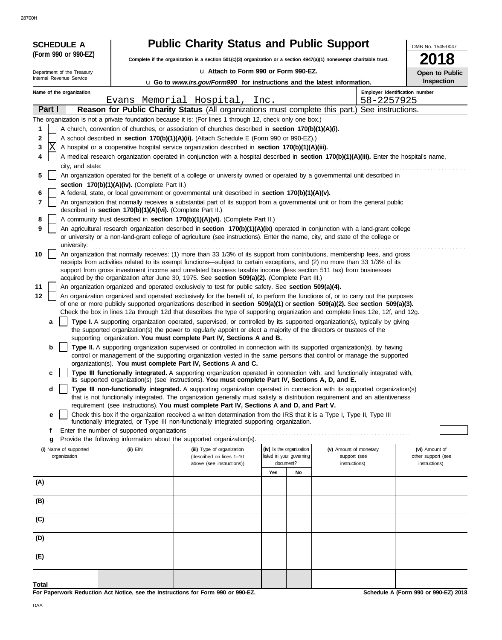28700H

| <b>SCHEDULE A</b><br>(Form 990 or 990-EZ) |                                                            | <b>Public Charity Status and Public Support</b>                                                                                                                                                                                                                 |                                       |                               | OMB No. 1545-0047                   |
|-------------------------------------------|------------------------------------------------------------|-----------------------------------------------------------------------------------------------------------------------------------------------------------------------------------------------------------------------------------------------------------------|---------------------------------------|-------------------------------|-------------------------------------|
|                                           |                                                            | Complete if the organization is a section $501(c)(3)$ organization or a section $4947(a)(1)$ nonexempt charitable trust.                                                                                                                                        |                                       |                               | 18                                  |
| Department of the Treasury                |                                                            | u Attach to Form 990 or Form 990-EZ.                                                                                                                                                                                                                            |                                       |                               | Open to Public                      |
| Internal Revenue Service                  |                                                            | <b>u</b> Go to www.irs.gov/Form990 for instructions and the latest information.                                                                                                                                                                                 |                                       |                               | Inspection                          |
| Name of the organization                  |                                                            |                                                                                                                                                                                                                                                                 |                                       |                               | Employer identification number      |
|                                           |                                                            | Evans Memorial Hospital, Inc.                                                                                                                                                                                                                                   |                                       | 58-2257925                    |                                     |
| Part I                                    |                                                            | Reason for Public Charity Status (All organizations must complete this part.) See instructions.<br>The organization is not a private foundation because it is: (For lines 1 through 12, check only one box.)                                                    |                                       |                               |                                     |
| 1                                         |                                                            | A church, convention of churches, or association of churches described in section 170(b)(1)(A)(i).                                                                                                                                                              |                                       |                               |                                     |
| 2                                         |                                                            | A school described in section 170(b)(1)(A)(ii). (Attach Schedule E (Form 990 or 990-EZ).)                                                                                                                                                                       |                                       |                               |                                     |
| X<br>3                                    |                                                            | A hospital or a cooperative hospital service organization described in section 170(b)(1)(A)(iii).                                                                                                                                                               |                                       |                               |                                     |
| 4                                         |                                                            | A medical research organization operated in conjunction with a hospital described in section 170(b)(1)(A)(iii). Enter the hospital's name,                                                                                                                      |                                       |                               |                                     |
| city, and state:                          |                                                            |                                                                                                                                                                                                                                                                 |                                       |                               |                                     |
| 5                                         |                                                            | An organization operated for the benefit of a college or university owned or operated by a governmental unit described in                                                                                                                                       |                                       |                               |                                     |
|                                           | section 170(b)(1)(A)(iv). (Complete Part II.)              |                                                                                                                                                                                                                                                                 |                                       |                               |                                     |
| 6                                         |                                                            | A federal, state, or local government or governmental unit described in section 170(b)(1)(A)(v).                                                                                                                                                                |                                       |                               |                                     |
| 7                                         | described in section 170(b)(1)(A)(vi). (Complete Part II.) | An organization that normally receives a substantial part of its support from a governmental unit or from the general public                                                                                                                                    |                                       |                               |                                     |
| 8                                         |                                                            | A community trust described in section 170(b)(1)(A)(vi). (Complete Part II.)                                                                                                                                                                                    |                                       |                               |                                     |
| 9                                         |                                                            | An agricultural research organization described in section 170(b)(1)(A)(ix) operated in conjunction with a land-grant college                                                                                                                                   |                                       |                               |                                     |
|                                           |                                                            | or university or a non-land-grant college of agriculture (see instructions). Enter the name, city, and state of the college or                                                                                                                                  |                                       |                               |                                     |
| university:                               |                                                            |                                                                                                                                                                                                                                                                 |                                       |                               |                                     |
| 10                                        |                                                            | An organization that normally receives: (1) more than 33 1/3% of its support from contributions, membership fees, and gross<br>receipts from activities related to its exempt functions—subject to certain exceptions, and (2) no more than 33 1/3% of its      |                                       |                               |                                     |
|                                           |                                                            | support from gross investment income and unrelated business taxable income (less section 511 tax) from businesses                                                                                                                                               |                                       |                               |                                     |
|                                           |                                                            | acquired by the organization after June 30, 1975. See section 509(a)(2). (Complete Part III.)                                                                                                                                                                   |                                       |                               |                                     |
| 11                                        |                                                            | An organization organized and operated exclusively to test for public safety. See section 509(a)(4).                                                                                                                                                            |                                       |                               |                                     |
| 12                                        |                                                            | An organization organized and operated exclusively for the benefit of, to perform the functions of, or to carry out the purposes<br>of one or more publicly supported organizations described in section 509(a)(1) or section 509(a)(2). See section 509(a)(3). |                                       |                               |                                     |
|                                           |                                                            | Check the box in lines 12a through 12d that describes the type of supporting organization and complete lines 12e, 12f, and 12g.                                                                                                                                 |                                       |                               |                                     |
| a                                         |                                                            | Type I. A supporting organization operated, supervised, or controlled by its supported organization(s), typically by giving                                                                                                                                     |                                       |                               |                                     |
|                                           |                                                            | the supported organization(s) the power to regularly appoint or elect a majority of the directors or trustees of the                                                                                                                                            |                                       |                               |                                     |
| b                                         |                                                            | supporting organization. You must complete Part IV, Sections A and B.<br>Type II. A supporting organization supervised or controlled in connection with its supported organization(s), by having                                                                |                                       |                               |                                     |
|                                           |                                                            | control or management of the supporting organization vested in the same persons that control or manage the supported                                                                                                                                            |                                       |                               |                                     |
|                                           |                                                            | organization(s). You must complete Part IV, Sections A and C.                                                                                                                                                                                                   |                                       |                               |                                     |
| c                                         |                                                            | Type III functionally integrated. A supporting organization operated in connection with, and functionally integrated with,<br>its supported organization(s) (see instructions). You must complete Part IV, Sections A, D, and E.                                |                                       |                               |                                     |
| d                                         |                                                            | Type III non-functionally integrated. A supporting organization operated in connection with its supported organization(s)                                                                                                                                       |                                       |                               |                                     |
|                                           |                                                            | that is not functionally integrated. The organization generally must satisfy a distribution requirement and an attentiveness                                                                                                                                    |                                       |                               |                                     |
|                                           |                                                            | requirement (see instructions). You must complete Part IV, Sections A and D, and Part V.                                                                                                                                                                        |                                       |                               |                                     |
| e                                         |                                                            | Check this box if the organization received a written determination from the IRS that it is a Type I, Type II, Type III<br>functionally integrated, or Type III non-functionally integrated supporting organization.                                            |                                       |                               |                                     |
| f                                         | Enter the number of supported organizations                |                                                                                                                                                                                                                                                                 |                                       |                               |                                     |
| g                                         |                                                            | Provide the following information about the supported organization(s).                                                                                                                                                                                          |                                       |                               |                                     |
| (i) Name of supported                     | $(ii)$ EIN                                                 | (iii) Type of organization                                                                                                                                                                                                                                      | (iv) Is the organization              | (v) Amount of monetary        | (vi) Amount of                      |
| organization                              |                                                            | (described on lines 1-10<br>above (see instructions))                                                                                                                                                                                                           | listed in your governing<br>document? | support (see<br>instructions) | other support (see<br>instructions) |
|                                           |                                                            |                                                                                                                                                                                                                                                                 | Yes<br>No                             |                               |                                     |
| (A)                                       |                                                            |                                                                                                                                                                                                                                                                 |                                       |                               |                                     |
|                                           |                                                            |                                                                                                                                                                                                                                                                 |                                       |                               |                                     |
| (B)                                       |                                                            |                                                                                                                                                                                                                                                                 |                                       |                               |                                     |
|                                           |                                                            |                                                                                                                                                                                                                                                                 |                                       |                               |                                     |
| (C)                                       |                                                            |                                                                                                                                                                                                                                                                 |                                       |                               |                                     |
| (D)                                       |                                                            |                                                                                                                                                                                                                                                                 |                                       |                               |                                     |
|                                           |                                                            |                                                                                                                                                                                                                                                                 |                                       |                               |                                     |
| (E)                                       |                                                            |                                                                                                                                                                                                                                                                 |                                       |                               |                                     |
|                                           |                                                            |                                                                                                                                                                                                                                                                 |                                       |                               |                                     |
|                                           |                                                            |                                                                                                                                                                                                                                                                 |                                       |                               |                                     |
| Total                                     |                                                            |                                                                                                                                                                                                                                                                 |                                       |                               | 0.00552004                          |

**For Paperwork Reduction Act Notice, see the Instructions for Form 990 or 990-EZ.**

**Schedule A (Form 990 or 990-EZ) 2018**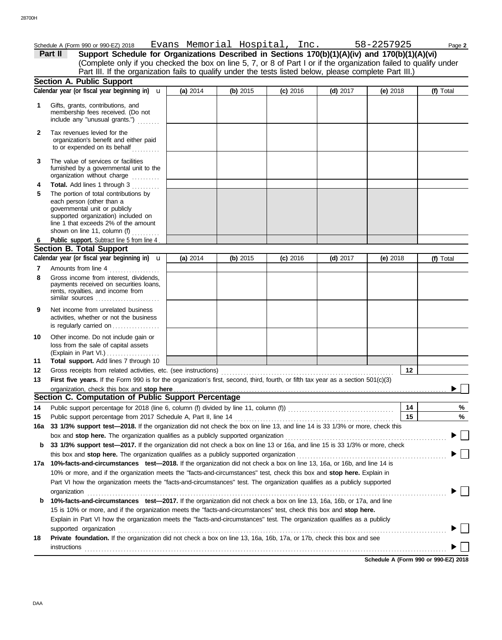|              | Schedule A (Form 990 or 990-EZ) 2018 Evans Memorial Hospital, Inc.                                                                                                                                                                                                                                |          |          |            |            | 58-2257925 | Page 2    |
|--------------|---------------------------------------------------------------------------------------------------------------------------------------------------------------------------------------------------------------------------------------------------------------------------------------------------|----------|----------|------------|------------|------------|-----------|
|              | Support Schedule for Organizations Described in Sections 170(b)(1)(A)(iv) and 170(b)(1)(A)(vi)<br>Part II                                                                                                                                                                                         |          |          |            |            |            |           |
|              | (Complete only if you checked the box on line 5, 7, or 8 of Part I or if the organization failed to qualify under                                                                                                                                                                                 |          |          |            |            |            |           |
|              | Part III. If the organization fails to qualify under the tests listed below, please complete Part III.)                                                                                                                                                                                           |          |          |            |            |            |           |
|              | <b>Section A. Public Support</b>                                                                                                                                                                                                                                                                  |          |          |            |            |            |           |
|              | Calendar year (or fiscal year beginning in) $\mathbf u$                                                                                                                                                                                                                                           | (a) 2014 | (b) 2015 | $(c)$ 2016 | $(d)$ 2017 | (e) $2018$ | (f) Total |
| 1            | Gifts, grants, contributions, and<br>membership fees received. (Do not<br>include any "unusual grants.")                                                                                                                                                                                          |          |          |            |            |            |           |
| $\mathbf{2}$ | Tax revenues levied for the<br>organization's benefit and either paid<br>to or expended on its behalf                                                                                                                                                                                             |          |          |            |            |            |           |
| 3            | The value of services or facilities<br>furnished by a governmental unit to the<br>organization without charge                                                                                                                                                                                     |          |          |            |            |            |           |
| 4            | Total. Add lines 1 through 3                                                                                                                                                                                                                                                                      |          |          |            |            |            |           |
| 5            | The portion of total contributions by<br>each person (other than a<br>governmental unit or publicly<br>supported organization) included on<br>line 1 that exceeds 2% of the amount<br>shown on line 11, column (f) $\ldots$                                                                       |          |          |            |            |            |           |
| 6            | Public support. Subtract line 5 from line 4                                                                                                                                                                                                                                                       |          |          |            |            |            |           |
|              | <b>Section B. Total Support</b>                                                                                                                                                                                                                                                                   |          |          |            |            |            |           |
|              | Calendar year (or fiscal year beginning in) $\mathbf u$                                                                                                                                                                                                                                           | (a) 2014 | (b) 2015 | $(c)$ 2016 | $(d)$ 2017 | (e) 2018   | (f) Total |
| 7            | Amounts from line 4                                                                                                                                                                                                                                                                               |          |          |            |            |            |           |
| 8            | Gross income from interest, dividends,<br>payments received on securities loans,<br>rents, royalties, and income from<br>similar sources $\ldots, \ldots, \ldots, \ldots, \ldots$                                                                                                                 |          |          |            |            |            |           |
| 9            | Net income from unrelated business<br>activities, whether or not the business<br>is regularly carried on                                                                                                                                                                                          |          |          |            |            |            |           |
| 10<br>11     | Other income. Do not include gain or<br>loss from the sale of capital assets<br>(Explain in Part VI.)<br>Total support. Add lines 7 through 10                                                                                                                                                    |          |          |            |            |            |           |
| 12           |                                                                                                                                                                                                                                                                                                   |          |          |            |            | 12         |           |
| 13           | First five years. If the Form 990 is for the organization's first, second, third, fourth, or fifth tax year as a section 501(c)(3)                                                                                                                                                                |          |          |            |            |            |           |
|              |                                                                                                                                                                                                                                                                                                   |          |          |            |            |            |           |
|              | Section C. Computation of Public Support Percentage                                                                                                                                                                                                                                               |          |          |            |            |            |           |
| 14           |                                                                                                                                                                                                                                                                                                   |          |          |            |            | 14         | %         |
| 15           |                                                                                                                                                                                                                                                                                                   |          |          |            |            | 15         | %         |
| 16a          | 33 1/3% support test-2018. If the organization did not check the box on line 13, and line 14 is 33 1/3% or more, check this                                                                                                                                                                       |          |          |            |            |            |           |
|              |                                                                                                                                                                                                                                                                                                   |          |          |            |            |            |           |
| b            | 33 1/3% support test-2017. If the organization did not check a box on line 13 or 16a, and line 15 is 33 1/3% or more, check                                                                                                                                                                       |          |          |            |            |            |           |
|              | this box and stop here. The organization qualifies as a publicly supported organization                                                                                                                                                                                                           |          |          |            |            |            |           |
| 17а          | 10%-facts-and-circumstances test-2018. If the organization did not check a box on line 13, 16a, or 16b, and line 14 is                                                                                                                                                                            |          |          |            |            |            |           |
|              | 10% or more, and if the organization meets the "facts-and-circumstances" test, check this box and stop here. Explain in                                                                                                                                                                           |          |          |            |            |            |           |
|              | Part VI how the organization meets the "facts-and-circumstances" test. The organization qualifies as a publicly supported                                                                                                                                                                         |          |          |            |            |            |           |
|              | organization                                                                                                                                                                                                                                                                                      |          |          |            |            |            |           |
| b            | 10%-facts-and-circumstances test-2017. If the organization did not check a box on line 13, 16a, 16b, or 17a, and line                                                                                                                                                                             |          |          |            |            |            |           |
|              | 15 is 10% or more, and if the organization meets the "facts-and-circumstances" test, check this box and stop here.                                                                                                                                                                                |          |          |            |            |            |           |
|              | Explain in Part VI how the organization meets the "facts-and-circumstances" test. The organization qualifies as a publicly<br>supported organization                                                                                                                                              |          |          |            |            |            |           |
| 18           | <b>Private foundation.</b> If the organization did not check a box on line 13, 16a, 16b, 17a, or 17b, check this box and see                                                                                                                                                                      |          |          |            |            |            |           |
|              | $instructions$ [10] $\ldots$ [10] $\ldots$ [10] $\ldots$ [10] $\ldots$ [10] $\ldots$ [10] $\ldots$ [10] $\ldots$ [10] $\ldots$ [10] $\ldots$ [10] $\ldots$ [10] $\ldots$ [10] $\ldots$ [10] $\ldots$ [10] $\ldots$ [10] $\ldots$ [10] $\ldots$ [10] $\ldots$ [10] $\ldots$ [10] $\ldots$ [10] $\$ |          |          |            |            |            |           |

**Schedule A (Form 990 or 990-EZ) 2018**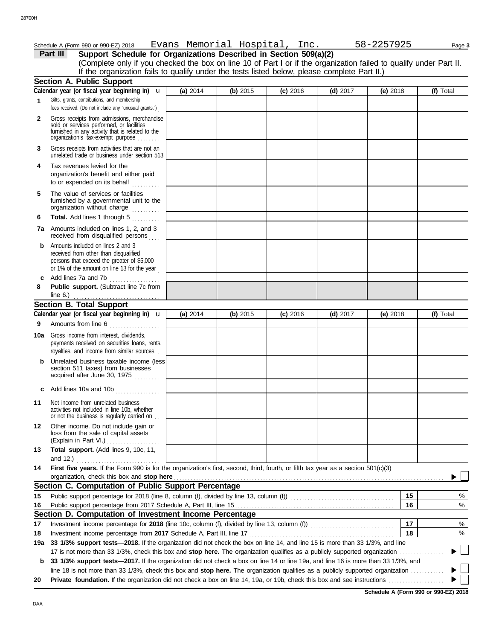| Schedule A (Form 990 or 990-EZ) 2018                                                                                                                                    |                                                                                                                                                                                                                                                                                                                              |                                                        |                                                                 |            |                                                                                 | Page 3                                                                                                                                                                                                                                                                                                                                                                                                                                                                                                                                 |
|-------------------------------------------------------------------------------------------------------------------------------------------------------------------------|------------------------------------------------------------------------------------------------------------------------------------------------------------------------------------------------------------------------------------------------------------------------------------------------------------------------------|--------------------------------------------------------|-----------------------------------------------------------------|------------|---------------------------------------------------------------------------------|----------------------------------------------------------------------------------------------------------------------------------------------------------------------------------------------------------------------------------------------------------------------------------------------------------------------------------------------------------------------------------------------------------------------------------------------------------------------------------------------------------------------------------------|
| Part III                                                                                                                                                                |                                                                                                                                                                                                                                                                                                                              |                                                        |                                                                 |            |                                                                                 |                                                                                                                                                                                                                                                                                                                                                                                                                                                                                                                                        |
|                                                                                                                                                                         |                                                                                                                                                                                                                                                                                                                              |                                                        |                                                                 |            |                                                                                 |                                                                                                                                                                                                                                                                                                                                                                                                                                                                                                                                        |
|                                                                                                                                                                         |                                                                                                                                                                                                                                                                                                                              |                                                        |                                                                 |            |                                                                                 |                                                                                                                                                                                                                                                                                                                                                                                                                                                                                                                                        |
|                                                                                                                                                                         |                                                                                                                                                                                                                                                                                                                              |                                                        |                                                                 |            |                                                                                 | (f) Total                                                                                                                                                                                                                                                                                                                                                                                                                                                                                                                              |
|                                                                                                                                                                         |                                                                                                                                                                                                                                                                                                                              |                                                        |                                                                 |            |                                                                                 |                                                                                                                                                                                                                                                                                                                                                                                                                                                                                                                                        |
| fees received. (Do not include any "unusual grants.")                                                                                                                   |                                                                                                                                                                                                                                                                                                                              |                                                        |                                                                 |            |                                                                                 |                                                                                                                                                                                                                                                                                                                                                                                                                                                                                                                                        |
| Gross receipts from admissions, merchandise<br>sold or services performed, or facilities<br>furnished in any activity that is related to the                            |                                                                                                                                                                                                                                                                                                                              |                                                        |                                                                 |            |                                                                                 |                                                                                                                                                                                                                                                                                                                                                                                                                                                                                                                                        |
| Gross receipts from activities that are not an<br>unrelated trade or business under section 513                                                                         |                                                                                                                                                                                                                                                                                                                              |                                                        |                                                                 |            |                                                                                 |                                                                                                                                                                                                                                                                                                                                                                                                                                                                                                                                        |
| Tax revenues levied for the<br>organization's benefit and either paid<br>to or expended on its behalf                                                                   |                                                                                                                                                                                                                                                                                                                              |                                                        |                                                                 |            |                                                                                 |                                                                                                                                                                                                                                                                                                                                                                                                                                                                                                                                        |
| The value of services or facilities<br>furnished by a governmental unit to the<br>organization without charge www.com                                                   |                                                                                                                                                                                                                                                                                                                              |                                                        |                                                                 |            |                                                                                 |                                                                                                                                                                                                                                                                                                                                                                                                                                                                                                                                        |
|                                                                                                                                                                         |                                                                                                                                                                                                                                                                                                                              |                                                        |                                                                 |            |                                                                                 |                                                                                                                                                                                                                                                                                                                                                                                                                                                                                                                                        |
| 7a Amounts included on lines 1, 2, and 3<br>received from disqualified persons                                                                                          |                                                                                                                                                                                                                                                                                                                              |                                                        |                                                                 |            |                                                                                 |                                                                                                                                                                                                                                                                                                                                                                                                                                                                                                                                        |
| Amounts included on lines 2 and 3<br>received from other than disqualified<br>persons that exceed the greater of \$5,000<br>or 1% of the amount on line 13 for the year |                                                                                                                                                                                                                                                                                                                              |                                                        |                                                                 |            |                                                                                 |                                                                                                                                                                                                                                                                                                                                                                                                                                                                                                                                        |
| Add lines 7a and 7b<br>.                                                                                                                                                |                                                                                                                                                                                                                                                                                                                              |                                                        |                                                                 |            |                                                                                 |                                                                                                                                                                                                                                                                                                                                                                                                                                                                                                                                        |
| Public support. (Subtract line 7c from                                                                                                                                  |                                                                                                                                                                                                                                                                                                                              |                                                        |                                                                 |            |                                                                                 |                                                                                                                                                                                                                                                                                                                                                                                                                                                                                                                                        |
| <b>Section B. Total Support</b>                                                                                                                                         |                                                                                                                                                                                                                                                                                                                              |                                                        |                                                                 |            |                                                                                 |                                                                                                                                                                                                                                                                                                                                                                                                                                                                                                                                        |
|                                                                                                                                                                         | (a) 2014                                                                                                                                                                                                                                                                                                                     | (b) $2015$                                             | $(c)$ 2016                                                      | $(d)$ 2017 | (e) $2018$                                                                      | (f) Total                                                                                                                                                                                                                                                                                                                                                                                                                                                                                                                              |
|                                                                                                                                                                         |                                                                                                                                                                                                                                                                                                                              |                                                        |                                                                 |            |                                                                                 |                                                                                                                                                                                                                                                                                                                                                                                                                                                                                                                                        |
| Gross income from interest, dividends,<br>10a<br>payments received on securities loans, rents,<br>royalties, and income from similar sources.                           |                                                                                                                                                                                                                                                                                                                              |                                                        |                                                                 |            |                                                                                 |                                                                                                                                                                                                                                                                                                                                                                                                                                                                                                                                        |
| Unrelated business taxable income (less<br>section 511 taxes) from businesses<br>acquired after June 30, 1975                                                           |                                                                                                                                                                                                                                                                                                                              |                                                        |                                                                 |            |                                                                                 |                                                                                                                                                                                                                                                                                                                                                                                                                                                                                                                                        |
| Add lines 10a and 10b                                                                                                                                                   |                                                                                                                                                                                                                                                                                                                              |                                                        |                                                                 |            |                                                                                 |                                                                                                                                                                                                                                                                                                                                                                                                                                                                                                                                        |
| Net income from unrelated business<br>activities not included in line 10b, whether<br>or not the business is regularly carried on                                       |                                                                                                                                                                                                                                                                                                                              |                                                        |                                                                 |            |                                                                                 |                                                                                                                                                                                                                                                                                                                                                                                                                                                                                                                                        |
| Other income. Do not include gain or<br>loss from the sale of capital assets<br>(Explain in Part VI.)                                                                   |                                                                                                                                                                                                                                                                                                                              |                                                        |                                                                 |            |                                                                                 |                                                                                                                                                                                                                                                                                                                                                                                                                                                                                                                                        |
| Total support. (Add lines 9, 10c, 11,<br>and $12.$ )                                                                                                                    |                                                                                                                                                                                                                                                                                                                              |                                                        |                                                                 |            |                                                                                 |                                                                                                                                                                                                                                                                                                                                                                                                                                                                                                                                        |
|                                                                                                                                                                         |                                                                                                                                                                                                                                                                                                                              |                                                        |                                                                 |            |                                                                                 |                                                                                                                                                                                                                                                                                                                                                                                                                                                                                                                                        |
|                                                                                                                                                                         |                                                                                                                                                                                                                                                                                                                              |                                                        |                                                                 |            |                                                                                 |                                                                                                                                                                                                                                                                                                                                                                                                                                                                                                                                        |
|                                                                                                                                                                         |                                                                                                                                                                                                                                                                                                                              |                                                        |                                                                 |            | 15                                                                              | %                                                                                                                                                                                                                                                                                                                                                                                                                                                                                                                                      |
|                                                                                                                                                                         |                                                                                                                                                                                                                                                                                                                              |                                                        |                                                                 |            | 16                                                                              | %                                                                                                                                                                                                                                                                                                                                                                                                                                                                                                                                      |
|                                                                                                                                                                         | <b>Section A. Public Support</b><br>Calendar year (or fiscal year beginning in) $\mathbf u$<br>Gifts, grants, contributions, and membership<br>organization's fax-exempt purpose<br>Total. Add lines 1 through 5<br>line 6.) $\ldots$<br>Calendar year (or fiscal year beginning in) $\mathbf u$<br>Amounts from line 6<br>. | (a) 2014<br>organization, check this box and stop here | (b) 2015<br>Section C. Computation of Public Support Percentage | $(c)$ 2016 | Support Schedule for Organizations Described in Section 509(a)(2)<br>$(d)$ 2017 | Evans Memorial Hospital, Inc.<br>58-2257925<br>(Complete only if you checked the box on line 10 of Part I or if the organization failed to qualify under Part II.<br>If the organization fails to qualify under the tests listed below, please complete Part II.)<br>(e) $2018$<br>First five years. If the Form 990 is for the organization's first, second, third, fourth, or fifth tax year as a section 501(c)(3)<br>Public support percentage for 2018 (line 8, column (f), divided by line 13, column (f)) [[[[[[[[[[[[[[[[[[[[[ |

## **Section D. Computation of Investment Income Percentage**

**18** Investment income percentage for **2018** (line 10c, column (f), divided by line 13, column (f)) . . . . . . . . . . . . . . . . . . . . . . . . . . . . . . **17** Investment income percentage from **2017** Schedule A, Part III, line 17 . . . . . . . . . . . . . . . . . . . . . . . . . . . . . . . . . . . . . . . . . . . . . . . . . . . .

**19a 33 1/3% support tests—2018.** If the organization did not check the box on line 14, and line 15 is more than 33 1/3%, and line 17 is not more than 33 1/3%, check this box and **stop here.** The organization qualifies as a publicly supported organization . . . . . . . . . . . . . . . . ь

**b 33 1/3% support tests—2017.** If the organization did not check a box on line 14 or line 19a, and line 16 is more than 33 1/3%, and line 18 is not more than 33 1/3%, check this box and stop here. The organization qualifies as a publicly supported organization ........... Þ

**20 Private foundation.** If the organization did not check a box on line 14, 19a, or 19b, check this box and see instructions . . . . . . . . . . . . . . . . . . . .

**17 18** % %

 $\Box$ 

▶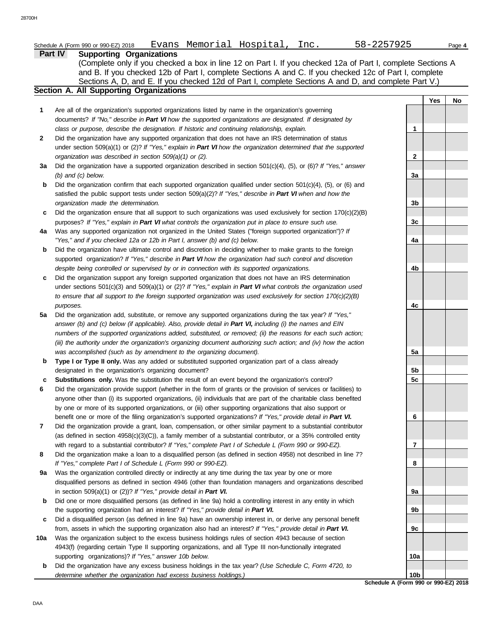| Schedule A (Form 990 or 990-EZ) 2018 | Evans | Memorial | Hospital | $\sim$<br>⊥nc | へへに<br>ソムラ<br>$\lambda$ , $\lambda$ , $\lambda$ | Page 4 |
|--------------------------------------|-------|----------|----------|---------------|-------------------------------------------------|--------|
|                                      |       |          |          |               |                                                 |        |

|              | Schedule A (Form 990 or 990-EZ) 2018<br>Evans Memorial Hospital, Inc.                                                    | 58-2257925     |     | Page 4 |
|--------------|--------------------------------------------------------------------------------------------------------------------------|----------------|-----|--------|
|              | Part IV<br><b>Supporting Organizations</b>                                                                               |                |     |        |
|              | (Complete only if you checked a box in line 12 on Part I. If you checked 12a of Part I, complete Sections A              |                |     |        |
|              | and B. If you checked 12b of Part I, complete Sections A and C. If you checked 12c of Part I, complete                   |                |     |        |
|              | Sections A, D, and E. If you checked 12d of Part I, complete Sections A and D, and complete Part V.)                     |                |     |        |
|              | Section A. All Supporting Organizations                                                                                  |                |     |        |
|              |                                                                                                                          |                | Yes | No     |
| 1            | Are all of the organization's supported organizations listed by name in the organization's governing                     |                |     |        |
|              | documents? If "No," describe in Part VI how the supported organizations are designated. If designated by                 |                |     |        |
|              | class or purpose, describe the designation. If historic and continuing relationship, explain.                            | 1              |     |        |
| $\mathbf{2}$ | Did the organization have any supported organization that does not have an IRS determination of status                   |                |     |        |
|              | under section 509(a)(1) or (2)? If "Yes," explain in Part VI how the organization determined that the supported          |                |     |        |
|              | organization was described in section 509(a)(1) or (2).                                                                  | 2              |     |        |
| За           | Did the organization have a supported organization described in section 501(c)(4), (5), or (6)? If "Yes," answer         |                |     |        |
|              | $(b)$ and $(c)$ below.                                                                                                   | 3a             |     |        |
| b            | Did the organization confirm that each supported organization qualified under section $501(c)(4)$ , $(5)$ , or $(6)$ and |                |     |        |
|              | satisfied the public support tests under section 509(a)(2)? If "Yes," describe in Part VI when and how the               |                |     |        |
|              | organization made the determination.                                                                                     | 3 <sub>b</sub> |     |        |
| c            | Did the organization ensure that all support to such organizations was used exclusively for section $170(c)(2)(B)$       |                |     |        |
|              | purposes? If "Yes," explain in Part VI what controls the organization put in place to ensure such use.                   | 3c             |     |        |
| 4a           | Was any supported organization not organized in the United States ("foreign supported organization")? If                 |                |     |        |
|              | "Yes," and if you checked 12a or 12b in Part I, answer (b) and (c) below.                                                | 4a             |     |        |
| b            | Did the organization have ultimate control and discretion in deciding whether to make grants to the foreign              |                |     |        |
|              | supported organization? If "Yes," describe in Part VI how the organization had such control and discretion               |                |     |        |
|              | despite being controlled or supervised by or in connection with its supported organizations.                             | 4b             |     |        |
| c            | Did the organization support any foreign supported organization that does not have an IRS determination                  |                |     |        |
|              | under sections $501(c)(3)$ and $509(a)(1)$ or $(2)?$ If "Yes," explain in Part VI what controls the organization used    |                |     |        |
|              | to ensure that all support to the foreign supported organization was used exclusively for section $170(c)(2)(B)$         |                |     |        |
|              | purposes.                                                                                                                | 4с             |     |        |
| 5a           | Did the organization add, substitute, or remove any supported organizations during the tax year? If "Yes,"               |                |     |        |
|              | answer (b) and (c) below (if applicable). Also, provide detail in Part VI, including (i) the names and EIN               |                |     |        |
|              | numbers of the supported organizations added, substituted, or removed; (ii) the reasons for each such action;            |                |     |        |
|              | (iii) the authority under the organization's organizing document authorizing such action; and (iv) how the action        |                |     |        |
|              | was accomplished (such as by amendment to the organizing document).                                                      | 5a             |     |        |
| b            | Type I or Type II only. Was any added or substituted supported organization part of a class already                      |                |     |        |
|              | designated in the organization's organizing document?                                                                    | 5b             |     |        |
|              | Substitutions only. Was the substitution the result of an event beyond the organization's control?                       | 5c             |     |        |
| 6            | Did the organization provide support (whether in the form of grants or the provision of services or facilities) to       |                |     |        |
|              | anyone other than (i) its supported organizations, (ii) individuals that are part of the charitable class benefited      |                |     |        |
|              | by one or more of its supported organizations, or (iii) other supporting organizations that also support or              |                |     |        |
|              | benefit one or more of the filing organization's supported organizations? If "Yes," provide detail in Part VI.           | 6              |     |        |
| 7            | Did the organization provide a grant, loan, compensation, or other similar payment to a substantial contributor          |                |     |        |
|              | (as defined in section $4958(c)(3)(C)$ ), a family member of a substantial contributor, or a 35% controlled entity       |                |     |        |
|              | with regard to a substantial contributor? If "Yes," complete Part I of Schedule L (Form 990 or 990-EZ).                  | 7              |     |        |
| 8            | Did the organization make a loan to a disqualified person (as defined in section 4958) not described in line 7?          |                |     |        |
|              | If "Yes," complete Part I of Schedule L (Form 990 or 990-EZ).                                                            | 8              |     |        |
|              |                                                                                                                          |                |     |        |
| 9а           | Was the organization controlled directly or indirectly at any time during the tax year by one or more                    |                |     |        |
|              | disqualified persons as defined in section 4946 (other than foundation managers and organizations described              |                |     |        |
|              | in section 509(a)(1) or (2))? If "Yes," provide detail in Part VI.                                                       | 9а             |     |        |
| b            | Did one or more disqualified persons (as defined in line 9a) hold a controlling interest in any entity in which          |                |     |        |
|              | the supporting organization had an interest? If "Yes," provide detail in Part VI.                                        | 9b             |     |        |
| c            | Did a disqualified person (as defined in line 9a) have an ownership interest in, or derive any personal benefit          |                |     |        |
|              | from, assets in which the supporting organization also had an interest? If "Yes," provide detail in Part VI.             | 9c             |     |        |
| 10a          | Was the organization subject to the excess business holdings rules of section 4943 because of section                    |                |     |        |
|              | 4943(f) (regarding certain Type II supporting organizations, and all Type III non-functionally integrated                |                |     |        |
|              | supporting organizations)? If "Yes," answer 10b below.                                                                   | 10a            |     |        |
| b            | Did the organization have any excess business holdings in the tax year? (Use Schedule C, Form 4720, to                   |                |     |        |
|              | determine whether the organization had excess business holdings.)                                                        | 10b            |     |        |

**Schedule A (Form 990 or 990-EZ) 2018**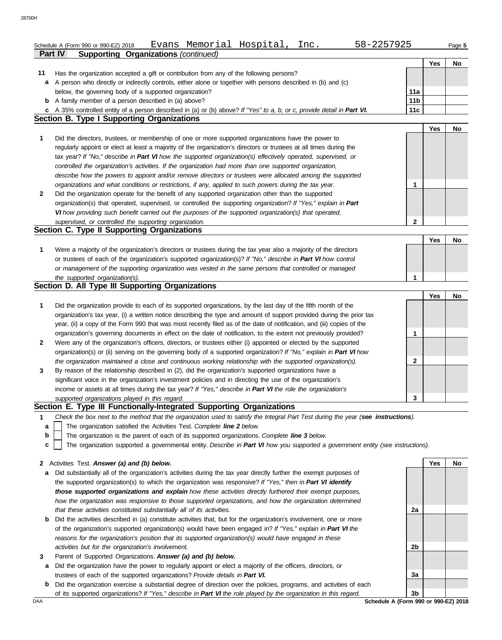|                                                                                                                                      |                 | Yes | No |
|--------------------------------------------------------------------------------------------------------------------------------------|-----------------|-----|----|
| 11<br>Has the organization accepted a gift or contribution from any of the following persons?                                        |                 |     |    |
| A person who directly or indirectly controls, either alone or together with persons described in (b) and (c)<br>a                    |                 |     |    |
| below, the governing body of a supported organization?                                                                               | 11a             |     |    |
| <b>b</b> A family member of a person described in (a) above?                                                                         | 11 <sub>b</sub> |     |    |
| c A 35% controlled entity of a person described in (a) or (b) above? If "Yes" to a, b, or c, provide detail in Part VI.              | 11c             |     |    |
| Section B. Type I Supporting Organizations                                                                                           |                 |     |    |
|                                                                                                                                      |                 | Yes | No |
| Did the directors, trustees, or membership of one or more supported organizations have the power to                                  |                 |     |    |
| regularly appoint or elect at least a majority of the organization's directors or trustees at all times during the                   |                 |     |    |
| tax year? If "No," describe in Part VI how the supported organization(s) effectively operated, supervised, or                        |                 |     |    |
| controlled the organization's activities. If the organization had more than one supported organization,                              |                 |     |    |
| describe how the powers to appoint and/or remove directors or trustees were allocated among the supported                            |                 |     |    |
| organizations and what conditions or restrictions, if any, applied to such powers during the tax year.                               | 1               |     |    |
| Did the organization operate for the benefit of any supported organization other than the supported                                  |                 |     |    |
| organization(s) that operated, supervised, or controlled the supporting organization? If "Yes," explain in Part                      |                 |     |    |
| VI how providing such benefit carried out the purposes of the supported organization(s) that operated,                               |                 |     |    |
| supervised, or controlled the supporting organization.                                                                               | 2               |     |    |
| <b>Section C. Type II Supporting Organizations</b>                                                                                   |                 |     |    |
|                                                                                                                                      |                 | Yes | No |
| Were a majority of the organization's directors or trustees during the tax year also a majority of the directors                     |                 |     |    |
| or trustees of each of the organization's supported organization(s)? If "No," describe in Part VI how control                        |                 |     |    |
| or management of the supporting organization was vested in the same persons that controlled or managed                               |                 |     |    |
| the supported organization(s).                                                                                                       | 1               |     |    |
| Section D. All Type III Supporting Organizations                                                                                     |                 |     |    |
|                                                                                                                                      |                 | Yes | No |
| Did the organization provide to each of its supported organizations, by the last day of the fifth month of the                       |                 |     |    |
| organization's tax year, (i) a written notice describing the type and amount of support provided during the prior tax                |                 |     |    |
| year, (ii) a copy of the Form 990 that was most recently filed as of the date of notification, and (iii) copies of the               |                 |     |    |
| organization's governing documents in effect on the date of notification, to the extent not previously provided?                     | 1               |     |    |
| Were any of the organization's officers, directors, or trustees either (i) appointed or elected by the supported                     |                 |     |    |
| organization(s) or (ii) serving on the governing body of a supported organization? If "No," explain in Part VI how                   |                 |     |    |
| the organization maintained a close and continuous working relationship with the supported organization(s).                          | 2               |     |    |
| By reason of the relationship described in (2), did the organization's supported organizations have a                                |                 |     |    |
| significant voice in the organization's investment policies and in directing the use of the organization's                           |                 |     |    |
| income or assets at all times during the tax year? If "Yes," describe in Part VI the role the organization's                         |                 |     |    |
| supported organizations played in this regard.                                                                                       | 3               |     |    |
| Section E. Type III Functionally-Integrated Supporting Organizations                                                                 |                 |     |    |
| Check the box next to the method that the organization used to satisfy the Integral Part Test during the year (see instructions).    |                 |     |    |
| The organization satisfied the Activities Test. Complete line 2 below.<br>а                                                          |                 |     |    |
| b<br>The organization is the parent of each of its supported organizations. Complete line 3 below.                                   |                 |     |    |
| The organization supported a governmental entity. Describe in Part VI how you supported a government entity (see instructions).<br>c |                 |     |    |
|                                                                                                                                      |                 |     |    |
|                                                                                                                                      |                 |     |    |
| 2 Activities Test. Answer (a) and (b) below.                                                                                         |                 | Yes | No |

- the supported organization(s) to which the organization was responsive? *If "Yes," then in Part VI identify those supported organizations and explain how these activities directly furthered their exempt purposes, how the organization was responsive to those supported organizations, and how the organization determined that these activities constituted substantially all of its activities.*
- **b** Did the activities described in (a) constitute activities that, but for the organization's involvement, one or more of the organization's supported organization(s) would have been engaged in? *If "Yes," explain in Part VI the reasons for the organization's position that its supported organization(s) would have engaged in these activities but for the organization's involvement.*
- **3** Parent of Supported Organizations. *Answer (a) and (b) below.*
- **a** Did the organization have the power to regularly appoint or elect a majority of the officers, directors, or trustees of each of the supported organizations? *Provide details in Part VI.*
- **b** Did the organization exercise a substantial degree of direction over the policies, programs, and activities of each of its supported organizations? *If "Yes," describe in Part VI the role played by the organization in this regard.*



DAA **Schedule A (Form 990 or 990-EZ) 2018**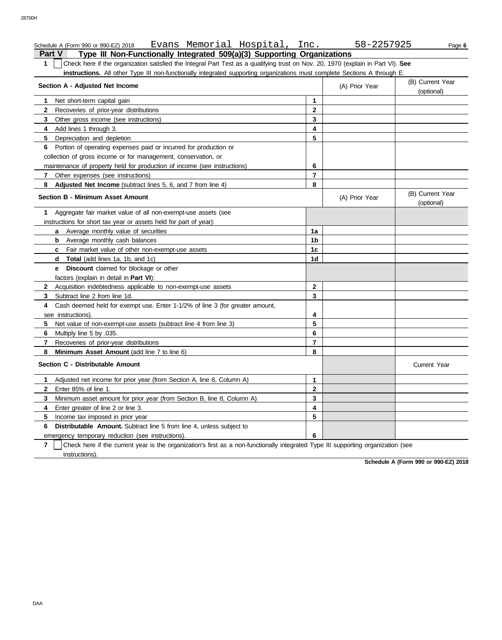## **Part V Type III Non-Functionally Integrated 509(a)(3) Supporting Organizations** Schedule A (Form 990 or 990-EZ) 2018 Evans Memorial Hospital, Inc. 58-2257925 Page **6**

**1** Check here if the organization satisfied the Integral Part Test as a qualifying trust on Nov. 20, 1970 (explain in Part VI). **See instructions.** All other Type III non-functionally integrated supporting organizations must complete Sections A through E.

| Section A - Adjusted Net Income                                                                                                                     | (A) Prior Year | (B) Current Year<br>(optional) |                                |
|-----------------------------------------------------------------------------------------------------------------------------------------------------|----------------|--------------------------------|--------------------------------|
| 1<br>Net short-term capital gain                                                                                                                    | 1              |                                |                                |
| $\mathbf{2}$<br>Recoveries of prior-year distributions                                                                                              | $\mathbf{2}$   |                                |                                |
| 3<br>Other gross income (see instructions)                                                                                                          | 3              |                                |                                |
| 4<br>Add lines 1 through 3.                                                                                                                         | 4              |                                |                                |
| 5<br>Depreciation and depletion                                                                                                                     | 5              |                                |                                |
| Portion of operating expenses paid or incurred for production or<br>6                                                                               |                |                                |                                |
| collection of gross income or for management, conservation, or                                                                                      |                |                                |                                |
| maintenance of property held for production of income (see instructions)                                                                            | 6              |                                |                                |
| Other expenses (see instructions)<br>7                                                                                                              | $\overline{7}$ |                                |                                |
| 8<br>Adjusted Net Income (subtract lines 5, 6, and 7 from line 4)                                                                                   | 8              |                                |                                |
| <b>Section B - Minimum Asset Amount</b>                                                                                                             |                | (A) Prior Year                 | (B) Current Year<br>(optional) |
| Aggregate fair market value of all non-exempt-use assets (see<br>1                                                                                  |                |                                |                                |
| instructions for short tax year or assets held for part of year):                                                                                   |                |                                |                                |
| <b>a</b> Average monthly value of securities                                                                                                        | 1a             |                                |                                |
| <b>b</b> Average monthly cash balances                                                                                                              | 1 <sub>b</sub> |                                |                                |
| <b>c</b> Fair market value of other non-exempt-use assets                                                                                           | 1c             |                                |                                |
| <b>Total</b> (add lines 1a, 1b, and 1c)<br>d                                                                                                        | 1d             |                                |                                |
| e Discount claimed for blockage or other                                                                                                            |                |                                |                                |
| factors (explain in detail in <b>Part VI)</b> :                                                                                                     |                |                                |                                |
| $\mathbf{2}$<br>Acquisition indebtedness applicable to non-exempt-use assets                                                                        | $\mathbf{2}$   |                                |                                |
| 3<br>Subtract line 2 from line 1d.                                                                                                                  | 3              |                                |                                |
| Cash deemed held for exempt use. Enter 1-1/2% of line 3 (for greater amount,<br>4                                                                   |                |                                |                                |
| see instructions).                                                                                                                                  | 4              |                                |                                |
| 5<br>Net value of non-exempt-use assets (subtract line 4 from line 3)                                                                               | 5              |                                |                                |
| 6<br>Multiply line 5 by .035.                                                                                                                       | 6              |                                |                                |
| $\overline{7}$<br>Recoveries of prior-year distributions                                                                                            | $\overline{7}$ |                                |                                |
| 8<br>Minimum Asset Amount (add line 7 to line 6)                                                                                                    | 8              |                                |                                |
| Section C - Distributable Amount                                                                                                                    |                |                                | <b>Current Year</b>            |
| Adjusted net income for prior year (from Section A, line 8, Column A)<br>1                                                                          | $\mathbf{1}$   |                                |                                |
| $\mathbf{2}$<br>Enter 85% of line 1.                                                                                                                | $\mathbf{2}$   |                                |                                |
| Minimum asset amount for prior year (from Section B, line 8, Column A)<br>3                                                                         | 3              |                                |                                |
| Enter greater of line 2 or line 3.<br>4                                                                                                             | 4              |                                |                                |
| 5<br>Income tax imposed in prior year                                                                                                               | 5              |                                |                                |
| <b>Distributable Amount.</b> Subtract line 5 from line 4, unless subject to<br>6                                                                    |                |                                |                                |
| emergency temporary reduction (see instructions).                                                                                                   | 6              |                                |                                |
| $\overline{7}$<br>Check here if the current year is the organization's first as a non-functionally integrated Type III supporting organization (see |                |                                |                                |
| instructions).                                                                                                                                      |                |                                |                                |

**Schedule A (Form 990 or 990-EZ) 2018**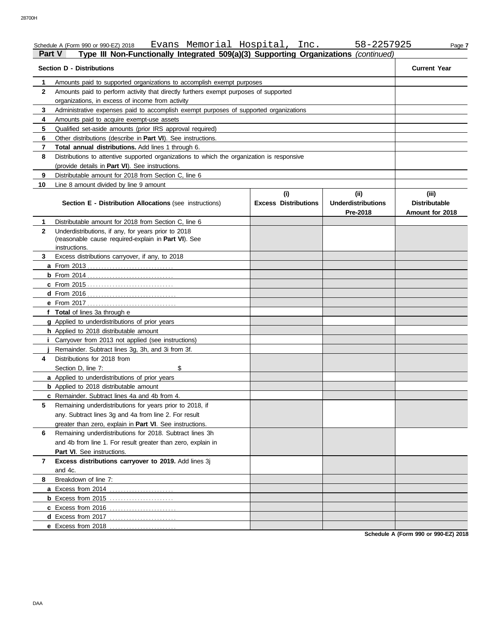| <b>Part V</b>  | Evans Memorial Hospital, Inc.<br>Schedule A (Form 990 or 990-EZ) 2018<br>Type III Non-Functionally Integrated 509(a)(3) Supporting Organizations (continued) |                             | 58-2257925                            | Page 7                                  |  |  |  |
|----------------|--------------------------------------------------------------------------------------------------------------------------------------------------------------|-----------------------------|---------------------------------------|-----------------------------------------|--|--|--|
|                | <b>Section D - Distributions</b>                                                                                                                             |                             |                                       | <b>Current Year</b>                     |  |  |  |
| 1              | Amounts paid to supported organizations to accomplish exempt purposes                                                                                        |                             |                                       |                                         |  |  |  |
| $\mathbf{2}$   | Amounts paid to perform activity that directly furthers exempt purposes of supported                                                                         |                             |                                       |                                         |  |  |  |
|                | organizations, in excess of income from activity                                                                                                             |                             |                                       |                                         |  |  |  |
| 3              | Administrative expenses paid to accomplish exempt purposes of supported organizations                                                                        |                             |                                       |                                         |  |  |  |
| 4              | Amounts paid to acquire exempt-use assets                                                                                                                    |                             |                                       |                                         |  |  |  |
| 5              | Qualified set-aside amounts (prior IRS approval required)                                                                                                    |                             |                                       |                                         |  |  |  |
| 6              | Other distributions (describe in Part VI). See instructions.                                                                                                 |                             |                                       |                                         |  |  |  |
| $\overline{7}$ | Total annual distributions. Add lines 1 through 6.                                                                                                           |                             |                                       |                                         |  |  |  |
| 8              | Distributions to attentive supported organizations to which the organization is responsive                                                                   |                             |                                       |                                         |  |  |  |
|                | (provide details in Part VI). See instructions.                                                                                                              |                             |                                       |                                         |  |  |  |
| 9              | Distributable amount for 2018 from Section C, line 6                                                                                                         |                             |                                       |                                         |  |  |  |
| 10             | Line 8 amount divided by line 9 amount                                                                                                                       |                             |                                       |                                         |  |  |  |
|                |                                                                                                                                                              | (i)                         | (ii)                                  | (iii)                                   |  |  |  |
|                | Section E - Distribution Allocations (see instructions)                                                                                                      | <b>Excess Distributions</b> | <b>Underdistributions</b><br>Pre-2018 | <b>Distributable</b><br>Amount for 2018 |  |  |  |
| 1              | Distributable amount for 2018 from Section C. line 6                                                                                                         |                             |                                       |                                         |  |  |  |
| 2              | Underdistributions, if any, for years prior to 2018                                                                                                          |                             |                                       |                                         |  |  |  |
|                | (reasonable cause required-explain in Part VI). See                                                                                                          |                             |                                       |                                         |  |  |  |
|                | instructions.                                                                                                                                                |                             |                                       |                                         |  |  |  |
| 3              | Excess distributions carryover, if any, to 2018                                                                                                              |                             |                                       |                                         |  |  |  |
|                |                                                                                                                                                              |                             |                                       |                                         |  |  |  |
|                |                                                                                                                                                              |                             |                                       |                                         |  |  |  |
|                | <b>c</b> From 2015                                                                                                                                           |                             |                                       |                                         |  |  |  |
|                |                                                                                                                                                              |                             |                                       |                                         |  |  |  |
|                |                                                                                                                                                              |                             |                                       |                                         |  |  |  |
|                | f Total of lines 3a through e                                                                                                                                |                             |                                       |                                         |  |  |  |
|                | g Applied to underdistributions of prior years                                                                                                               |                             |                                       |                                         |  |  |  |
|                | h Applied to 2018 distributable amount                                                                                                                       |                             |                                       |                                         |  |  |  |
|                | Carryover from 2013 not applied (see instructions)                                                                                                           |                             |                                       |                                         |  |  |  |
|                | Remainder. Subtract lines 3g, 3h, and 3i from 3f.                                                                                                            |                             |                                       |                                         |  |  |  |
| 4              | Distributions for 2018 from                                                                                                                                  |                             |                                       |                                         |  |  |  |
|                | \$<br>Section D, line 7:                                                                                                                                     |                             |                                       |                                         |  |  |  |
|                | a Applied to underdistributions of prior years                                                                                                               |                             |                                       |                                         |  |  |  |
|                | <b>b</b> Applied to 2018 distributable amount                                                                                                                |                             |                                       |                                         |  |  |  |
|                | c Remainder. Subtract lines 4a and 4b from 4.                                                                                                                |                             |                                       |                                         |  |  |  |
| 5              | Remaining underdistributions for years prior to 2018, if                                                                                                     |                             |                                       |                                         |  |  |  |
|                | any. Subtract lines 3g and 4a from line 2. For result                                                                                                        |                             |                                       |                                         |  |  |  |
|                | greater than zero, explain in Part VI. See instructions.                                                                                                     |                             |                                       |                                         |  |  |  |
| 6              | Remaining underdistributions for 2018. Subtract lines 3h                                                                                                     |                             |                                       |                                         |  |  |  |
|                | and 4b from line 1. For result greater than zero, explain in                                                                                                 |                             |                                       |                                         |  |  |  |
|                | Part VI. See instructions.                                                                                                                                   |                             |                                       |                                         |  |  |  |
| 7              | Excess distributions carryover to 2019. Add lines 3j                                                                                                         |                             |                                       |                                         |  |  |  |
|                | and 4c.                                                                                                                                                      |                             |                                       |                                         |  |  |  |
| 8              | Breakdown of line 7:                                                                                                                                         |                             |                                       |                                         |  |  |  |
|                | a Excess from 2014                                                                                                                                           |                             |                                       |                                         |  |  |  |
|                |                                                                                                                                                              |                             |                                       |                                         |  |  |  |
|                | c Excess from 2016<br>.                                                                                                                                      |                             |                                       |                                         |  |  |  |
|                | d Excess from 2017<br>.                                                                                                                                      |                             |                                       |                                         |  |  |  |
|                | e Excess from 2018                                                                                                                                           |                             |                                       |                                         |  |  |  |

**Schedule A (Form 990 or 990-EZ) 2018**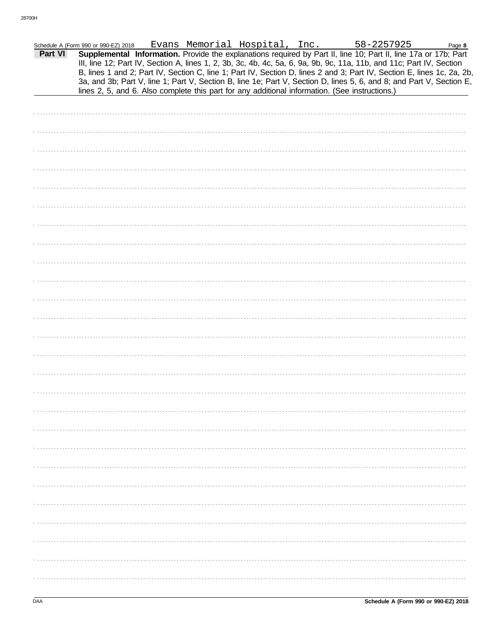|         | Schedule A (Form 990 or 990-EZ) 2018 |  | Evans Memorial Hospital, Inc.                                                                  | 58-2257925                                                                                                                                                                                                                                                                                                                                                        | Page 8 |
|---------|--------------------------------------|--|------------------------------------------------------------------------------------------------|-------------------------------------------------------------------------------------------------------------------------------------------------------------------------------------------------------------------------------------------------------------------------------------------------------------------------------------------------------------------|--------|
| Part VI |                                      |  |                                                                                                | Supplemental Information. Provide the explanations required by Part II, line 10; Part II, line 17a or 17b; Part<br>III, line 12; Part IV, Section A, lines 1, 2, 3b, 3c, 4b, 4c, 5a, 6, 9a, 9b, 9c, 11a, 11b, and 11c; Part IV, Section<br>B, lines 1 and 2; Part IV, Section C, line 1; Part IV, Section D, lines 2 and 3; Part IV, Section E, lines 1c, 2a, 2b, |        |
|         |                                      |  | lines 2, 5, and 6. Also complete this part for any additional information. (See instructions.) | 3a, and 3b; Part V, line 1; Part V, Section B, line 1e; Part V, Section D, lines 5, 6, and 8; and Part V, Section E,                                                                                                                                                                                                                                              |        |
|         |                                      |  |                                                                                                |                                                                                                                                                                                                                                                                                                                                                                   |        |
|         |                                      |  |                                                                                                |                                                                                                                                                                                                                                                                                                                                                                   |        |
|         |                                      |  |                                                                                                |                                                                                                                                                                                                                                                                                                                                                                   |        |
|         |                                      |  |                                                                                                |                                                                                                                                                                                                                                                                                                                                                                   |        |
|         |                                      |  |                                                                                                |                                                                                                                                                                                                                                                                                                                                                                   |        |
|         |                                      |  |                                                                                                |                                                                                                                                                                                                                                                                                                                                                                   |        |
|         |                                      |  |                                                                                                |                                                                                                                                                                                                                                                                                                                                                                   |        |
|         |                                      |  |                                                                                                |                                                                                                                                                                                                                                                                                                                                                                   |        |
|         |                                      |  |                                                                                                |                                                                                                                                                                                                                                                                                                                                                                   |        |
|         |                                      |  |                                                                                                |                                                                                                                                                                                                                                                                                                                                                                   |        |
|         |                                      |  |                                                                                                |                                                                                                                                                                                                                                                                                                                                                                   |        |
|         |                                      |  |                                                                                                |                                                                                                                                                                                                                                                                                                                                                                   |        |
|         |                                      |  |                                                                                                |                                                                                                                                                                                                                                                                                                                                                                   |        |
|         |                                      |  |                                                                                                |                                                                                                                                                                                                                                                                                                                                                                   |        |
|         |                                      |  |                                                                                                |                                                                                                                                                                                                                                                                                                                                                                   |        |
|         |                                      |  |                                                                                                |                                                                                                                                                                                                                                                                                                                                                                   |        |
|         |                                      |  |                                                                                                |                                                                                                                                                                                                                                                                                                                                                                   |        |
|         |                                      |  |                                                                                                |                                                                                                                                                                                                                                                                                                                                                                   |        |
|         |                                      |  |                                                                                                |                                                                                                                                                                                                                                                                                                                                                                   |        |
|         |                                      |  |                                                                                                |                                                                                                                                                                                                                                                                                                                                                                   |        |
|         |                                      |  |                                                                                                |                                                                                                                                                                                                                                                                                                                                                                   |        |
|         |                                      |  |                                                                                                |                                                                                                                                                                                                                                                                                                                                                                   |        |
|         |                                      |  |                                                                                                |                                                                                                                                                                                                                                                                                                                                                                   |        |
|         |                                      |  |                                                                                                |                                                                                                                                                                                                                                                                                                                                                                   |        |
|         |                                      |  |                                                                                                |                                                                                                                                                                                                                                                                                                                                                                   |        |
|         |                                      |  |                                                                                                |                                                                                                                                                                                                                                                                                                                                                                   |        |
|         |                                      |  |                                                                                                |                                                                                                                                                                                                                                                                                                                                                                   |        |
|         |                                      |  |                                                                                                |                                                                                                                                                                                                                                                                                                                                                                   |        |
|         |                                      |  |                                                                                                |                                                                                                                                                                                                                                                                                                                                                                   |        |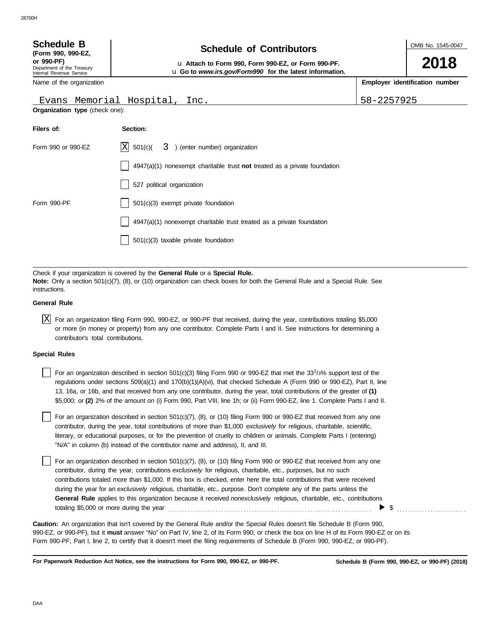| <b>Schedule B</b><br>(Form 990, 990-EZ,<br>or 990-PF)<br>Department of the Treasury<br>Internal Revenue Service | <b>Schedule of Contributors</b><br>u Attach to Form 990, Form 990-EZ, or Form 990-PF.<br>u Go to www.irs.gov/Form990 for the latest information. |            | OMB No. 1545-0047<br>2018      |
|-----------------------------------------------------------------------------------------------------------------|--------------------------------------------------------------------------------------------------------------------------------------------------|------------|--------------------------------|
| Name of the organization                                                                                        |                                                                                                                                                  |            | Employer identification number |
| Evans Memorial Hospital,                                                                                        | Inc.                                                                                                                                             | 58-2257925 |                                |
| <b>Organization type (check one):</b>                                                                           |                                                                                                                                                  |            |                                |
| Filers of:                                                                                                      | Section:                                                                                                                                         |            |                                |
| Form 990 or 990-EZ                                                                                              | X<br>501(c)(<br>) (enter number) organization<br>3.                                                                                              |            |                                |
|                                                                                                                 | $4947(a)(1)$ nonexempt charitable trust not treated as a private foundation                                                                      |            |                                |
|                                                                                                                 | 527 political organization                                                                                                                       |            |                                |

Check if your organization is covered by the **General Rule** or a **Special Rule. Note:** Only a section 501(c)(7), (8), or (10) organization can check boxes for both the General Rule and a Special Rule. See instructions.

501(c)(3) taxable private foundation

4947(a)(1) nonexempt charitable trust treated as a private foundation

Form 990-PF  $\Box$  501(c)(3) exempt private foundation

#### **General Rule**

 $\overline{X}$  For an organization filing Form 990, 990-EZ, or 990-PF that received, during the year, contributions totaling \$5,000 or more (in money or property) from any one contributor. Complete Parts I and II. See instructions for determining a contributor's total contributions.

#### **Special Rules**

For an organization described in section 501(c)(3) filing Form 990 or 990-EZ that met the 33<sup>1</sup>/3% support test of the regulations under sections 509(a)(1) and 170(b)(1)(A)(vi), that checked Schedule A (Form 990 or 990-EZ), Part II, line 13, 16a, or 16b, and that received from any one contributor, during the year, total contributions of the greater of **(1)** \$5,000; or **(2)** 2% of the amount on (i) Form 990, Part VIII, line 1h; or (ii) Form 990-EZ, line 1. Complete Parts I and II.

literary, or educational purposes, or for the prevention of cruelty to children or animals. Complete Parts I (entering) For an organization described in section  $501(c)(7)$ , (8), or (10) filing Form 990 or 990-EZ that received from any one contributor, during the year, total contributions of more than \$1,000 *exclusively* for religious, charitable, scientific, "N/A" in column (b) instead of the contributor name and address), II, and III.

For an organization described in section 501(c)(7), (8), or (10) filing Form 990 or 990-EZ that received from any one contributor, during the year, contributions *exclusively* for religious, charitable, etc., purposes, but no such contributions totaled more than \$1,000. If this box is checked, enter here the total contributions that were received during the year for an *exclusively* religious, charitable, etc., purpose. Don't complete any of the parts unless the **General Rule** applies to this organization because it received *nonexclusively* religious, charitable, etc., contributions totaling \$5,000 or more during the year . . . . . . . . . . . . . . . . . . . . . . . . . . . . . . . . . . . . . . . . . . . . . . . . . . . . . . . . . . . . . . . . . . . . . . . . .  $\triangleright$  \$

990-EZ, or 990-PF), but it **must** answer "No" on Part IV, line 2, of its Form 990; or check the box on line H of its Form 990-EZ or on its Form 990-PF, Part I, line 2, to certify that it doesn't meet the filing requirements of Schedule B (Form 990, 990-EZ, or 990-PF). **Caution:** An organization that isn't covered by the General Rule and/or the Special Rules doesn't file Schedule B (Form 990,

**For Paperwork Reduction Act Notice, see the instructions for Form 990, 990-EZ, or 990-PF.**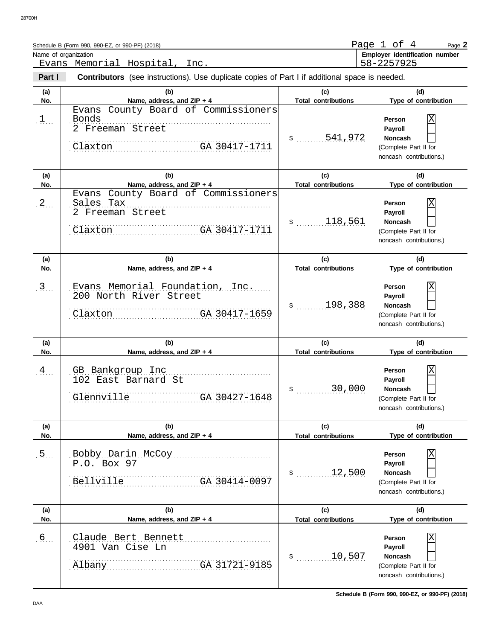| Schedule B (Form 990, 990-EZ, or 990-PF) (2018) | Page       | nt. | Page 2                                |
|-------------------------------------------------|------------|-----|---------------------------------------|
| Name of organization                            |            |     | <b>Employer identification number</b> |
| Evans Memorial Hospital                         | 58-2257925 |     |                                       |

| Part I       | <b>Contributors</b> (see instructions). Use duplicate copies of Part I if additional space is needed.                       |                                          |                                                                                                                                          |
|--------------|-----------------------------------------------------------------------------------------------------------------------------|------------------------------------------|------------------------------------------------------------------------------------------------------------------------------------------|
| (a)<br>No.   | (b)<br>Name, address, and ZIP + 4                                                                                           | (c)<br><b>Total contributions</b>        | (d)<br>Type of contribution                                                                                                              |
| $1$          | Evans County Board of Commissioners<br>Bonds<br>2 Freeman Street<br>Claxton GA 30417-1711                                   | \$300541,972                             | $\overline{\text{X}}$<br>Person<br>Payroll<br><b>Noncash</b><br>(Complete Part II for<br>noncash contributions.)                         |
| (a)          | (b)                                                                                                                         | (c)                                      | (d)                                                                                                                                      |
| No.<br>$2$ . | Name, address, and ZIP + 4<br>Evans County Board of Commissioners<br>Sales Tax<br>2 Freeman Street<br>Claxton GA 30417-1711 | <b>Total contributions</b><br>\$ 118,561 | Type of contribution<br>$\overline{\text{X}}$<br>Person<br>Payroll<br><b>Noncash</b><br>(Complete Part II for<br>noncash contributions.) |
| (a)<br>No.   | (b)<br>Name, address, and ZIP + 4                                                                                           | (c)<br><b>Total contributions</b>        | (d)<br>Type of contribution                                                                                                              |
| $3$          | Evans Memorial Foundation, Inc.<br>200 North River Street<br>Claxton GA 30417-1659                                          | \$ 198,388                               | $\overline{\text{X}}$<br>Person<br>Payroll<br><b>Noncash</b><br>(Complete Part II for<br>noncash contributions.)                         |
| (a)<br>No.   | (b)<br>Name, address, and ZIP + 4                                                                                           | (c)<br><b>Total contributions</b>        | (d)<br>Type of contribution                                                                                                              |
| $4 \ldots$   | GB Bankgroup Inc<br>102 East Barnard St                                                                                     | 30,000                                   | $\overline{X}$<br>Person<br>Payroll<br><b>Noncash</b>                                                                                    |
|              | Glennyille GA 30427-1648                                                                                                    | $\ddot{\text{S}}$                        | (Complete Part II for<br>noncash contributions.)                                                                                         |
| (a)<br>No.   | (b)<br>Name, address, and ZIP + 4                                                                                           | (c)<br><b>Total contributions</b>        | (d)<br>Type of contribution                                                                                                              |
| $5$ .        | Bobby Darin McCoy<br>P.O. Box 97<br>Bellville<br>GA 30414-0097                                                              | 12,500<br>$\frac{1}{2}$                  | X<br>Person<br>Payroll<br>Noncash<br>(Complete Part II for<br>noncash contributions.)                                                    |
| (a)<br>No.   | (b)<br>Name, address, and ZIP + 4                                                                                           | (c)<br><b>Total contributions</b>        | (d)<br>Type of contribution                                                                                                              |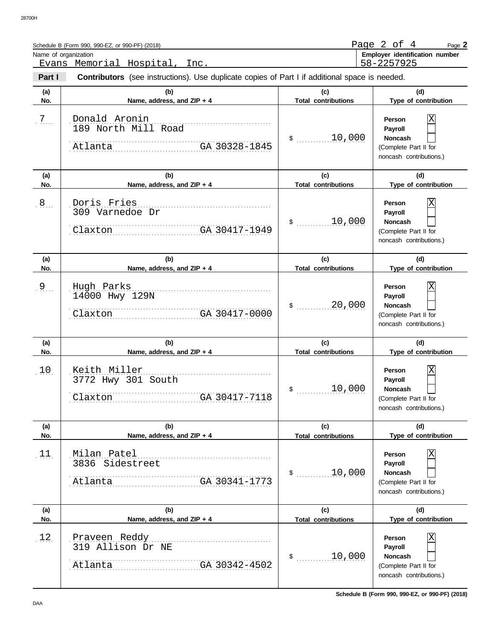|            | Schedule B (Form 990, 990-EZ, or 990-PF) (2018)                                                       |                                   | Page $2$ of $4$<br>Page 2                                                                      |
|------------|-------------------------------------------------------------------------------------------------------|-----------------------------------|------------------------------------------------------------------------------------------------|
|            | Name of organization<br>Evans Memorial Hospital,<br>Inc.                                              |                                   | Employer identification number<br>58-2257925                                                   |
| Part I     | <b>Contributors</b> (see instructions). Use duplicate copies of Part I if additional space is needed. |                                   |                                                                                                |
| (a)<br>No. | (b)<br>Name, address, and ZIP + 4                                                                     | (C)<br><b>Total contributions</b> | (d)<br>Type of contribution                                                                    |
| $7\ldots$  | Donald Aronin<br>189 North Mill Road<br>Atlanta GA 30328-1845                                         | 10,000<br>$\ddot{\textbf{S}}$     | Person<br>Payroll<br><b>Noncash</b><br>(Complete Part II for<br>noncash contributions.)        |
| (a)<br>No. | (b)<br>Name, address, and ZIP + 4                                                                     | (c)<br><b>Total contributions</b> | (d)<br>Type of contribution                                                                    |
| $8$ .      | Doris Fries<br>309 Varnedoe Dr<br>Claxton GA 30417-1949                                               | 10,000<br>$\mathsf{\$}$           | Person<br>Payroll<br><b>Noncash</b><br>(Complete Part II for<br>noncash contributions.)        |
| (a)<br>No. | (b)<br>Name, address, and ZIP + 4                                                                     | (c)<br><b>Total contributions</b> | (d)<br>Type of contribution                                                                    |
| $9\ldots$  | Hugh Parks<br>14000 Hwy 129N<br>Claxton GA 30417-0000                                                 | 20,000<br>$\ddot{\textbf{S}}$     | <b>Person</b><br>Payroll<br><b>Noncash</b><br>(Complete Part II for<br>noncash contributions.) |
| (a)<br>No. | (b)<br>Name, address, and ZIP + 4                                                                     | (c)<br><b>Total contributions</b> | (d)<br>Type of contribution                                                                    |
| 10.        | Keith Miller<br>3772 Hwy 301 South<br>GA 30417-7118<br>Claxton                                        | 10,000                            | Χ<br>Person<br>Payroll<br>Noncash<br>(Complete Part II for<br>noncash contributions.)          |
| (a)<br>No. | (b)<br>Name, address, and ZIP + 4                                                                     | (c)<br><b>Total contributions</b> | (d)<br>Type of contribution                                                                    |
| 11.        | Milan Patel<br>3836 Sidestreet<br>GA 30341-1773<br>Atlanta                                            | $$$ 10,000                        | Χ<br>Person<br>Payroll<br><b>Noncash</b><br>(Complete Part II for<br>noncash contributions.)   |
| (a)<br>No. | (b)<br>Name, address, and ZIP + 4                                                                     | (c)<br><b>Total contributions</b> | (d)<br>Type of contribution                                                                    |
| 12.        | Praveen Reddy<br>319 Allison Dr NE<br>GA 30342-4502<br>Atlanta                                        | $$$ 10,000                        | Χ<br>Person<br>Payroll<br><b>Noncash</b><br>(Complete Part II for<br>noncash contributions.)   |

**Schedule B (Form 990, 990-EZ, or 990-PF) (2018)**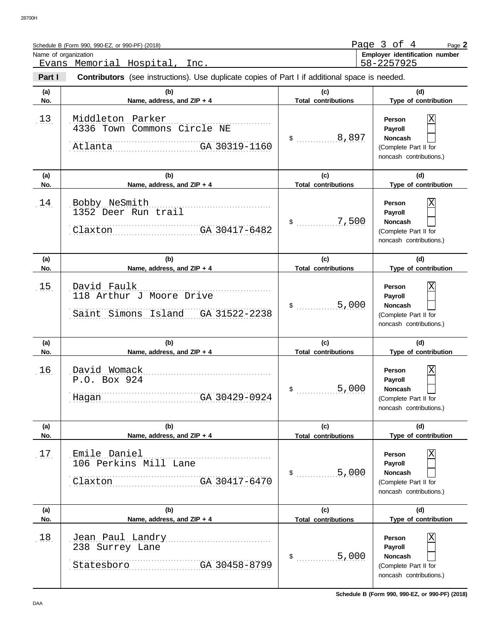|            | Schedule B (Form 990, 990-EZ, or 990-PF) (2018)                                                       |                                    | Page $3$ of $4$<br>Page 2                                                                      |
|------------|-------------------------------------------------------------------------------------------------------|------------------------------------|------------------------------------------------------------------------------------------------|
|            | Name of organization<br>Evans Memorial Hospital,<br>Inc.                                              |                                    | Employer identification number<br>58-2257925                                                   |
| Part I     | <b>Contributors</b> (see instructions). Use duplicate copies of Part I if additional space is needed. |                                    |                                                                                                |
| (a)<br>No. | (b)<br>Name, address, and ZIP + 4                                                                     | (c)<br><b>Total contributions</b>  | (d)<br>Type of contribution                                                                    |
| 13.        | Middleton Parker<br>4336 Town Commons Circle NE<br>Atlanta GA 30319-1160                              | \$ 8,897                           | <b>Person</b><br>Payroll<br><b>Noncash</b><br>(Complete Part II for<br>noncash contributions.) |
| (a)<br>No. | (b)<br>Name, address, and ZIP + 4                                                                     | (c)<br><b>Total contributions</b>  | (d)<br>Type of contribution                                                                    |
| 14.        | Bobby NeSmith<br>1352 Deer Run trail<br>Claxton GA 30417-6482                                         | $\ldots \ldots \ldots 7,500$<br>\$ | <b>Person</b><br>Payroll<br><b>Noncash</b><br>(Complete Part II for<br>noncash contributions.) |
| (a)<br>No. | (b)<br>Name, address, and ZIP + 4                                                                     | (c)<br><b>Total contributions</b>  | (d)<br>Type of contribution                                                                    |
| 15.        | David Faulk<br>118 Arthur J Moore Drive<br>Saint Simons Island GA 31522-2238                          | $\ldots \ldots \ldots 5,000$<br>\$ | <b>Person</b><br>Payroll<br><b>Noncash</b><br>(Complete Part II for<br>noncash contributions.) |
| (a)<br>No. | (b)<br>Name, address, and ZIP + 4                                                                     | (c)<br><b>Total contributions</b>  | (d)<br>Type of contribution                                                                    |
| 16.        | David Womack<br>P.O. Box 924<br>GA 30429-0924<br>Hagan                                                | 5,000                              | Χ<br>Person<br>Payroll<br><b>Noncash</b><br>(Complete Part II for<br>noncash contributions.)   |
| (a)<br>No. | (b)<br>Name, address, and ZIP + 4                                                                     | (c)<br><b>Total contributions</b>  | (d)<br>Type of contribution                                                                    |
| 1.7.       | Emile Daniel<br>106 Perkins Mill Lane<br>Claxton GA 30417-6470                                        | 5,000<br>$\mathsf{\$}$             | Χ<br>Person<br>Payroll<br><b>Noncash</b><br>(Complete Part II for<br>noncash contributions.)   |
| (a)<br>No. | (b)<br>Name, address, and ZIP + 4                                                                     | (c)<br><b>Total contributions</b>  | (d)<br>Type of contribution                                                                    |
| 18.        | Jean Paul Landry<br>238 Surrey Lane<br>Statesboro GA 30458-8799                                       |                                    | Χ<br>Person<br>Payroll<br><b>Noncash</b><br>(Complete Part II for<br>noncash contributions.)   |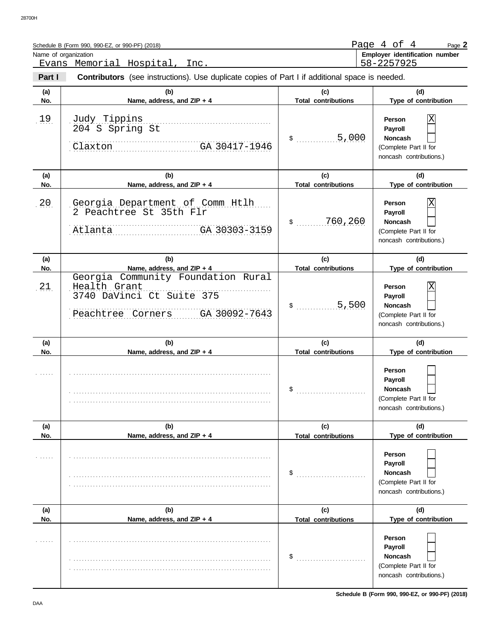|                      | Schedule B (Form 990, 990-EZ, or 990-PF) (2018)                                                                       |                                   | Page 4 of 4<br>Page 2                                                                   |
|----------------------|-----------------------------------------------------------------------------------------------------------------------|-----------------------------------|-----------------------------------------------------------------------------------------|
| Name of organization | Evans Memorial Hospital,<br>Inc.                                                                                      |                                   | Employer identification number<br>58-2257925                                            |
| Part I               | <b>Contributors</b> (see instructions). Use duplicate copies of Part I if additional space is needed.                 |                                   |                                                                                         |
| (a)<br>No.           | (b)<br>Name, address, and ZIP + 4                                                                                     | (c)<br><b>Total contributions</b> | (d)<br>Type of contribution                                                             |
| 19                   | Judy Tippins<br>204 S Spring St<br>Claxton<br>GA 30417-1946                                                           | 5,000<br>\$                       | Χ<br>Person<br>Payroll<br>Noncash<br>(Complete Part II for<br>noncash contributions.)   |
| (a)<br>No.           | (b)<br>Name, address, and ZIP + 4                                                                                     | (c)<br><b>Total contributions</b> | (d)<br>Type of contribution                                                             |
| 20.                  | Georgia Department of Comm Htlh<br>2 Peachtree St 35th Flr<br>GA 30303-3159<br>Atlanta                                | 760,260<br>\$                     | Χ<br>Person<br>Payroll<br>Noncash<br>(Complete Part II for<br>noncash contributions.)   |
| (a)<br>No.           | (b)<br>Name, address, and ZIP + 4                                                                                     | (c)<br><b>Total contributions</b> | (d)<br>Type of contribution                                                             |
| 21.                  | Georgia Community Foundation Rural<br>Health Grant<br>3740 DaVinci Ct Suite 375<br>GA 30092-7643<br>Peachtree Corners | 5,500<br>\$                       | Χ<br>Person<br>Payroll<br>Noncash<br>(Complete Part II for<br>noncash contributions.)   |
| (a)<br>No.           | (b)<br>Name, address, and ZIP + 4                                                                                     | (c)<br><b>Total contributions</b> | (d)<br>Type of contribution                                                             |
|                      |                                                                                                                       |                                   | Person<br>Payroll<br>Noncash<br>(Complete Part II for<br>noncash contributions.)        |
| (a)<br>No.           | (b)<br>Name, address, and ZIP + 4                                                                                     | (c)<br><b>Total contributions</b> | (d)<br>Type of contribution                                                             |
|                      |                                                                                                                       | \$                                | Person<br>Payroll<br><b>Noncash</b><br>(Complete Part II for<br>noncash contributions.) |
| (a)<br>No.           | (b)<br>Name, address, and ZIP + 4                                                                                     | (c)<br><b>Total contributions</b> | (d)<br>Type of contribution                                                             |
|                      |                                                                                                                       | \$                                | Person<br>Payroll<br><b>Noncash</b><br>(Complete Part II for<br>noncash contributions.) |

**Schedule B (Form 990, 990-EZ, or 990-PF) (2018)**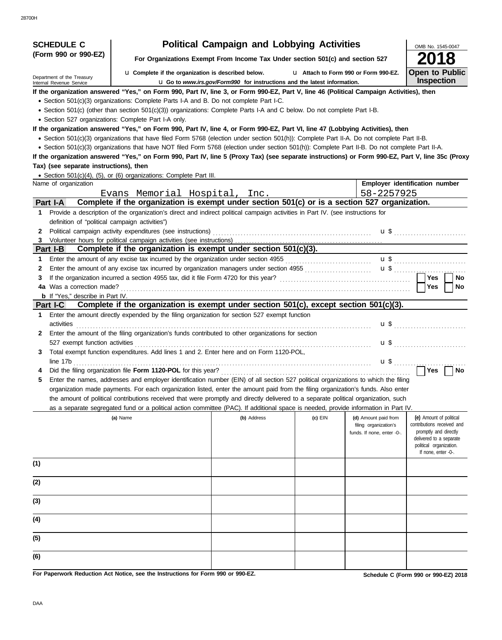| <b>SCHEDULE C</b>                                      |                                                                                                                                                  | <b>Political Campaign and Lobbying Activities</b>                               |           |                                                                             | OMB No. 1545-0047                                                                                                                                           |
|--------------------------------------------------------|--------------------------------------------------------------------------------------------------------------------------------------------------|---------------------------------------------------------------------------------|-----------|-----------------------------------------------------------------------------|-------------------------------------------------------------------------------------------------------------------------------------------------------------|
| (Form 990 or 990-EZ)                                   |                                                                                                                                                  | For Organizations Exempt From Income Tax Under section 501(c) and section 527   |           |                                                                             |                                                                                                                                                             |
|                                                        | <b>u</b> Complete if the organization is described below.                                                                                        |                                                                                 |           | L1 Attach to Form 990 or Form 990-EZ.                                       | <b>Open to Public</b>                                                                                                                                       |
| Department of the Treasury<br>Internal Revenue Service |                                                                                                                                                  | <b>u</b> Go to www.irs.gov/Form990 for instructions and the latest information. |           |                                                                             | Inspection                                                                                                                                                  |
|                                                        | If the organization answered "Yes," on Form 990, Part IV, line 3, or Form 990-EZ, Part V, line 46 (Political Campaign Activities), then          |                                                                                 |           |                                                                             |                                                                                                                                                             |
|                                                        | • Section 501(c)(3) organizations: Complete Parts I-A and B. Do not complete Part I-C.                                                           |                                                                                 |           |                                                                             |                                                                                                                                                             |
|                                                        | • Section 501(c) (other than section 501(c)(3)) organizations: Complete Parts I-A and C below. Do not complete Part I-B.                         |                                                                                 |           |                                                                             |                                                                                                                                                             |
|                                                        | • Section 527 organizations: Complete Part I-A only.                                                                                             |                                                                                 |           |                                                                             |                                                                                                                                                             |
|                                                        | If the organization answered "Yes," on Form 990, Part IV, line 4, or Form 990-EZ, Part VI, line 47 (Lobbying Activities), then                   |                                                                                 |           |                                                                             |                                                                                                                                                             |
|                                                        | • Section 501(c)(3) organizations that have filed Form 5768 (election under section 501(h)): Complete Part II-A. Do not complete Part II-B.      |                                                                                 |           |                                                                             |                                                                                                                                                             |
|                                                        | · Section 501(c)(3) organizations that have NOT filed Form 5768 (election under section 501(h)): Complete Part II-B. Do not complete Part II-A.  |                                                                                 |           |                                                                             |                                                                                                                                                             |
|                                                        | If the organization answered "Yes," on Form 990, Part IV, line 5 (Proxy Tax) (see separate instructions) or Form 990-EZ, Part V, line 35c (Proxy |                                                                                 |           |                                                                             |                                                                                                                                                             |
| Tax) (see separate instructions), then                 |                                                                                                                                                  |                                                                                 |           |                                                                             |                                                                                                                                                             |
|                                                        | • Section 501(c)(4), (5), or (6) organizations: Complete Part III.                                                                               |                                                                                 |           |                                                                             |                                                                                                                                                             |
| Name of organization                                   |                                                                                                                                                  |                                                                                 |           |                                                                             | Employer identification number                                                                                                                              |
|                                                        | Evans Memorial Hospital, Inc.                                                                                                                    |                                                                                 |           | 58-2257925                                                                  |                                                                                                                                                             |
| <b>Part I-A</b>                                        | Complete if the organization is exempt under section 501(c) or is a section 527 organization.                                                    |                                                                                 |           |                                                                             |                                                                                                                                                             |
| 1.                                                     | Provide a description of the organization's direct and indirect political campaign activities in Part IV. (see instructions for                  |                                                                                 |           |                                                                             |                                                                                                                                                             |
| definition of "political campaign activities")         |                                                                                                                                                  |                                                                                 |           |                                                                             |                                                                                                                                                             |
| $\mathbf{2}$                                           |                                                                                                                                                  |                                                                                 |           |                                                                             |                                                                                                                                                             |
| 3<br>Part I-B                                          | Complete if the organization is exempt under section 501(c)(3).                                                                                  |                                                                                 |           |                                                                             |                                                                                                                                                             |
| 1                                                      | Enter the amount of any excise tax incurred by the organization under section 4955 [[[[[[[[[[[[[[[[[[[[[[[[[[[                                   |                                                                                 |           |                                                                             |                                                                                                                                                             |
| 2                                                      | Enter the amount of any excise tax incurred by organization managers under section 4955 [[[[[[[[[[[[[[[[[[[[[                                    |                                                                                 |           |                                                                             |                                                                                                                                                             |
| 3                                                      |                                                                                                                                                  |                                                                                 |           |                                                                             | Yes<br>No                                                                                                                                                   |
| 4a Was a correction made?                              |                                                                                                                                                  |                                                                                 |           |                                                                             | Yes<br>No                                                                                                                                                   |
| <b>b</b> If "Yes," describe in Part IV.                |                                                                                                                                                  |                                                                                 |           |                                                                             |                                                                                                                                                             |
| <b>Part I-C</b>                                        | Complete if the organization is exempt under section $501(c)$ , except section $501(c)(3)$ .                                                     |                                                                                 |           |                                                                             |                                                                                                                                                             |
| 1.                                                     | Enter the amount directly expended by the filing organization for section 527 exempt function                                                    |                                                                                 |           |                                                                             |                                                                                                                                                             |
| activities                                             |                                                                                                                                                  |                                                                                 |           |                                                                             |                                                                                                                                                             |
| $\mathbf{2}$                                           | Enter the amount of the filing organization's funds contributed to other organizations for section                                               |                                                                                 |           |                                                                             |                                                                                                                                                             |
|                                                        |                                                                                                                                                  |                                                                                 |           |                                                                             | <b>u</b> \$                                                                                                                                                 |
| 3                                                      | Total exempt function expenditures. Add lines 1 and 2. Enter here and on Form 1120-POL,                                                          |                                                                                 |           |                                                                             |                                                                                                                                                             |
|                                                        | line 17b                                                                                                                                         |                                                                                 |           |                                                                             |                                                                                                                                                             |
| 4                                                      |                                                                                                                                                  |                                                                                 |           |                                                                             | $\bigcap$ Yes<br>No                                                                                                                                         |
| 5                                                      | Enter the names, addresses and employer identification number (EIN) of all section 527 political organizations to which the filing               |                                                                                 |           |                                                                             |                                                                                                                                                             |
|                                                        | organization made payments. For each organization listed, enter the amount paid from the filing organization's funds. Also enter                 |                                                                                 |           |                                                                             |                                                                                                                                                             |
|                                                        | the amount of political contributions received that were promptly and directly delivered to a separate political organization, such              |                                                                                 |           |                                                                             |                                                                                                                                                             |
|                                                        | as a separate segregated fund or a political action committee (PAC). If additional space is needed, provide information in Part IV.              |                                                                                 |           |                                                                             |                                                                                                                                                             |
|                                                        | (a) Name                                                                                                                                         | (b) Address                                                                     | (c) $EIN$ | (d) Amount paid from<br>filing organization's<br>funds. If none, enter -0-. | (e) Amount of political<br>contributions received and<br>promptly and directly<br>delivered to a separate<br>political organization.<br>If none, enter -0-. |
| (1)                                                    |                                                                                                                                                  |                                                                                 |           |                                                                             |                                                                                                                                                             |
| (2)                                                    |                                                                                                                                                  |                                                                                 |           |                                                                             |                                                                                                                                                             |
| (3)                                                    |                                                                                                                                                  |                                                                                 |           |                                                                             |                                                                                                                                                             |
| (4)                                                    |                                                                                                                                                  |                                                                                 |           |                                                                             |                                                                                                                                                             |
| (5)                                                    |                                                                                                                                                  |                                                                                 |           |                                                                             |                                                                                                                                                             |
| (6)                                                    |                                                                                                                                                  |                                                                                 |           |                                                                             |                                                                                                                                                             |
|                                                        | For Paperwork Reduction Act Notice, see the Instructions for Form 990 or 990-F7                                                                  |                                                                                 |           |                                                                             | <b>Celedule C. (Ferma 000 er 000 FZ) 2040</b>                                                                                                               |

**For Paperwork Reduction Act Notice, see the Instructions for Form 990 or 990-EZ.**

**Schedule C (Form 990 or 990-EZ) 2018**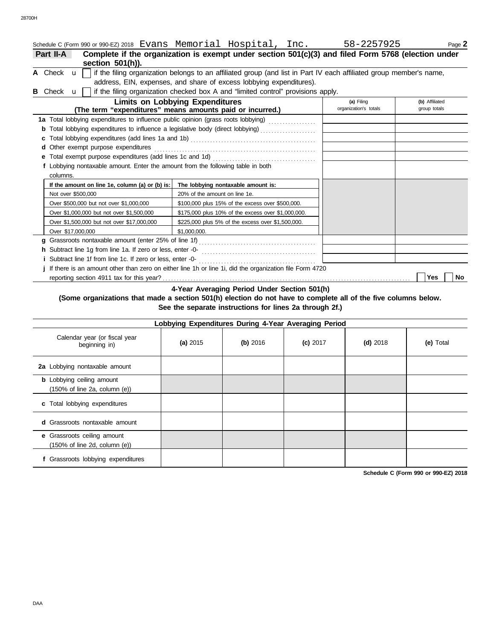|   |                                                                                 | Schedule C (Form 990 or 990-EZ) 2018 Evans Memorial Hospital, Inc. 58-2257925                                       |                       | Page 2         |
|---|---------------------------------------------------------------------------------|---------------------------------------------------------------------------------------------------------------------|-----------------------|----------------|
|   | <b>Part II-A</b><br>section 501(h)).                                            | Complete if the organization is exempt under section 501(c)(3) and filed Form 5768 (election under                  |                       |                |
|   | A Check $\mathbf{u}$                                                            | if the filing organization belongs to an affiliated group (and list in Part IV each affiliated group member's name, |                       |                |
|   |                                                                                 | address, EIN, expenses, and share of excess lobbying expenditures).                                                 |                       |                |
| в | Check <b>u</b>                                                                  | if the filing organization checked box A and "limited control" provisions apply.                                    |                       |                |
|   |                                                                                 | <b>Limits on Lobbying Expenditures</b>                                                                              | (a) Filing            | (b) Affiliated |
|   |                                                                                 | (The term "expenditures" means amounts paid or incurred.)                                                           | organization's totals | group totals   |
|   |                                                                                 | 1a Total lobbying expenditures to influence public opinion (grass roots lobbying)                                   |                       |                |
|   |                                                                                 |                                                                                                                     |                       |                |
|   | c                                                                               |                                                                                                                     |                       |                |
|   | d Other exempt purpose expenditures                                             |                                                                                                                     |                       |                |
|   |                                                                                 |                                                                                                                     |                       |                |
|   | f Lobbying nontaxable amount. Enter the amount from the following table in both |                                                                                                                     |                       |                |
|   | columns.                                                                        |                                                                                                                     |                       |                |
|   | If the amount on line 1e, column (a) or (b) is:                                 | The lobbying nontaxable amount is:                                                                                  |                       |                |
|   | Not over \$500,000                                                              | 20% of the amount on line 1e.                                                                                       |                       |                |
|   | Over \$500,000 but not over \$1,000,000                                         | \$100,000 plus 15% of the excess over \$500,000.                                                                    |                       |                |
|   | Over \$1,000,000 but not over \$1,500,000                                       | \$175,000 plus 10% of the excess over \$1,000,000.                                                                  |                       |                |
|   | Over \$1,500,000 but not over \$17,000,000                                      | \$225,000 plus 5% of the excess over \$1,500,000.                                                                   |                       |                |
|   | Over \$17,000,000                                                               | \$1,000,000.                                                                                                        |                       |                |
|   | a                                                                               |                                                                                                                     |                       |                |
|   |                                                                                 |                                                                                                                     |                       |                |
|   |                                                                                 |                                                                                                                     |                       |                |
|   |                                                                                 | If there is an amount other than zero on either line 1h or line 1i, did the organization file Form 4720             |                       |                |
|   |                                                                                 |                                                                                                                     |                       | Yes<br>No      |

**4-Year Averaging Period Under Section 501(h)**

### **(Some organizations that made a section 501(h) election do not have to complete all of the five columns below. See the separate instructions for lines 2a through 2f.)**

| Lobbying Expenditures During 4-Year Averaging Period                       |          |            |            |            |           |  |  |  |
|----------------------------------------------------------------------------|----------|------------|------------|------------|-----------|--|--|--|
| Calendar year (or fiscal year<br>beginning in)                             | (a) 2015 | $(b)$ 2016 | $(c)$ 2017 | $(d)$ 2018 | (e) Total |  |  |  |
| 2a Lobbying nontaxable amount                                              |          |            |            |            |           |  |  |  |
| <b>b</b> Lobbying ceiling amount<br>(150% of line 2a, column (e))          |          |            |            |            |           |  |  |  |
| c Total lobbying expenditures                                              |          |            |            |            |           |  |  |  |
| Grassroots nontaxable amount<br>d                                          |          |            |            |            |           |  |  |  |
| Grassroots ceiling amount<br>e<br>$(150\% \text{ of line 2d, column (e))}$ |          |            |            |            |           |  |  |  |
| Grassroots lobbying expenditures                                           |          |            |            |            |           |  |  |  |

**Schedule C (Form 990 or 990-EZ) 2018**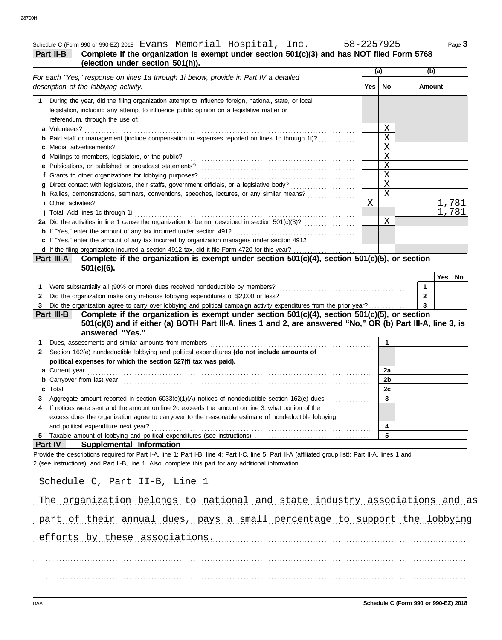## Schedule C (Form 990 or 990-EZ) 2018 Evans Memorial Hospital, Inc. 58-2257925 Page 3

|  | Pa |
|--|----|

## **Part II-B** Complete if the organization is exempt under section 501(c)(3) and has NOT filed Form 5768 **(election under section 501(h)).**

| (election under section ovi(n)).                                                                                                                                                                                                                               |             | (a)            | (b)                     |
|----------------------------------------------------------------------------------------------------------------------------------------------------------------------------------------------------------------------------------------------------------------|-------------|----------------|-------------------------|
| For each "Yes," response on lines 1a through 1i below, provide in Part IV a detailed<br>description of the lobbying activity.                                                                                                                                  | Yes         | No             | Amount                  |
| During the year, did the filing organization attempt to influence foreign, national, state, or local<br>1.                                                                                                                                                     |             |                |                         |
| legislation, including any attempt to influence public opinion on a legislative matter or                                                                                                                                                                      |             |                |                         |
| referendum, through the use of:                                                                                                                                                                                                                                |             |                |                         |
| a Volunteers?                                                                                                                                                                                                                                                  |             | Χ              |                         |
| Paid staff or management (include compensation in expenses reported on lines 1c through 1i)?                                                                                                                                                                   |             | X              |                         |
| Media advertisements?<br>с                                                                                                                                                                                                                                     |             | X              |                         |
|                                                                                                                                                                                                                                                                |             | X              |                         |
|                                                                                                                                                                                                                                                                |             | X              |                         |
| е                                                                                                                                                                                                                                                              |             | X              |                         |
| f Grants to other organizations for lobbying purposes?                                                                                                                                                                                                         |             | $\overline{X}$ |                         |
| Direct contact with legislators, their staffs, government officials, or a legislative body?                                                                                                                                                                    |             |                |                         |
| h Rallies, demonstrations, seminars, conventions, speeches, lectures, or any similar means?                                                                                                                                                                    |             | X              |                         |
| <i>i</i> Other activities?                                                                                                                                                                                                                                     | $\mathbf X$ |                | 1,781                   |
| j Total. Add lines 1c through 1i                                                                                                                                                                                                                               |             |                | 1,781                   |
|                                                                                                                                                                                                                                                                |             | Χ              |                         |
| <b>b</b> If "Yes," enter the amount of any tax incurred under section 4912                                                                                                                                                                                     |             |                |                         |
| c If "Yes," enter the amount of any tax incurred by organization managers under section 4912                                                                                                                                                                   |             |                |                         |
|                                                                                                                                                                                                                                                                |             |                |                         |
| d If the filing organization incurred a section 4912 tax, did it file Form 4720 for this year?<br>art III-A Complete if the organization is exempt under section 501(c)(4), section 501(c)(5), or section<br>Part III-A<br>$501(c)(6)$ .                       |             |                |                         |
|                                                                                                                                                                                                                                                                |             |                | Yes<br>No               |
| Were substantially all (90% or more) dues received nondeductible by members?<br>1.                                                                                                                                                                             |             |                | $\overline{1}$          |
| Did the organization make only in-house lobbying expenditures of \$2,000 or less?<br>2                                                                                                                                                                         |             |                | $\overline{2}$          |
| Did the organization agree to carry over lobbying and political campaign activity expenditures from the prior year?<br>3                                                                                                                                       |             |                | $\overline{\mathbf{3}}$ |
| Complete if the organization is exempt under section $501(c)(4)$ , section $501(c)(5)$ , or section<br>Part III-B                                                                                                                                              |             |                |                         |
| 501(c)(6) and if either (a) BOTH Part III-A, lines 1 and 2, are answered "No," OR (b) Part III-A, line 3, is<br>answered "Yes."                                                                                                                                |             |                |                         |
| 1.                                                                                                                                                                                                                                                             |             | $\mathbf{1}$   |                         |
| Section 162(e) nondeductible lobbying and political expenditures (do not include amounts of<br>2                                                                                                                                                               |             |                |                         |
| political expenses for which the section 527(f) tax was paid).                                                                                                                                                                                                 |             |                |                         |
|                                                                                                                                                                                                                                                                |             | 2a             |                         |
|                                                                                                                                                                                                                                                                |             | 2b             |                         |
|                                                                                                                                                                                                                                                                |             |                |                         |
| Total<br>c                                                                                                                                                                                                                                                     |             | 2c             |                         |
| Aggregate amount reported in section 6033(e)(1)(A) notices of nondeductible section 162(e) dues                                                                                                                                                                |             | 3              |                         |
| If notices were sent and the amount on line 2c exceeds the amount on line 3, what portion of the<br>4                                                                                                                                                          |             |                |                         |
| excess does the organization agree to carryover to the reasonable estimate of nondeductible lobbying                                                                                                                                                           |             |                |                         |
| and political expenditure next year?                                                                                                                                                                                                                           |             | 4              |                         |
| 5 Taxable amount of lobbying and political expenditures (see instructions)                                                                                                                                                                                     |             | 5              |                         |
| Part IV<br>Supplemental Information                                                                                                                                                                                                                            |             |                |                         |
| Provide the descriptions required for Part I-A, line 1; Part I-B, line 4; Part I-C, line 5; Part II-A (affiliated group list); Part II-A, lines 1 and<br>2 (see instructions); and Part II-B, line 1. Also, complete this part for any additional information. |             |                |                         |
| Schedule C, Part II-B, Line 1                                                                                                                                                                                                                                  |             |                |                         |
| The organization belongs to national and state industry associations and as                                                                                                                                                                                    |             |                |                         |
|                                                                                                                                                                                                                                                                |             |                |                         |
| part of their annual dues, pays a small percentage to support the lobbying                                                                                                                                                                                     |             |                |                         |
|                                                                                                                                                                                                                                                                |             |                |                         |

. . . . . . . . . . . . . . . . . . . . . . . . . . . . . . . . . . . . . . . . . . . . . . . . . . . . . . . . . . . . . . . . . . . . . . . . . . . . . . . . . . . . . . . . . . . . . . . . . . . . . . . . . . . . . . . . . . . . . . . . . . . . . . . . . . . . . . . . . . . . . . . . . . . . . . . . . . . efforts by these associations.

. . . . . . . . . . . . . . . . . . . . . . . . . . . . . . . . . . . . . . . . . . . . . . . . . . . . . . . . . . . . . . . . . . . . . . . . . . . . . . . . . . . . . . . . . . . . . . . . . . . . . . . . . . . . . . . . . . . . . . . . . . . . . . . . . . . . . . . . . . . . . . . . . . . . . . . . . . .

. . . . . . . . . . . . . . . . . . . . . . . . . . . . . . . . . . . . . . . . . . . . . . . . . . . . . . . . . . . . . . . . . . . . . . . . . . . . . . . . . . . . . . . . . . . . . . . . . . . . . . . . . . . . . . . . . . . . . . . . . . . . . . . . . . . . . . . . . . . . . . . . . . . . . . . . . . .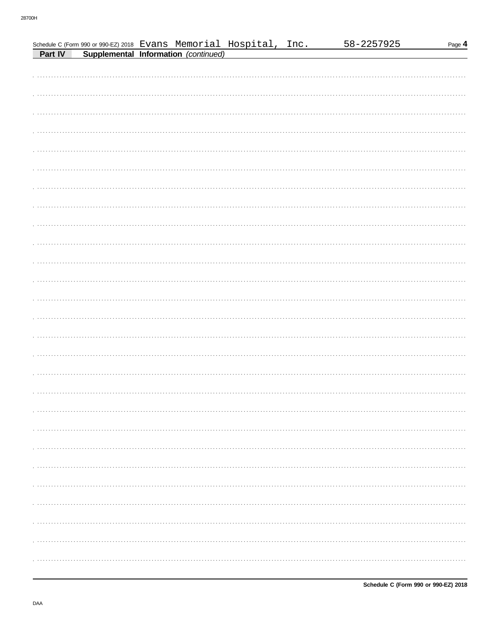|  | Schedule C (Form 990 or 990-EZ) 2018 Evans Memorial Hospital, Inc.<br>Part IV Supplemental Information (continued) |  | 58-2257925 | Page 4 |
|--|--------------------------------------------------------------------------------------------------------------------|--|------------|--------|
|  |                                                                                                                    |  |            |        |
|  |                                                                                                                    |  |            |        |
|  |                                                                                                                    |  |            |        |
|  |                                                                                                                    |  |            |        |
|  |                                                                                                                    |  |            |        |
|  |                                                                                                                    |  |            |        |
|  |                                                                                                                    |  |            |        |
|  |                                                                                                                    |  |            |        |
|  |                                                                                                                    |  |            |        |
|  |                                                                                                                    |  |            |        |
|  |                                                                                                                    |  |            |        |
|  |                                                                                                                    |  |            |        |
|  |                                                                                                                    |  |            |        |
|  |                                                                                                                    |  |            |        |
|  |                                                                                                                    |  |            |        |
|  |                                                                                                                    |  |            |        |
|  |                                                                                                                    |  |            |        |
|  |                                                                                                                    |  |            |        |
|  |                                                                                                                    |  |            |        |
|  |                                                                                                                    |  |            |        |
|  |                                                                                                                    |  |            |        |
|  |                                                                                                                    |  |            |        |
|  |                                                                                                                    |  |            |        |
|  |                                                                                                                    |  |            |        |
|  |                                                                                                                    |  |            |        |
|  |                                                                                                                    |  |            |        |
|  |                                                                                                                    |  |            |        |
|  |                                                                                                                    |  |            |        |
|  |                                                                                                                    |  |            |        |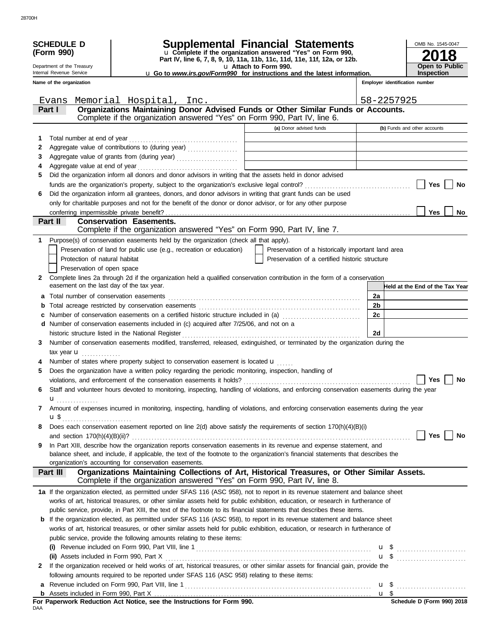|              | <b>SCHEDULE D</b>                         |                                                                                                                                                              | <b>Supplemental Financial Statements</b>                                                                                               |                                | OMB No. 1545-0047               |
|--------------|-------------------------------------------|--------------------------------------------------------------------------------------------------------------------------------------------------------------|----------------------------------------------------------------------------------------------------------------------------------------|--------------------------------|---------------------------------|
|              | (Form 990)                                |                                                                                                                                                              | u Complete if the organization answered "Yes" on Form 990,<br>Part IV, line 6, 7, 8, 9, 10, 11a, 11b, 11c, 11d, 11e, 11f, 12a, or 12b. |                                |                                 |
|              | Department of the Treasury                |                                                                                                                                                              | u Attach to Form 990.                                                                                                                  | <b>Open to Public</b>          |                                 |
|              | Internal Revenue Service                  |                                                                                                                                                              | <b>u</b> Go to <i>www.irs.gov/Form990</i> for instructions and the latest information.                                                 |                                | <b>Inspection</b>               |
|              | Name of the organization                  |                                                                                                                                                              |                                                                                                                                        | Employer identification number |                                 |
|              | Evans                                     | Memorial Hospital, Inc.                                                                                                                                      |                                                                                                                                        | 58-2257925                     |                                 |
|              | Part I                                    | Organizations Maintaining Donor Advised Funds or Other Similar Funds or Accounts.                                                                            |                                                                                                                                        |                                |                                 |
|              |                                           | Complete if the organization answered "Yes" on Form 990, Part IV, line 6.                                                                                    |                                                                                                                                        |                                |                                 |
|              |                                           |                                                                                                                                                              | (a) Donor advised funds                                                                                                                |                                | (b) Funds and other accounts    |
| 1            |                                           |                                                                                                                                                              |                                                                                                                                        |                                |                                 |
| 2            |                                           |                                                                                                                                                              |                                                                                                                                        |                                |                                 |
| 3            |                                           | Aggregate value of grants from (during year)                                                                                                                 |                                                                                                                                        |                                |                                 |
| 4            |                                           |                                                                                                                                                              |                                                                                                                                        |                                |                                 |
| 5            |                                           | Did the organization inform all donors and donor advisors in writing that the assets held in donor advised                                                   |                                                                                                                                        |                                |                                 |
|              |                                           |                                                                                                                                                              |                                                                                                                                        |                                | Yes<br>No                       |
| 6            |                                           | Did the organization inform all grantees, donors, and donor advisors in writing that grant funds can be used                                                 |                                                                                                                                        |                                |                                 |
|              |                                           | only for charitable purposes and not for the benefit of the donor or donor advisor, or for any other purpose                                                 |                                                                                                                                        |                                |                                 |
|              | conferring impermissible private benefit? |                                                                                                                                                              |                                                                                                                                        |                                | <b>Yes</b><br><b>No</b>         |
|              | Part II                                   | <b>Conservation Easements.</b><br>Complete if the organization answered "Yes" on Form 990, Part IV, line 7.                                                  |                                                                                                                                        |                                |                                 |
|              |                                           |                                                                                                                                                              |                                                                                                                                        |                                |                                 |
| 1            |                                           | Purpose(s) of conservation easements held by the organization (check all that apply).<br>Preservation of land for public use (e.g., recreation or education) | Preservation of a historically important land area                                                                                     |                                |                                 |
|              | Protection of natural habitat             |                                                                                                                                                              | Preservation of a certified historic structure                                                                                         |                                |                                 |
|              | Preservation of open space                |                                                                                                                                                              |                                                                                                                                        |                                |                                 |
| $\mathbf{2}$ |                                           | Complete lines 2a through 2d if the organization held a qualified conservation contribution in the form of a conservation                                    |                                                                                                                                        |                                |                                 |
|              | easement on the last day of the tax year. |                                                                                                                                                              |                                                                                                                                        |                                | Held at the End of the Tax Year |
| a            | Total number of conservation easements    |                                                                                                                                                              |                                                                                                                                        | 2a                             |                                 |
| b            |                                           |                                                                                                                                                              |                                                                                                                                        | 2b                             |                                 |
| c            |                                           | Number of conservation easements on a certified historic structure included in (a) [[[[[[[[[[[[[[[[[[[[[[[[]]]]]]]                                           |                                                                                                                                        | 2c                             |                                 |
| d            |                                           | Number of conservation easements included in (c) acquired after 7/25/06, and not on a                                                                        |                                                                                                                                        |                                |                                 |
|              |                                           |                                                                                                                                                              |                                                                                                                                        | 2d                             |                                 |
| 3            |                                           | Number of conservation easements modified, transferred, released, extinguished, or terminated by the organization during the                                 |                                                                                                                                        |                                |                                 |
|              | tax year $\mathbf{u}$                     |                                                                                                                                                              |                                                                                                                                        |                                |                                 |
| 4            |                                           | Number of states where property subject to conservation easement is located u                                                                                |                                                                                                                                        |                                |                                 |
| 5            |                                           | Does the organization have a written policy regarding the periodic monitoring, inspection, handling of                                                       |                                                                                                                                        |                                |                                 |
|              |                                           |                                                                                                                                                              |                                                                                                                                        |                                | Yes $\bigsqcup$ No              |
| 6            |                                           | Staff and volunteer hours devoted to monitoring, inspecting, handling of violations, and enforcing conservation easements during the year                    |                                                                                                                                        |                                |                                 |
|              | $\mathbf{u}_{\dots\dots\dots\dots\dots}$  |                                                                                                                                                              |                                                                                                                                        |                                |                                 |
| 7            |                                           | Amount of expenses incurred in monitoring, inspecting, handling of violations, and enforcing conservation easements during the year                          |                                                                                                                                        |                                |                                 |
|              |                                           |                                                                                                                                                              |                                                                                                                                        |                                |                                 |
| 8            |                                           | Does each conservation easement reported on line 2(d) above satisfy the requirements of section 170(h)(4)(B)(i)                                              |                                                                                                                                        |                                |                                 |
|              |                                           |                                                                                                                                                              |                                                                                                                                        |                                | Yes<br>No                       |
| 9            |                                           | In Part XIII, describe how the organization reports conservation easements in its revenue and expense statement, and                                         |                                                                                                                                        |                                |                                 |
|              |                                           | balance sheet, and include, if applicable, the text of the footnote to the organization's financial statements that describes the                            |                                                                                                                                        |                                |                                 |
|              |                                           | organization's accounting for conservation easements.<br>Organizations Maintaining Collections of Art, Historical Treasures, or Other Similar Assets.        |                                                                                                                                        |                                |                                 |
|              | Part III                                  | Complete if the organization answered "Yes" on Form 990, Part IV, line 8.                                                                                    |                                                                                                                                        |                                |                                 |
|              |                                           | 1a If the organization elected, as permitted under SFAS 116 (ASC 958), not to report in its revenue statement and balance sheet                              |                                                                                                                                        |                                |                                 |
|              |                                           | works of art, historical treasures, or other similar assets held for public exhibition, education, or research in furtherance of                             |                                                                                                                                        |                                |                                 |
|              |                                           | public service, provide, in Part XIII, the text of the footnote to its financial statements that describes these items.                                      |                                                                                                                                        |                                |                                 |
|              |                                           | <b>b</b> If the organization elected, as permitted under SFAS 116 (ASC 958), to report in its revenue statement and balance sheet                            |                                                                                                                                        |                                |                                 |
|              |                                           | works of art, historical treasures, or other similar assets held for public exhibition, education, or research in furtherance of                             |                                                                                                                                        |                                |                                 |
|              |                                           | public service, provide the following amounts relating to these items:                                                                                       |                                                                                                                                        |                                |                                 |
|              |                                           |                                                                                                                                                              |                                                                                                                                        |                                |                                 |
|              |                                           |                                                                                                                                                              |                                                                                                                                        |                                | u \$                            |
| 2            |                                           | If the organization received or held works of art, historical treasures, or other similar assets for financial gain, provide the                             |                                                                                                                                        |                                |                                 |
|              |                                           | following amounts required to be reported under SFAS 116 (ASC 958) relating to these items:                                                                  |                                                                                                                                        |                                |                                 |
| a            |                                           |                                                                                                                                                              |                                                                                                                                        |                                |                                 |
|              |                                           |                                                                                                                                                              |                                                                                                                                        |                                |                                 |
| DAA          |                                           | For Paperwork Reduction Act Notice, see the Instructions for Form 990.                                                                                       |                                                                                                                                        |                                | Schedule D (Form 990) 2018      |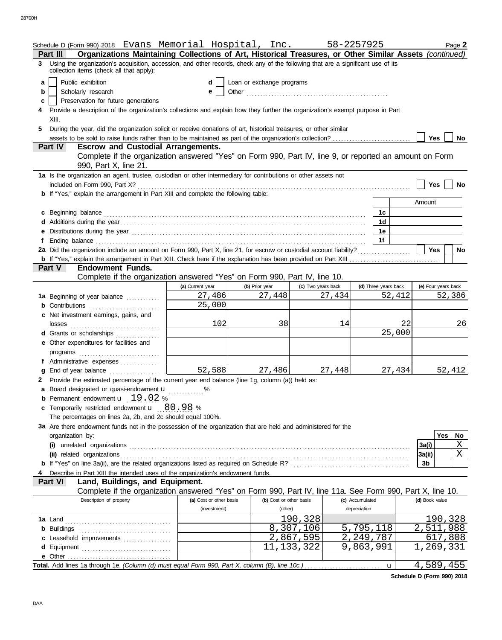|    | Schedule D (Form 990) 2018 Evans Memorial Hospital, Inc. 58-2257925                                                                                                                                                           |                         |                           |                             |        |                 |                      |        |                     |     | Page 2    |
|----|-------------------------------------------------------------------------------------------------------------------------------------------------------------------------------------------------------------------------------|-------------------------|---------------------------|-----------------------------|--------|-----------------|----------------------|--------|---------------------|-----|-----------|
|    | Organizations Maintaining Collections of Art, Historical Treasures, or Other Similar Assets (continued)<br><b>Part III</b>                                                                                                    |                         |                           |                             |        |                 |                      |        |                     |     |           |
|    | 3 Using the organization's acquisition, accession, and other records, check any of the following that are a significant use of its<br>collection items (check all that apply):                                                |                         |                           |                             |        |                 |                      |        |                     |     |           |
| a  | Public exhibition                                                                                                                                                                                                             | d                       | Loan or exchange programs |                             |        |                 |                      |        |                     |     |           |
| b  | Scholarly research<br>е                                                                                                                                                                                                       |                         |                           |                             |        |                 |                      |        |                     |     |           |
| c  | Preservation for future generations                                                                                                                                                                                           |                         |                           |                             |        |                 |                      |        |                     |     |           |
|    | Provide a description of the organization's collections and explain how they further the organization's exempt purpose in Part                                                                                                |                         |                           |                             |        |                 |                      |        |                     |     |           |
|    | XIII.                                                                                                                                                                                                                         |                         |                           |                             |        |                 |                      |        |                     |     |           |
| 5. | During the year, did the organization solicit or receive donations of art, historical treasures, or other similar                                                                                                             |                         |                           |                             |        |                 |                      |        |                     |     |           |
|    |                                                                                                                                                                                                                               |                         |                           |                             |        |                 |                      |        | Yes                 |     | <b>No</b> |
|    | <b>Escrow and Custodial Arrangements.</b><br>Part IV                                                                                                                                                                          |                         |                           |                             |        |                 |                      |        |                     |     |           |
|    | Complete if the organization answered "Yes" on Form 990, Part IV, line 9, or reported an amount on Form<br>990, Part X, line 21.                                                                                              |                         |                           |                             |        |                 |                      |        |                     |     |           |
|    | 1a Is the organization an agent, trustee, custodian or other intermediary for contributions or other assets not                                                                                                               |                         |                           |                             |        |                 |                      |        |                     |     |           |
|    | included on Form 990, Part X?                                                                                                                                                                                                 |                         |                           |                             |        |                 |                      |        | Yes                 |     | No        |
|    | <b>b</b> If "Yes," explain the arrangement in Part XIII and complete the following table:                                                                                                                                     |                         |                           |                             |        |                 |                      |        |                     |     |           |
|    |                                                                                                                                                                                                                               |                         |                           |                             |        |                 |                      |        | Amount              |     |           |
|    | c Beginning balance                                                                                                                                                                                                           |                         |                           |                             |        |                 | 1c                   |        |                     |     |           |
|    |                                                                                                                                                                                                                               |                         |                           |                             |        |                 | 1d                   |        |                     |     |           |
|    | e Distributions during the year manufactured contains and the year manufactured with the year manufactured with the set of the set of the set of the set of the set of the set of the set of the set of the set of the set of |                         |                           |                             |        |                 | 1e                   |        |                     |     |           |
| f  |                                                                                                                                                                                                                               |                         |                           |                             |        |                 | 1f                   |        |                     |     |           |
|    | 2a Did the organization include an amount on Form 990, Part X, line 21, for escrow or custodial account liability?                                                                                                            |                         |                           |                             |        |                 |                      |        | <b>Yes</b>          |     | No        |
|    |                                                                                                                                                                                                                               |                         |                           |                             |        |                 |                      |        |                     |     |           |
|    | <b>Endowment Funds.</b><br>Part V                                                                                                                                                                                             |                         |                           |                             |        |                 |                      |        |                     |     |           |
|    | Complete if the organization answered "Yes" on Form 990, Part IV, line 10.                                                                                                                                                    |                         |                           |                             |        |                 |                      |        |                     |     |           |
|    |                                                                                                                                                                                                                               | (a) Current year        | (b) Prior year            | (c) Two years back          |        |                 | (d) Three years back |        | (e) Four years back |     |           |
|    | 1a Beginning of year balance                                                                                                                                                                                                  | 27,486                  | 27,448                    |                             | 27,434 |                 |                      | 52,412 |                     |     | 52,386    |
|    | <b>b</b> Contributions                                                                                                                                                                                                        | 25,000                  |                           |                             |        |                 |                      |        |                     |     |           |
|    | c Net investment earnings, gains, and                                                                                                                                                                                         |                         |                           |                             |        |                 |                      |        |                     |     |           |
|    | losses                                                                                                                                                                                                                        | 102                     | 38                        |                             | 14     |                 | 22                   |        |                     | 26  |           |
|    | d Grants or scholarships                                                                                                                                                                                                      |                         |                           |                             |        |                 |                      | 25,000 |                     |     |           |
|    | e Other expenditures for facilities and                                                                                                                                                                                       |                         |                           |                             |        |                 |                      |        |                     |     |           |
|    | programs                                                                                                                                                                                                                      |                         |                           |                             |        |                 |                      |        |                     |     |           |
|    | f Administrative expenses                                                                                                                                                                                                     |                         |                           |                             |        |                 |                      |        |                     |     |           |
| a  |                                                                                                                                                                                                                               | 52,588                  | 27,486                    |                             | 27,448 |                 |                      | 27,434 |                     |     | 52,412    |
|    | 2 Provide the estimated percentage of the current year end balance (line 1g, column (a)) held as:                                                                                                                             |                         |                           |                             |        |                 |                      |        |                     |     |           |
|    | a Board designated or quasi-endowment <b>u</b> %                                                                                                                                                                              |                         |                           |                             |        |                 |                      |        |                     |     |           |
|    | <b>b</b> Permanent endowment $\mathbf{u}$ 19.02 %                                                                                                                                                                             |                         |                           |                             |        |                 |                      |        |                     |     |           |
|    | c Temporarily restricted endowment u 80.98 %                                                                                                                                                                                  |                         |                           |                             |        |                 |                      |        |                     |     |           |
|    | The percentages on lines 2a, 2b, and 2c should equal 100%.                                                                                                                                                                    |                         |                           |                             |        |                 |                      |        |                     |     |           |
|    | 3a Are there endowment funds not in the possession of the organization that are held and administered for the                                                                                                                 |                         |                           |                             |        |                 |                      |        |                     |     |           |
|    | organization by:                                                                                                                                                                                                              |                         |                           |                             |        |                 |                      |        |                     | Yes | No        |
|    |                                                                                                                                                                                                                               |                         |                           |                             |        |                 |                      |        | 3a(i)               |     | Χ<br>X    |
|    | (ii) related organizations                                                                                                                                                                                                    |                         |                           |                             |        |                 |                      |        | 3a(ii)              |     |           |
|    |                                                                                                                                                                                                                               |                         |                           |                             |        |                 |                      |        | 3b                  |     |           |
|    | Describe in Part XIII the intended uses of the organization's endowment funds.<br>Part VI<br>Land, Buildings, and Equipment.                                                                                                  |                         |                           |                             |        |                 |                      |        |                     |     |           |
|    | Complete if the organization answered "Yes" on Form 990, Part IV, line 11a. See Form 990, Part X, line 10.                                                                                                                    |                         |                           |                             |        |                 |                      |        |                     |     |           |
|    | Description of property                                                                                                                                                                                                       | (a) Cost or other basis | (b) Cost or other basis   |                             |        | (c) Accumulated |                      |        | (d) Book value      |     |           |
|    |                                                                                                                                                                                                                               | (investment)            | (other)                   |                             |        | depreciation    |                      |        |                     |     |           |
|    |                                                                                                                                                                                                                               |                         |                           | 190,328                     |        |                 |                      |        |                     |     | 190,328   |
|    |                                                                                                                                                                                                                               |                         |                           | 8,307,106                   |        | 5,795,118       |                      |        | 2,511,988           |     |           |
|    | c Leasehold improvements                                                                                                                                                                                                      |                         |                           | 2,867,595                   |        | 2,249,787       |                      |        |                     |     | 617,808   |
|    |                                                                                                                                                                                                                               |                         |                           | $\overline{11}$ , 133 , 322 |        | 9,863,991       |                      |        |                     |     | 269,331   |
|    |                                                                                                                                                                                                                               |                         |                           |                             |        |                 |                      |        |                     |     |           |
|    |                                                                                                                                                                                                                               |                         |                           |                             |        |                 |                      |        | 4,589,455           |     |           |

**Schedule D (Form 990) 2018**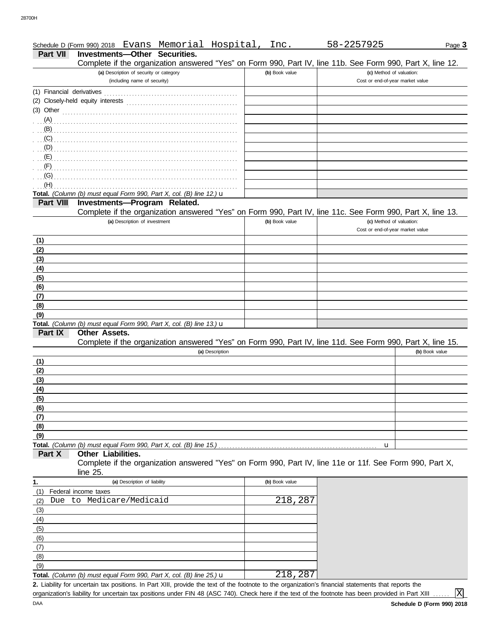| Schedule D (Form 990) 2018 | Evans | Memorial | $- -$<br>Hospital | lnc | ╮×<br>دکک<br>ل کے ز | $\mathsf{a}$ aqe $\mathsf{s}$ |
|----------------------------|-------|----------|-------------------|-----|---------------------|-------------------------------|
|                            |       |          |                   |     |                     |                               |

#### **Part VII Investments—Other Securities.**

|                  | Complete if the organization answered "Yes" on Form 990, Part IV, line 11b. See Form 990, Part X, line 12. |                |                                                              |                |
|------------------|------------------------------------------------------------------------------------------------------------|----------------|--------------------------------------------------------------|----------------|
|                  | (a) Description of security or category                                                                    | (b) Book value | (c) Method of valuation:                                     |                |
|                  | (including name of security)                                                                               |                | Cost or end-of-year market value                             |                |
|                  |                                                                                                            |                |                                                              |                |
|                  | (2) Closely-held equity interests                                                                          |                |                                                              |                |
|                  | (3) Other $\begin{bmatrix} 1 & 0 & 0 \\ 0 & 1 & 0 \\ 0 & 0 & 0 \end{bmatrix}$                              |                |                                                              |                |
| (A)              |                                                                                                            |                |                                                              |                |
| (B)              |                                                                                                            |                |                                                              |                |
| (C)              |                                                                                                            |                |                                                              |                |
| (D)              |                                                                                                            |                |                                                              |                |
| (E)              |                                                                                                            |                |                                                              |                |
| (F)              |                                                                                                            |                |                                                              |                |
| (G)              |                                                                                                            |                |                                                              |                |
| (H)              |                                                                                                            |                |                                                              |                |
|                  | Total. (Column (b) must equal Form 990, Part X, col. (B) line 12.) $\mathbf u$                             |                |                                                              |                |
| <b>Part VIII</b> | Investments-Program Related.                                                                               |                |                                                              |                |
|                  | Complete if the organization answered "Yes" on Form 990, Part IV, line 11c. See Form 990, Part X, line 13. |                |                                                              |                |
|                  | (a) Description of investment                                                                              | (b) Book value | (c) Method of valuation:<br>Cost or end-of-year market value |                |
|                  |                                                                                                            |                |                                                              |                |
| (1)              |                                                                                                            |                |                                                              |                |
| (2)              |                                                                                                            |                |                                                              |                |
| (3)              |                                                                                                            |                |                                                              |                |
| (4)              |                                                                                                            |                |                                                              |                |
| (5)              |                                                                                                            |                |                                                              |                |
| (6)              |                                                                                                            |                |                                                              |                |
| (7)<br>(8)       |                                                                                                            |                |                                                              |                |
| (9)              |                                                                                                            |                |                                                              |                |
|                  | Total. (Column (b) must equal Form 990, Part X, col. (B) line 13.) u                                       |                |                                                              |                |
| Part IX          | Other Assets.                                                                                              |                |                                                              |                |
|                  | Complete if the organization answered "Yes" on Form 990, Part IV, line 11d. See Form 990, Part X, line 15. |                |                                                              |                |
|                  | (a) Description                                                                                            |                |                                                              | (b) Book value |
| (1)              |                                                                                                            |                |                                                              |                |
| (2)              |                                                                                                            |                |                                                              |                |
| (3)              |                                                                                                            |                |                                                              |                |
| (4)              |                                                                                                            |                |                                                              |                |
| (5)              |                                                                                                            |                |                                                              |                |
| (6)              |                                                                                                            |                |                                                              |                |
| (7)              |                                                                                                            |                |                                                              |                |
| (8)              |                                                                                                            |                |                                                              |                |
| (9)              |                                                                                                            |                |                                                              |                |
|                  |                                                                                                            |                | u                                                            |                |
| Part X           | Other Liabilities.                                                                                         |                |                                                              |                |
|                  | Complete if the organization answered "Yes" on Form 990, Part IV, line 11e or 11f. See Form 990, Part X,   |                |                                                              |                |
|                  | line 25.                                                                                                   |                |                                                              |                |
| 1.               | (a) Description of liability                                                                               | (b) Book value |                                                              |                |
| (1)              | Federal income taxes                                                                                       |                |                                                              |                |
| Due<br>(2)       | to Medicare/Medicaid                                                                                       | 218,287        |                                                              |                |
| (3)              |                                                                                                            |                |                                                              |                |
| (4)              |                                                                                                            |                |                                                              |                |
| (5)              |                                                                                                            |                |                                                              |                |
| (6)              |                                                                                                            |                |                                                              |                |

**Total.** *(Column (b) must equal Form 990, Part X, col. (B) line 25.)* u 218,287

Liability for uncertain tax positions. In Part XIII, provide the text of the footnote to the organization's financial statements that reports the **2.** organization's liability for uncertain tax positions under FIN 48 (ASC 740). Check here if the text of the footnote has been provided in Part XIII

 $\sqrt{\mathrm{x}}$ 

(9) (8) (7)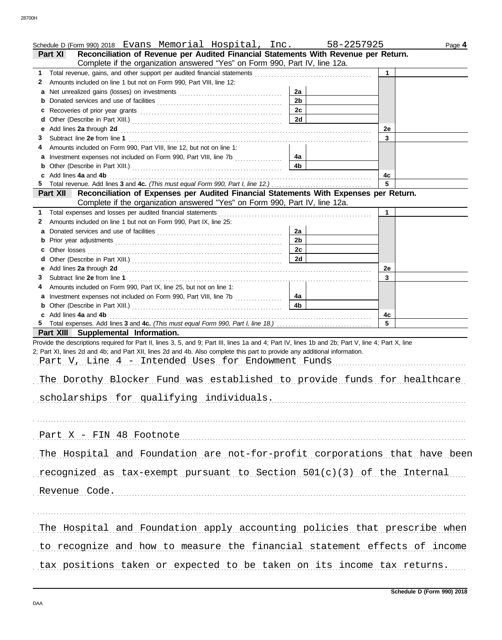| Schedule D (Form 990) 2018 Evans Memorial Hospital, Inc.                                                                                                                                  | 58-2257925           |           | Page 4 |
|-------------------------------------------------------------------------------------------------------------------------------------------------------------------------------------------|----------------------|-----------|--------|
| Reconciliation of Revenue per Audited Financial Statements With Revenue per Return.<br>Part XI<br>Complete if the organization answered "Yes" on Form 990, Part IV, line 12a.             |                      |           |        |
|                                                                                                                                                                                           |                      | 1         |        |
| Amounts included on line 1 but not on Form 990, Part VIII, line 12:<br>$\mathbf{2}$                                                                                                       |                      |           |        |
|                                                                                                                                                                                           | 2a                   |           |        |
| b                                                                                                                                                                                         | 2 <sub>b</sub>       |           |        |
| C                                                                                                                                                                                         | 2c                   |           |        |
| d                                                                                                                                                                                         | 2d                   |           |        |
| е                                                                                                                                                                                         |                      | <b>2e</b> |        |
| 3.                                                                                                                                                                                        |                      | 3         |        |
| Amounts included on Form 990, Part VIII, line 12, but not on line 1:<br>4                                                                                                                 |                      |           |        |
| a Investment expenses not included on Form 990, Part VIII, line 7b                                                                                                                        | 4a<br>4b             |           |        |
| c Add lines 4a and 4b                                                                                                                                                                     |                      | 4c        |        |
|                                                                                                                                                                                           |                      | 5         |        |
| Reconciliation of Expenses per Audited Financial Statements With Expenses per Return.<br><b>Part XII</b>                                                                                  |                      |           |        |
| Complete if the organization answered "Yes" on Form 990, Part IV, line 12a.                                                                                                               |                      |           |        |
|                                                                                                                                                                                           |                      | 1         |        |
| Amounts included on line 1 but not on Form 990, Part IX, line 25:<br>2                                                                                                                    |                      |           |        |
|                                                                                                                                                                                           | 2a                   |           |        |
| b                                                                                                                                                                                         | 2 <sub>b</sub><br>2c |           |        |
| d                                                                                                                                                                                         | 2d                   |           |        |
|                                                                                                                                                                                           |                      | <b>2e</b> |        |
| 3.                                                                                                                                                                                        |                      | 3         |        |
| Amounts included on Form 990, Part IX, line 25, but not on line 1:<br>4                                                                                                                   |                      |           |        |
| a Investment expenses not included on Form 990, Part VIII, line 7b                                                                                                                        | 4a                   |           |        |
|                                                                                                                                                                                           | 4 <sub>b</sub>       |           |        |
| c Add lines 4a and 4b                                                                                                                                                                     |                      | 4с        |        |
|                                                                                                                                                                                           |                      | 5         |        |
| Part XIII Supplemental Information.<br>Provide the descriptions required for Part II, lines 3, 5, and 9; Part III, lines 1a and 4; Part IV, lines 1b and 2b; Part V, line 4; Part X, line |                      |           |        |
| 2; Part XI, lines 2d and 4b; and Part XII, lines 2d and 4b. Also complete this part to provide any additional information.                                                                |                      |           |        |
| Part V, Line 4 - Intended Uses for Endowment Funds                                                                                                                                        |                      |           |        |
|                                                                                                                                                                                           |                      |           |        |
| The Dorothy Blocker Fund was established to provide funds for healthcare                                                                                                                  |                      |           |        |
|                                                                                                                                                                                           |                      |           |        |
| scholarships for qualifying individuals.                                                                                                                                                  |                      |           |        |
|                                                                                                                                                                                           |                      |           |        |
|                                                                                                                                                                                           |                      |           |        |
| Part X - FIN 48 Footnote                                                                                                                                                                  |                      |           |        |
| The Hospital and Foundation are not-for-profit corporations that have been                                                                                                                |                      |           |        |
|                                                                                                                                                                                           |                      |           |        |
| recognized as tax-exempt pursuant to Section $501(c)(3)$ of the Internal                                                                                                                  |                      |           |        |
| Revenue Code.                                                                                                                                                                             |                      |           |        |
|                                                                                                                                                                                           |                      |           |        |
|                                                                                                                                                                                           |                      |           |        |
|                                                                                                                                                                                           |                      |           |        |
| The Hospital and Foundation apply accounting policies that prescribe when                                                                                                                 |                      |           |        |
| to recognize and how to measure the financial statement effects of income                                                                                                                 |                      |           |        |
|                                                                                                                                                                                           |                      |           |        |
| tax positions taken or expected to be taken on its income tax returns.                                                                                                                    |                      |           |        |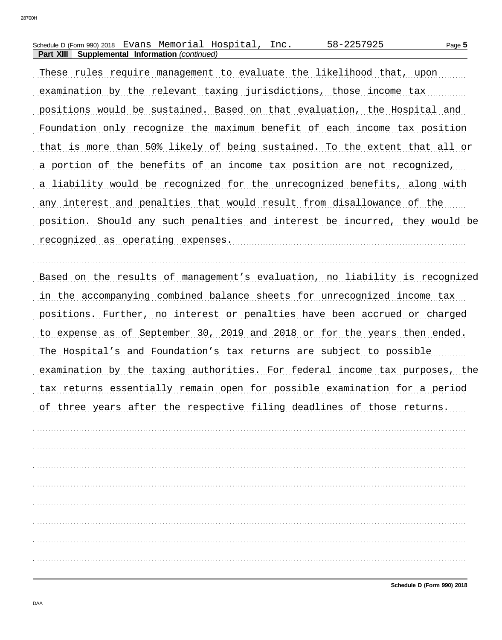| Schedule D (Form 990) 2018 Evans Memorial Hospital, |                                      |  | 58-2257925 | Page 5 |
|-----------------------------------------------------|--------------------------------------|--|------------|--------|
| Part XIII                                           | Supplemental Information (continued) |  |            |        |

These rules require management to evaluate the likelihood that, upon examination by the relevant taxing jurisdictions, those income tax positions would be sustained. Based on that evaluation, the Hospital and Foundation only recognize the maximum benefit of each income tax position that is more than 50% likely of being sustained. To the extent that all or a portion of the benefits of an income tax position are not recognized, a liability would be recognized for the unrecognized benefits, along with any interest and penalties that would result from disallowance of the position. Should any such penalties and interest be incurred, they would be recognized as operating expenses.

Based on the results of management's evaluation, no liability is recognized in the accompanying combined balance sheets for unrecognized income tax positions. Further, no interest or penalties have been accrued or charged to expense as of September 30, 2019 and 2018 or for the years then ended. The Hospital's and Foundation's tax returns are subject to possible examination by the taxing authorities. For federal income tax purposes, the tax returns essentially remain open for possible examination for a period of three years after the respective filing deadlines of those returns.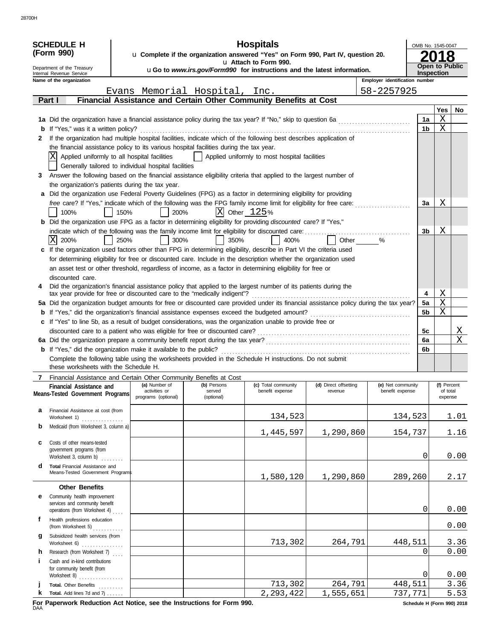|        | <b>SCHEDULE H</b>                                                                                                                                                                                                               |      |                                                                            |                               | <b>Hospitals</b>                                                                                        |                                  |                                      |          | OMB No. 1545-0047       |              |
|--------|---------------------------------------------------------------------------------------------------------------------------------------------------------------------------------------------------------------------------------|------|----------------------------------------------------------------------------|-------------------------------|---------------------------------------------------------------------------------------------------------|----------------------------------|--------------------------------------|----------|-------------------------|--------------|
|        | (Form 990)                                                                                                                                                                                                                      |      |                                                                            |                               | u Complete if the organization answered "Yes" on Form 990, Part IV, question 20.                        |                                  |                                      |          |                         |              |
|        | Department of the Treasury                                                                                                                                                                                                      |      |                                                                            |                               | u Attach to Form 990.<br><b>uGo to www.irs.gov/Form990 for instructions and the latest information.</b> |                                  |                                      |          | <b>Open to Public</b>   |              |
|        | Internal Revenue Service<br>Name of the organization                                                                                                                                                                            |      |                                                                            |                               |                                                                                                         |                                  | Employer identification number       |          | Inspection              |              |
|        |                                                                                                                                                                                                                                 |      |                                                                            | Evans Memorial Hospital, Inc. |                                                                                                         |                                  | 58-2257925                           |          |                         |              |
|        | Part I                                                                                                                                                                                                                          |      |                                                                            |                               | Financial Assistance and Certain Other Community Benefits at Cost                                       |                                  |                                      |          |                         |              |
|        |                                                                                                                                                                                                                                 |      |                                                                            |                               |                                                                                                         |                                  |                                      |          | <b>Yes</b>              | No           |
|        | 1a Did the organization have a financial assistance policy during the tax year? If "No," skip to question 6a                                                                                                                    |      |                                                                            |                               |                                                                                                         |                                  |                                      | 1a       | Χ                       |              |
|        | <b>b</b> If "Yes," was it a written policy?                                                                                                                                                                                     |      |                                                                            |                               |                                                                                                         |                                  |                                      | 1b       | Χ                       |              |
| 2      | If the organization had multiple hospital facilities, indicate which of the following best describes application of                                                                                                             |      |                                                                            |                               |                                                                                                         |                                  |                                      |          |                         |              |
|        | the financial assistance policy to its various hospital facilities during the tax year.<br>Applied uniformly to all hospital facilities                                                                                         |      |                                                                            |                               | Applied uniformly to most hospital facilities                                                           |                                  |                                      |          |                         |              |
|        | Generally tailored to individual hospital facilities                                                                                                                                                                            |      |                                                                            |                               |                                                                                                         |                                  |                                      |          |                         |              |
| 3      | Answer the following based on the financial assistance eligibility criteria that applied to the largest number of                                                                                                               |      |                                                                            |                               |                                                                                                         |                                  |                                      |          |                         |              |
|        | the organization's patients during the tax year.                                                                                                                                                                                |      |                                                                            |                               |                                                                                                         |                                  |                                      |          |                         |              |
|        | a Did the organization use Federal Poverty Guidelines (FPG) as a factor in determining eligibility for providing                                                                                                                |      |                                                                            |                               |                                                                                                         |                                  |                                      |          |                         |              |
|        | free care? If "Yes," indicate which of the following was the FPG family income limit for eligibility for free care:                                                                                                             |      |                                                                            |                               |                                                                                                         |                                  |                                      | За       | Χ                       |              |
|        | 100%                                                                                                                                                                                                                            | 150% | 200%                                                                       |                               | $ X $ Other $125%$                                                                                      |                                  |                                      |          |                         |              |
|        | <b>b</b> Did the organization use FPG as a factor in determining eligibility for providing discounted care? If "Yes,"                                                                                                           |      |                                                                            |                               |                                                                                                         |                                  |                                      |          |                         |              |
|        | indicate which of the following was the family income limit for eligibility for discounted care:                                                                                                                                |      |                                                                            |                               |                                                                                                         |                                  |                                      | 3b       | Χ                       |              |
|        | X<br>200%                                                                                                                                                                                                                       | 250% | 300%                                                                       | 350%                          | 400%                                                                                                    | Other                            | $\%$                                 |          |                         |              |
|        | c If the organization used factors other than FPG in determining eligibility, describe in Part VI the criteria used                                                                                                             |      |                                                                            |                               |                                                                                                         |                                  |                                      |          |                         |              |
|        | for determining eligibility for free or discounted care. Include in the description whether the organization used<br>an asset test or other threshold, regardless of income, as a factor in determining eligibility for free or |      |                                                                            |                               |                                                                                                         |                                  |                                      |          |                         |              |
|        | discounted care.                                                                                                                                                                                                                |      |                                                                            |                               |                                                                                                         |                                  |                                      |          |                         |              |
| 4      | Did the organization's financial assistance policy that applied to the largest number of its patients during the                                                                                                                |      |                                                                            |                               |                                                                                                         |                                  |                                      |          |                         |              |
|        | tax year provide for free or discounted care to the "medically indigent"?                                                                                                                                                       |      |                                                                            |                               |                                                                                                         |                                  |                                      | 4        | Χ                       |              |
|        | 5a Did the organization budget amounts for free or discounted care provided under its financial assistance policy during the tax year?                                                                                          |      |                                                                            |                               |                                                                                                         |                                  |                                      | 5a       | Χ                       |              |
|        | If "Yes," did the organization's financial assistance expenses exceed the budgeted amount?                                                                                                                                      |      |                                                                            |                               |                                                                                                         |                                  |                                      | 5b       | Χ                       |              |
|        | c If "Yes" to line 5b, as a result of budget considerations, was the organization unable to provide free or                                                                                                                     |      |                                                                            |                               |                                                                                                         |                                  |                                      | 5c       |                         |              |
|        |                                                                                                                                                                                                                                 |      | discounted care to a patient who was eligible for free or discounted care? |                               |                                                                                                         |                                  |                                      |          |                         | Χ<br>X       |
|        | <b>b</b> If "Yes," did the organization make it available to the public?                                                                                                                                                        |      |                                                                            |                               |                                                                                                         |                                  |                                      | 6a<br>6b |                         |              |
|        | Complete the following table using the worksheets provided in the Schedule H instructions. Do not submit                                                                                                                        |      |                                                                            |                               |                                                                                                         |                                  |                                      |          |                         |              |
|        | these worksheets with the Schedule H.                                                                                                                                                                                           |      |                                                                            |                               |                                                                                                         |                                  |                                      |          |                         |              |
|        | Financial Assistance and Certain Other Community Benefits at Cost                                                                                                                                                               |      |                                                                            |                               |                                                                                                         |                                  |                                      |          |                         |              |
|        | Financial Assistance and (a) Number of (b) Persons<br>Means-Tested Government Programs                                                                                                                                          |      | activities or                                                              | served                        | (c) Total community<br>benefit expense                                                                  | (d) Direct offsetting<br>revenue | (e) Net community<br>benefit expense |          | (f) Percent<br>of total |              |
|        |                                                                                                                                                                                                                                 |      | programs (optional)                                                        | (optional)                    |                                                                                                         |                                  |                                      |          | expense                 |              |
| a      | Financial Assistance at cost (from                                                                                                                                                                                              |      |                                                                            |                               |                                                                                                         |                                  |                                      |          |                         |              |
|        | Worksheet 1)                                                                                                                                                                                                                    |      |                                                                            |                               | 134,523                                                                                                 |                                  | 134,523                              |          |                         | 1.01         |
| b      | Medicaid (from Worksheet 3, column a)                                                                                                                                                                                           |      |                                                                            |                               | 1,445,597                                                                                               | 1,290,860                        | 154,737                              |          |                         | 1.16         |
| c      | Costs of other means-tested                                                                                                                                                                                                     |      |                                                                            |                               |                                                                                                         |                                  |                                      |          |                         |              |
|        | government programs (from<br>Worksheet 3, column b)                                                                                                                                                                             |      |                                                                            |                               |                                                                                                         |                                  |                                      | 0        |                         | 0.00         |
| d      | Total Financial Assistance and                                                                                                                                                                                                  |      |                                                                            |                               |                                                                                                         |                                  |                                      |          |                         |              |
|        | Means-Tested Government Program\$                                                                                                                                                                                               |      |                                                                            |                               | 1,580,120                                                                                               | 1,290,860                        | 289,260                              |          |                         | 2.17         |
|        | <b>Other Benefits</b>                                                                                                                                                                                                           |      |                                                                            |                               |                                                                                                         |                                  |                                      |          |                         |              |
| е      | Community health improvement                                                                                                                                                                                                    |      |                                                                            |                               |                                                                                                         |                                  |                                      |          |                         |              |
|        | services and community benefit                                                                                                                                                                                                  |      |                                                                            |                               |                                                                                                         |                                  |                                      |          |                         |              |
| f      | operations (from Worksheet 4)                                                                                                                                                                                                   |      |                                                                            |                               |                                                                                                         |                                  |                                      | 0        |                         | 0.00         |
|        | Health professions education<br>(from Worksheet 5) $\ldots$                                                                                                                                                                     |      |                                                                            |                               |                                                                                                         |                                  |                                      |          |                         | 0.00         |
| g      | Subsidized health services (from                                                                                                                                                                                                |      |                                                                            |                               |                                                                                                         |                                  |                                      |          |                         |              |
|        | Worksheet 6)                                                                                                                                                                                                                    |      |                                                                            |                               | 713,302                                                                                                 | 264,791                          | 448,511                              | $\Omega$ |                         | 3.36<br>0.00 |
| h<br>Ť | Research (from Worksheet 7)<br>Cash and in-kind contributions                                                                                                                                                                   |      |                                                                            |                               |                                                                                                         |                                  |                                      |          |                         |              |
|        | for community benefit (from                                                                                                                                                                                                     |      |                                                                            |                               |                                                                                                         |                                  |                                      |          |                         |              |
|        | Worksheet 8)                                                                                                                                                                                                                    |      |                                                                            |                               |                                                                                                         |                                  |                                      | 0        |                         | 0.00         |
|        | Total. Other Benefits                                                                                                                                                                                                           |      |                                                                            |                               | 713,302                                                                                                 | 264,791                          | 448,511                              |          |                         | 3.36         |
| k      | <b>Total.</b> Add lines 7d and $7j$ ,                                                                                                                                                                                           |      |                                                                            |                               | 2, 293, 422                                                                                             | 1,555,651                        | 737,771                              |          |                         | 5.53         |

F<mark>or Paperwork Reduction Act Notice, see the Instructions for Form 990.</mark> **Schedule H** (Form 990) 2018<br>DAA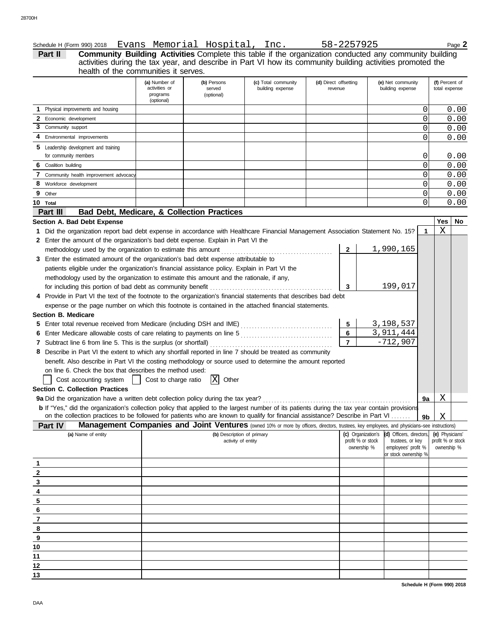|   |                            | Schedule H (Form 990) 2018 Evans Memorial Hospital, Inc.                                                                                              |                                |                                   |                                                                                                                                                     |                                  |                 | 58-2257925                                                  |          |                                 | Page 2 |
|---|----------------------------|-------------------------------------------------------------------------------------------------------------------------------------------------------|--------------------------------|-----------------------------------|-----------------------------------------------------------------------------------------------------------------------------------------------------|----------------------------------|-----------------|-------------------------------------------------------------|----------|---------------------------------|--------|
|   | Part II                    |                                                                                                                                                       |                                |                                   | Community Building Activities Complete this table if the organization conducted any community building                                              |                                  |                 |                                                             |          |                                 |        |
|   |                            | health of the communities it serves.                                                                                                                  |                                |                                   | activities during the tax year, and describe in Part VI how its community building activities promoted the                                          |                                  |                 |                                                             |          |                                 |        |
|   |                            |                                                                                                                                                       |                                |                                   |                                                                                                                                                     |                                  |                 |                                                             |          |                                 |        |
|   |                            |                                                                                                                                                       | (a) Number of<br>activities or | (b) Persons<br>served             | (c) Total community<br>building expense                                                                                                             | (d) Direct offsetting<br>revenue |                 | (e) Net community<br>building expense                       |          | (f) Percent of<br>total expense |        |
|   |                            |                                                                                                                                                       | programs                       | (optional)                        |                                                                                                                                                     |                                  |                 |                                                             |          |                                 |        |
|   |                            |                                                                                                                                                       | (optional)                     |                                   |                                                                                                                                                     |                                  |                 |                                                             |          |                                 |        |
|   |                            | Physical improvements and housing                                                                                                                     |                                |                                   |                                                                                                                                                     |                                  |                 |                                                             | 0        |                                 | 0.00   |
|   | 2 Economic development     |                                                                                                                                                       |                                |                                   |                                                                                                                                                     |                                  |                 |                                                             | 0        |                                 | 0.00   |
|   | 3 Community support        |                                                                                                                                                       |                                |                                   |                                                                                                                                                     |                                  |                 |                                                             | 0        |                                 | 0.00   |
|   |                            | 4 Environmental improvements                                                                                                                          |                                |                                   |                                                                                                                                                     |                                  |                 |                                                             | 0        |                                 | 0.00   |
|   |                            | 5 Leadership development and training                                                                                                                 |                                |                                   |                                                                                                                                                     |                                  |                 |                                                             |          |                                 |        |
|   | for community members      |                                                                                                                                                       |                                |                                   |                                                                                                                                                     |                                  |                 |                                                             | 0        |                                 | 0.00   |
| 6 | Coalition building         |                                                                                                                                                       |                                |                                   |                                                                                                                                                     |                                  |                 |                                                             | 0        |                                 | 0.00   |
| 7 |                            | Community health improvement advocacy                                                                                                                 |                                |                                   |                                                                                                                                                     |                                  |                 |                                                             | 0        |                                 | 0.00   |
| 8 | Workforce development      |                                                                                                                                                       |                                |                                   |                                                                                                                                                     |                                  |                 |                                                             | $\Omega$ |                                 | 0.00   |
|   | 9 Other                    |                                                                                                                                                       |                                |                                   |                                                                                                                                                     |                                  |                 |                                                             | 0        |                                 | 0.00   |
|   | 10 Total                   |                                                                                                                                                       |                                |                                   |                                                                                                                                                     |                                  |                 |                                                             | $\Omega$ |                                 | 0.00   |
|   | Part III                   | Bad Debt, Medicare, & Collection Practices                                                                                                            |                                |                                   |                                                                                                                                                     |                                  |                 |                                                             |          |                                 |        |
|   |                            | Section A. Bad Debt Expense                                                                                                                           |                                |                                   |                                                                                                                                                     |                                  |                 |                                                             |          | Yes                             | No     |
|   |                            | 1 Did the organization report bad debt expense in accordance with Healthcare Financial Management Association Statement No. 15?                       |                                |                                   |                                                                                                                                                     |                                  |                 |                                                             | 1        | X                               |        |
|   |                            | 2 Enter the amount of the organization's bad debt expense. Explain in Part VI the                                                                     |                                |                                   |                                                                                                                                                     |                                  |                 |                                                             |          |                                 |        |
|   |                            | methodology used by the organization to estimate this amount                                                                                          |                                |                                   |                                                                                                                                                     |                                  | $\mathbf{2}$    | 1,990,165                                                   |          |                                 |        |
|   |                            | 3 Enter the estimated amount of the organization's bad debt expense attributable to                                                                   |                                |                                   |                                                                                                                                                     |                                  |                 |                                                             |          |                                 |        |
|   |                            | patients eligible under the organization's financial assistance policy. Explain in Part VI the                                                        |                                |                                   |                                                                                                                                                     |                                  |                 |                                                             |          |                                 |        |
|   |                            | methodology used by the organization to estimate this amount and the rationale, if any,                                                               |                                |                                   |                                                                                                                                                     |                                  |                 |                                                             |          |                                 |        |
|   |                            |                                                                                                                                                       |                                |                                   |                                                                                                                                                     |                                  | 3               | 199,017                                                     |          |                                 |        |
|   |                            | 4 Provide in Part VI the text of the footnote to the organization's financial statements that describes bad debt                                      |                                |                                   |                                                                                                                                                     |                                  |                 |                                                             |          |                                 |        |
|   |                            | expense or the page number on which this footnote is contained in the attached financial statements.                                                  |                                |                                   |                                                                                                                                                     |                                  |                 |                                                             |          |                                 |        |
|   | <b>Section B. Medicare</b> |                                                                                                                                                       |                                |                                   |                                                                                                                                                     |                                  |                 |                                                             |          |                                 |        |
|   |                            |                                                                                                                                                       |                                |                                   |                                                                                                                                                     |                                  | $5\phantom{.0}$ | 3,198,537                                                   |          |                                 |        |
|   |                            |                                                                                                                                                       |                                |                                   |                                                                                                                                                     |                                  | $6\phantom{a}$  | 3,911,444                                                   |          |                                 |        |
|   |                            |                                                                                                                                                       |                                |                                   |                                                                                                                                                     |                                  | $\overline{7}$  | $-712,907$                                                  |          |                                 |        |
|   |                            | 8 Describe in Part VI the extent to which any shortfall reported in line 7 should be treated as community                                             |                                |                                   |                                                                                                                                                     |                                  |                 |                                                             |          |                                 |        |
|   |                            | benefit. Also describe in Part VI the costing methodology or source used to determine the amount reported                                             |                                |                                   |                                                                                                                                                     |                                  |                 |                                                             |          |                                 |        |
|   |                            | on line 6. Check the box that describes the method used:                                                                                              |                                |                                   |                                                                                                                                                     |                                  |                 |                                                             |          |                                 |        |
|   |                            | Cost accounting system                                                                                                                                | Cost to charge ratio           | $\vert \mathrm{X} \vert$<br>Other |                                                                                                                                                     |                                  |                 |                                                             |          |                                 |        |
|   |                            | <b>Section C. Collection Practices</b>                                                                                                                |                                |                                   |                                                                                                                                                     |                                  |                 |                                                             |          |                                 |        |
|   |                            | 9a Did the organization have a written debt collection policy during the tax year?                                                                    |                                |                                   |                                                                                                                                                     |                                  |                 |                                                             | 9a       | Χ                               |        |
|   |                            | <b>b</b> If "Yes," did the organization's collection policy that applied to the largest number of its patients during the tax year contain provisions |                                |                                   |                                                                                                                                                     |                                  |                 |                                                             |          |                                 |        |
|   |                            | on the collection practices to be followed for patients who are known to qualify for financial assistance? Describe in Part VI                        |                                |                                   |                                                                                                                                                     |                                  |                 |                                                             | 9b       | X                               |        |
|   | Part IV                    |                                                                                                                                                       |                                |                                   | <b>Management Companies and Joint Ventures</b> (owned 10% or more by officers, directors, trustees, key employees, and physicians–see instructions) |                                  |                 |                                                             |          |                                 |        |
|   |                            | (a) Name of entity                                                                                                                                    |                                | (b) Description of primary        |                                                                                                                                                     |                                  |                 | (c) Organization's (d) Officers, directors, (e) Physicians' |          |                                 |        |

| (a) Name of entity      | (b) Description of primary<br>activity of entity | profit % or stock<br>ownership % | (c) Organization's (d) Officers, directors,<br>trustees, or key<br>employees' profit %<br>or stock ownership % | (e) Physicians'<br>profit % or stock<br>ownership % |
|-------------------------|--------------------------------------------------|----------------------------------|----------------------------------------------------------------------------------------------------------------|-----------------------------------------------------|
|                         |                                                  |                                  |                                                                                                                |                                                     |
| 2                       |                                                  |                                  |                                                                                                                |                                                     |
| 3                       |                                                  |                                  |                                                                                                                |                                                     |
| 4                       |                                                  |                                  |                                                                                                                |                                                     |
| 5                       |                                                  |                                  |                                                                                                                |                                                     |
| 6                       |                                                  |                                  |                                                                                                                |                                                     |
|                         |                                                  |                                  |                                                                                                                |                                                     |
| 8                       |                                                  |                                  |                                                                                                                |                                                     |
| $\overline{\mathbf{e}}$ |                                                  |                                  |                                                                                                                |                                                     |
| 10                      |                                                  |                                  |                                                                                                                |                                                     |
| 11                      |                                                  |                                  |                                                                                                                |                                                     |
| 12                      |                                                  |                                  |                                                                                                                |                                                     |
| 13                      |                                                  |                                  |                                                                                                                |                                                     |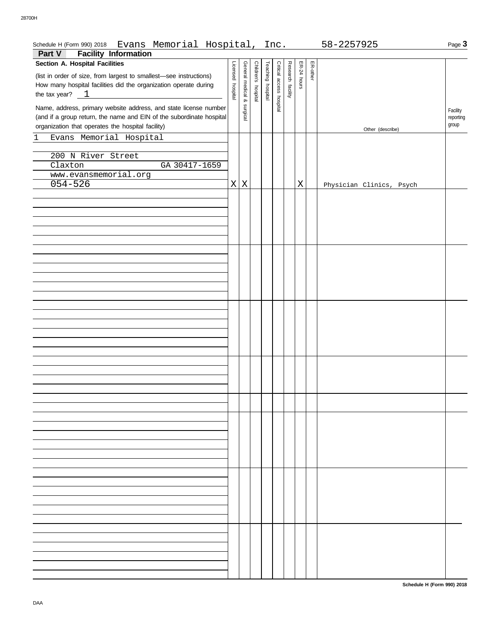| Evans Memorial Hospital, Inc.<br>Schedule H (Form 990) 2018                        |                   |                   |                     |                   |                          |                   |             |          | 58-2257925               | Page 3    |
|------------------------------------------------------------------------------------|-------------------|-------------------|---------------------|-------------------|--------------------------|-------------------|-------------|----------|--------------------------|-----------|
| <b>Facility Information</b><br>Part V                                              |                   |                   |                     |                   |                          |                   |             |          |                          |           |
| Section A. Hospital Facilities                                                     | Licensed hospital | General medical & | Children's hospital | Teaching hospital | Critical access hospital | Research facility | ER-24 hours | ER-other |                          |           |
| (list in order of size, from largest to smallest-see instructions)                 |                   |                   |                     |                   |                          |                   |             |          |                          |           |
| How many hospital facilities did the organization operate during                   |                   |                   |                     |                   |                          |                   |             |          |                          |           |
| the tax year? $\_\_1$<br><u> 1980 - Andrea Station Books, amerikansk politik (</u> |                   |                   |                     |                   |                          |                   |             |          |                          |           |
| Name, address, primary website address, and state license number                   |                   |                   |                     |                   |                          |                   |             |          |                          | Facility  |
| (and if a group return, the name and EIN of the subordinate hospital               |                   | surgical          |                     |                   |                          |                   |             |          |                          | reporting |
| organization that operates the hospital facility)                                  |                   |                   |                     |                   |                          |                   |             |          | Other (describe)         | group     |
| Evans Memorial Hospital<br>1                                                       |                   |                   |                     |                   |                          |                   |             |          |                          |           |
|                                                                                    |                   |                   |                     |                   |                          |                   |             |          |                          |           |
| 200 N River Street                                                                 |                   |                   |                     |                   |                          |                   |             |          |                          |           |
| Claxton<br>GA 30417-1659                                                           |                   |                   |                     |                   |                          |                   |             |          |                          |           |
| www.evansmemorial.org                                                              |                   |                   |                     |                   |                          |                   |             |          |                          |           |
| $054 - 526$                                                                        | $\mathbf{X}$      | X                 |                     |                   |                          |                   | X           |          | Physician Clinics, Psych |           |
|                                                                                    |                   |                   |                     |                   |                          |                   |             |          |                          |           |
|                                                                                    |                   |                   |                     |                   |                          |                   |             |          |                          |           |
|                                                                                    |                   |                   |                     |                   |                          |                   |             |          |                          |           |
|                                                                                    |                   |                   |                     |                   |                          |                   |             |          |                          |           |
|                                                                                    |                   |                   |                     |                   |                          |                   |             |          |                          |           |
|                                                                                    |                   |                   |                     |                   |                          |                   |             |          |                          |           |
|                                                                                    |                   |                   |                     |                   |                          |                   |             |          |                          |           |
|                                                                                    |                   |                   |                     |                   |                          |                   |             |          |                          |           |
|                                                                                    |                   |                   |                     |                   |                          |                   |             |          |                          |           |
|                                                                                    |                   |                   |                     |                   |                          |                   |             |          |                          |           |
|                                                                                    |                   |                   |                     |                   |                          |                   |             |          |                          |           |
|                                                                                    |                   |                   |                     |                   |                          |                   |             |          |                          |           |
|                                                                                    |                   |                   |                     |                   |                          |                   |             |          |                          |           |
|                                                                                    |                   |                   |                     |                   |                          |                   |             |          |                          |           |
|                                                                                    |                   |                   |                     |                   |                          |                   |             |          |                          |           |
|                                                                                    |                   |                   |                     |                   |                          |                   |             |          |                          |           |
|                                                                                    |                   |                   |                     |                   |                          |                   |             |          |                          |           |
|                                                                                    |                   |                   |                     |                   |                          |                   |             |          |                          |           |
|                                                                                    |                   |                   |                     |                   |                          |                   |             |          |                          |           |
|                                                                                    |                   |                   |                     |                   |                          |                   |             |          |                          |           |
|                                                                                    |                   |                   |                     |                   |                          |                   |             |          |                          |           |
|                                                                                    |                   |                   |                     |                   |                          |                   |             |          |                          |           |
|                                                                                    |                   |                   |                     |                   |                          |                   |             |          |                          |           |
|                                                                                    |                   |                   |                     |                   |                          |                   |             |          |                          |           |
|                                                                                    |                   |                   |                     |                   |                          |                   |             |          |                          |           |
|                                                                                    |                   |                   |                     |                   |                          |                   |             |          |                          |           |
|                                                                                    |                   |                   |                     |                   |                          |                   |             |          |                          |           |
|                                                                                    |                   |                   |                     |                   |                          |                   |             |          |                          |           |
|                                                                                    |                   |                   |                     |                   |                          |                   |             |          |                          |           |
|                                                                                    |                   |                   |                     |                   |                          |                   |             |          |                          |           |
|                                                                                    |                   |                   |                     |                   |                          |                   |             |          |                          |           |
|                                                                                    |                   |                   |                     |                   |                          |                   |             |          |                          |           |
|                                                                                    |                   |                   |                     |                   |                          |                   |             |          |                          |           |
|                                                                                    |                   |                   |                     |                   |                          |                   |             |          |                          |           |
|                                                                                    |                   |                   |                     |                   |                          |                   |             |          |                          |           |
|                                                                                    |                   |                   |                     |                   |                          |                   |             |          |                          |           |
|                                                                                    |                   |                   |                     |                   |                          |                   |             |          |                          |           |
|                                                                                    |                   |                   |                     |                   |                          |                   |             |          |                          |           |
|                                                                                    |                   |                   |                     |                   |                          |                   |             |          |                          |           |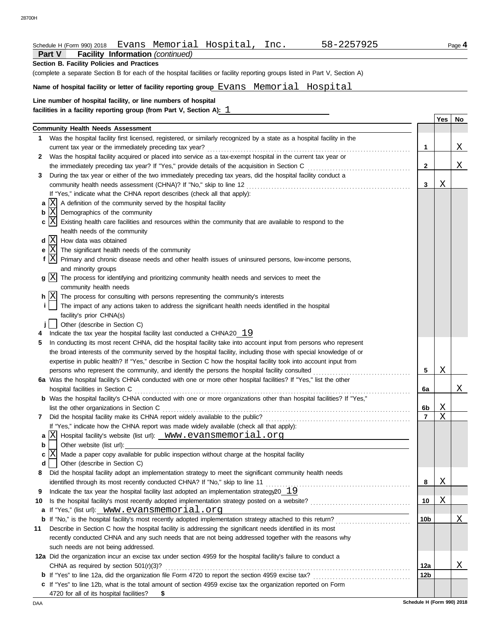# Schedule H (Form 990) 2018 Evans Memorial Hospital, Inc. 58-2257925

**Facility Information** *(continued)* **Part V**

**Section B. Facility Policies and Practices**

(complete a separate Section B for each of the hospital facilities or facility reporting groups listed in Part V, Section A)

**Name of hospital facility or letter of facility reporting group** Evans Memorial Hospital

## **Line number of hospital facility, or line numbers of hospital**

**facilities in a facility reporting group (from Part V, Section A):** 1

|     |                                                                                                                              |                            | Yes                       | No.      |
|-----|------------------------------------------------------------------------------------------------------------------------------|----------------------------|---------------------------|----------|
|     | <b>Community Health Needs Assessment</b>                                                                                     |                            |                           |          |
| 1   | Was the hospital facility first licensed, registered, or similarly recognized by a state as a hospital facility in the       |                            |                           |          |
|     | current tax year or the immediately preceding tax year?                                                                      | 1                          |                           | <u>X</u> |
| 2   | Was the hospital facility acquired or placed into service as a tax-exempt hospital in the current tax year or                |                            |                           |          |
|     | the immediately preceding tax year? If "Yes," provide details of the acquisition in Section C                                | $\mathbf{2}$               |                           | <u>X</u> |
| 3   | During the tax year or either of the two immediately preceding tax years, did the hospital facility conduct a                |                            |                           |          |
|     | community health needs assessment (CHNA)? If "No," skip to line 12                                                           | 3                          | $\boldsymbol{\mathrm{X}}$ |          |
|     | If "Yes," indicate what the CHNA report describes (check all that apply):                                                    |                            |                           |          |
| a   | ΙX<br>A definition of the community served by the hospital facility                                                          |                            |                           |          |
| b   | Demographics of the community<br>ΙX                                                                                          |                            |                           |          |
|     |                                                                                                                              |                            |                           |          |
|     | c $ X $<br>Existing health care facilities and resources within the community that are available to respond to the           |                            |                           |          |
|     | health needs of the community                                                                                                |                            |                           |          |
|     | $d \mid X$<br>How data was obtained                                                                                          |                            |                           |          |
|     | $e \mid X$<br>The significant health needs of the community                                                                  |                            |                           |          |
|     | f $ X $<br>Primary and chronic disease needs and other health issues of uninsured persons, low-income persons,               |                            |                           |          |
|     | and minority groups                                                                                                          |                            |                           |          |
|     | g[X]<br>The process for identifying and prioritizing community health needs and services to meet the                         |                            |                           |          |
|     | community health needs                                                                                                       |                            |                           |          |
|     | h X <br>The process for consulting with persons representing the community's interests                                       |                            |                           |          |
| Î.  | The impact of any actions taken to address the significant health needs identified in the hospital                           |                            |                           |          |
|     | facility's prior CHNA(s)                                                                                                     |                            |                           |          |
|     | Other (describe in Section C)                                                                                                |                            |                           |          |
|     | Indicate the tax year the hospital facility last conducted a CHNA20 $\,$ 19                                                  |                            |                           |          |
| 5   | In conducting its most recent CHNA, did the hospital facility take into account input from persons who represent             |                            |                           |          |
|     | the broad interests of the community served by the hospital facility, including those with special knowledge of or           |                            |                           |          |
|     | expertise in public health? If "Yes," describe in Section C how the hospital facility took into account input from           |                            |                           |          |
|     | persons who represent the community, and identify the persons the hospital facility consulted                                | 5                          | Χ                         |          |
|     | 6a Was the hospital facility's CHNA conducted with one or more other hospital facilities? If "Yes," list the other           |                            |                           |          |
|     | hospital facilities in Section C                                                                                             | 6a                         |                           | X        |
|     | <b>b</b> Was the hospital facility's CHNA conducted with one or more organizations other than hospital facilities? If "Yes," |                            |                           |          |
|     | list the other organizations in Section C                                                                                    | 6b                         | X                         |          |
| 7   | Did the hospital facility make its CHNA report widely available to the public?                                               | $\overline{7}$             | X                         |          |
|     | If "Yes," indicate how the CHNA report was made widely available (check all that apply):                                     |                            |                           |          |
|     | a X                                                                                                                          |                            |                           |          |
|     |                                                                                                                              |                            |                           |          |
| b   | Other website (list url):                                                                                                    |                            |                           |          |
| с   | ΙXΙ<br>Made a paper copy available for public inspection without charge at the hospital facility                             |                            |                           |          |
|     | Other (describe in Section C)                                                                                                |                            |                           |          |
| 8   | Did the hospital facility adopt an implementation strategy to meet the significant community health needs                    |                            |                           |          |
|     | identified through its most recently conducted CHNA? If "No," skip to line 11                                                | 8                          | Χ                         |          |
| 9   | Indicate the tax year the hospital facility last adopted an implementation strategy $20\quad 19$                             |                            |                           |          |
| 10  |                                                                                                                              | 10                         | X                         |          |
|     | a If "Yes," (list url): www.evansmemorial.org                                                                                |                            |                           |          |
|     | <b>b</b> If "No," is the hospital facility's most recently adopted implementation strategy attached to this return?          | 10b                        |                           | X        |
| 11  | Describe in Section C how the hospital facility is addressing the significant needs identified in its most                   |                            |                           |          |
|     | recently conducted CHNA and any such needs that are not being addressed together with the reasons why                        |                            |                           |          |
|     | such needs are not being addressed.                                                                                          |                            |                           |          |
|     | 12a Did the organization incur an excise tax under section 4959 for the hospital facility's failure to conduct a             |                            |                           |          |
|     | CHNA as required by section 501(r)(3)?                                                                                       | 12a                        |                           | X        |
|     |                                                                                                                              | 12b                        |                           |          |
|     | c If "Yes" to line 12b, what is the total amount of section 4959 excise tax the organization reported on Form                |                            |                           |          |
|     | 4720 for all of its hospital facilities?<br>\$                                                                               |                            |                           |          |
| DAA |                                                                                                                              | Schedule H (Form 990) 2018 |                           |          |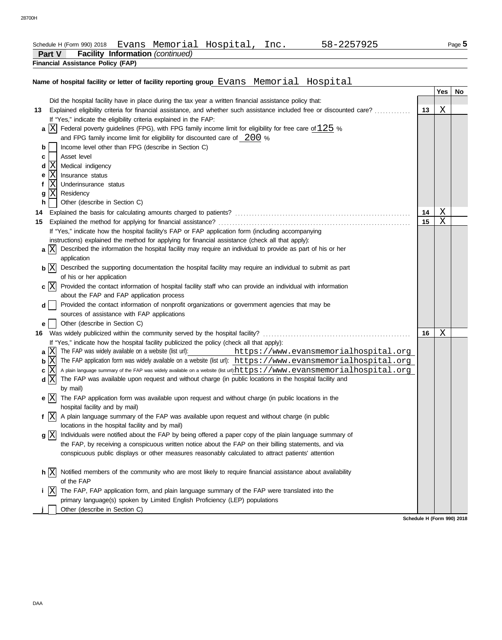| Evans Memorial Hospital, Inc. | Schedule H (Form 990) 2018 |  |  |  |  | 58-2257925 |
|-------------------------------|----------------------------|--|--|--|--|------------|
|-------------------------------|----------------------------|--|--|--|--|------------|

| <b>Facility Information (continued)</b><br><b>Part V</b>                                                                     |    |            |    |  |  |  |
|------------------------------------------------------------------------------------------------------------------------------|----|------------|----|--|--|--|
| <b>Financial Assistance Policy (FAP)</b>                                                                                     |    |            |    |  |  |  |
|                                                                                                                              |    |            |    |  |  |  |
| Name of hospital facility or letter of facility reporting group Evans Memorial Hospital                                      |    |            |    |  |  |  |
|                                                                                                                              |    | <b>Yes</b> | No |  |  |  |
| Did the hospital facility have in place during the tax year a written financial assistance policy that:                      |    |            |    |  |  |  |
| Explained eligibility criteria for financial assistance, and whether such assistance included free or discounted care?<br>13 | 13 | X          |    |  |  |  |
| If "Yes," indicate the eligibility criteria explained in the FAP:                                                            |    |            |    |  |  |  |
| a $ X $<br>Federal poverty guidelines (FPG), with FPG family income limit for eligibility for free care of $125$ %           |    |            |    |  |  |  |
| and FPG family income limit for eligibility for discounted care of $200\%$                                                   |    |            |    |  |  |  |
| Income level other than FPG (describe in Section C)<br>b                                                                     |    |            |    |  |  |  |
| Asset level<br>c                                                                                                             |    |            |    |  |  |  |
| Medical indigency<br>d                                                                                                       |    |            |    |  |  |  |
| Insurance status<br>e                                                                                                        |    |            |    |  |  |  |
| ΙX<br>Underinsurance status                                                                                                  |    |            |    |  |  |  |
| Residency<br>g                                                                                                               |    |            |    |  |  |  |
| h.<br>Other (describe in Section C)                                                                                          |    |            |    |  |  |  |
| 14                                                                                                                           | 14 | Χ          |    |  |  |  |
| 15                                                                                                                           | 15 | Χ          |    |  |  |  |

DAA

|   |                             | If "Yes," indicate how the hospital facility's FAP or FAP application form (including accompanying                    |    |                |
|---|-----------------------------|-----------------------------------------------------------------------------------------------------------------------|----|----------------|
|   |                             | instructions) explained the method for applying for financial assistance (check all that apply):                      |    |                |
|   | a X                         | Described the information the hospital facility may require an individual to provide as part of his or her            |    |                |
|   |                             | application                                                                                                           |    |                |
|   | $\mathbf{b}$ $ \mathbf{X} $ | Described the supporting documentation the hospital facility may require an individual to submit as part              |    |                |
|   |                             | of his or her application                                                                                             |    |                |
|   | $c \vert X \vert$           | Provided the contact information of hospital facility staff who can provide an individual with information            |    |                |
|   |                             | about the FAP and FAP application process                                                                             |    |                |
|   | dl                          | Provided the contact information of nonprofit organizations or government agencies that may be                        |    |                |
|   |                             | sources of assistance with FAP applications                                                                           |    |                |
| е |                             | Other (describe in Section C)                                                                                         |    |                |
|   |                             |                                                                                                                       | 16 | $\overline{X}$ |
|   |                             | If "Yes," indicate how the hospital facility publicized the policy (check all that apply):                            |    |                |
|   | a IX                        | The FAP was widely available on a website (list url):<br>https://www.evansmemorialhospital.org                        |    |                |
| b | ΙXΙ                         | The FAP application form was widely available on a website (list url): https://www.evansmemorialhospital.org          |    |                |
|   | $c \vert X \vert$           | A plain language summary of the FAP was widely available on a website (list url)https://www.evansmemorialhospital.org |    |                |
|   | d X                         | The FAP was available upon request and without charge (in public locations in the hospital facility and               |    |                |
|   |                             | by mail)                                                                                                              |    |                |
|   | e X                         | The FAP application form was available upon request and without charge (in public locations in the                    |    |                |
|   |                             | hospital facility and by mail)                                                                                        |    |                |
|   | f $ X $                     | A plain language summary of the FAP was available upon request and without charge (in public                          |    |                |
|   |                             | locations in the hospital facility and by mail)                                                                       |    |                |
|   | g X                         | Individuals were notified about the FAP by being offered a paper copy of the plain language summary of                |    |                |
|   |                             | the FAP, by receiving a conspicuous written notice about the FAP on their billing statements, and via                 |    |                |
|   |                             | conspicuous public displays or other measures reasonably calculated to attract patients' attention                    |    |                |
|   |                             |                                                                                                                       |    |                |
|   | h X                         | Notified members of the community who are most likely to require financial assistance about availability              |    |                |
|   |                             | of the FAP                                                                                                            |    |                |
|   | X                           | The FAP, FAP application form, and plain language summary of the FAP were translated into the                         |    |                |
|   |                             | primary language(s) spoken by Limited English Proficiency (LEP) populations                                           |    |                |
|   |                             | Other (describe in Section C)                                                                                         |    |                |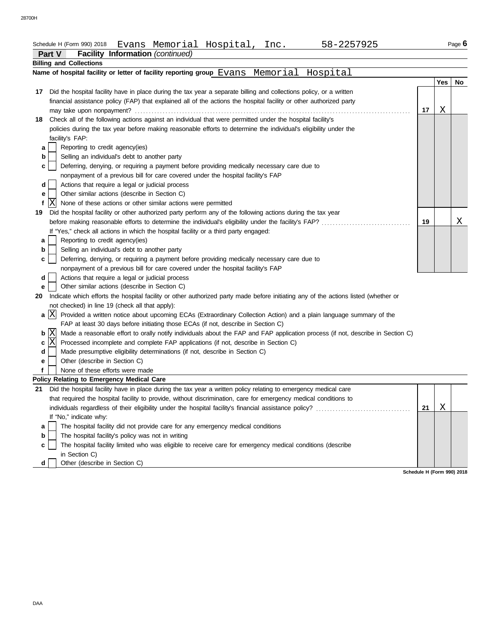|    | Evans Memorial Hospital, Inc.<br>58-2257925<br>Schedule H (Form 990) 2018                                                                                                                                           |    |     | Page 6 |
|----|---------------------------------------------------------------------------------------------------------------------------------------------------------------------------------------------------------------------|----|-----|--------|
|    | <b>Facility Information (continued)</b><br><b>Part V</b>                                                                                                                                                            |    |     |        |
|    | <b>Billing and Collections</b>                                                                                                                                                                                      |    |     |        |
|    | Name of hospital facility or letter of facility reporting group Evans Memorial<br>Hospital                                                                                                                          |    |     |        |
|    |                                                                                                                                                                                                                     |    | Yes | No     |
| 17 | Did the hospital facility have in place during the tax year a separate billing and collections policy, or a written                                                                                                 |    |     |        |
|    | financial assistance policy (FAP) that explained all of the actions the hospital facility or other authorized party                                                                                                 |    |     |        |
|    |                                                                                                                                                                                                                     | 17 | X   |        |
|    | 18 Check all of the following actions against an individual that were permitted under the hospital facility's                                                                                                       |    |     |        |
|    | policies during the tax year before making reasonable efforts to determine the individual's eligibility under the                                                                                                   |    |     |        |
|    | facility's FAP:                                                                                                                                                                                                     |    |     |        |
| а  | Reporting to credit agency(ies)                                                                                                                                                                                     |    |     |        |
| b  | Selling an individual's debt to another party                                                                                                                                                                       |    |     |        |
| c  | Deferring, denying, or requiring a payment before providing medically necessary care due to                                                                                                                         |    |     |        |
|    | nonpayment of a previous bill for care covered under the hospital facility's FAP                                                                                                                                    |    |     |        |
| d  | Actions that require a legal or judicial process                                                                                                                                                                    |    |     |        |
| е  | Other similar actions (describe in Section C)                                                                                                                                                                       |    |     |        |
| f  | lΧ<br>None of these actions or other similar actions were permitted                                                                                                                                                 |    |     |        |
| 19 | Did the hospital facility or other authorized party perform any of the following actions during the tax year                                                                                                        |    |     |        |
|    |                                                                                                                                                                                                                     | 19 |     | Χ      |
|    | If "Yes," check all actions in which the hospital facility or a third party engaged:                                                                                                                                |    |     |        |
| а  | Reporting to credit agency(ies)                                                                                                                                                                                     |    |     |        |
| b  | Selling an individual's debt to another party                                                                                                                                                                       |    |     |        |
| c  | Deferring, denying, or requiring a payment before providing medically necessary care due to                                                                                                                         |    |     |        |
|    | nonpayment of a previous bill for care covered under the hospital facility's FAP                                                                                                                                    |    |     |        |
| d  | Actions that require a legal or judicial process                                                                                                                                                                    |    |     |        |
|    | Other similar actions (describe in Section C)                                                                                                                                                                       |    |     |        |
| е  |                                                                                                                                                                                                                     |    |     |        |
| 20 | Indicate which efforts the hospital facility or other authorized party made before initiating any of the actions listed (whether or                                                                                 |    |     |        |
|    | not checked) in line 19 (check all that apply):                                                                                                                                                                     |    |     |        |
|    | a $ X $<br>Provided a written notice about upcoming ECAs (Extraordinary Collection Action) and a plain language summary of the<br>FAP at least 30 days before initiating those ECAs (if not, describe in Section C) |    |     |        |
|    | $\mathbf{b}$ $\vert$ $\mathbf{X}$<br>Made a reasonable effort to orally notify individuals about the FAP and FAP application process (if not, describe in Section C)                                                |    |     |        |
| c  | lx<br>Processed incomplete and complete FAP applications (if not, describe in Section C)                                                                                                                            |    |     |        |
| d  | Made presumptive eligibility determinations (if not, describe in Section C)                                                                                                                                         |    |     |        |
| е  | Other (describe in Section C)                                                                                                                                                                                       |    |     |        |
| f  | None of these efforts were made                                                                                                                                                                                     |    |     |        |
|    | <b>Policy Relating to Emergency Medical Care</b>                                                                                                                                                                    |    |     |        |
| 21 | Did the hospital facility have in place during the tax year a written policy relating to emergency medical care                                                                                                     |    |     |        |
|    | that required the hospital facility to provide, without discrimination, care for emergency medical conditions to                                                                                                    |    |     |        |
|    |                                                                                                                                                                                                                     | 21 | Χ   |        |
|    | If "No," indicate why:                                                                                                                                                                                              |    |     |        |
| а  | The hospital facility did not provide care for any emergency medical conditions                                                                                                                                     |    |     |        |
| b  | The hospital facility's policy was not in writing                                                                                                                                                                   |    |     |        |
| с  | The hospital facility limited who was eligible to receive care for emergency medical conditions (describe                                                                                                           |    |     |        |
|    | in Section C)                                                                                                                                                                                                       |    |     |        |
| d  | Other (describe in Section C)                                                                                                                                                                                       |    |     |        |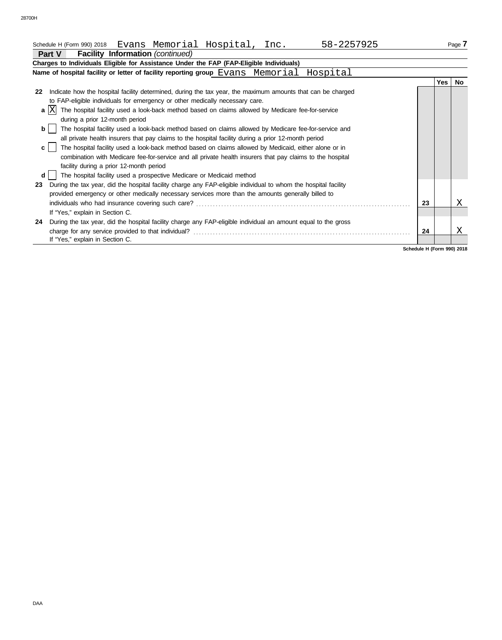| Schedule H (Form 990) 2018 Evans Memorial Hospital, Inc.<br>58-2257925                                                |    |     | Page /    |  |  |
|-----------------------------------------------------------------------------------------------------------------------|----|-----|-----------|--|--|
| <b>Facility Information</b> (continued)<br>Part V                                                                     |    |     |           |  |  |
| Charges to Individuals Eligible for Assistance Under the FAP (FAP-Eligible Individuals)                               |    |     |           |  |  |
| Name of hospital facility or letter of facility reporting group Evans Memorial Hospital                               |    |     |           |  |  |
|                                                                                                                       |    | Yes | <b>No</b> |  |  |
| Indicate how the hospital facility determined, during the tax year, the maximum amounts that can be charged<br>22     |    |     |           |  |  |
| to FAP-eligible individuals for emergency or other medically necessary care.                                          |    |     |           |  |  |
| The hospital facility used a look-back method based on claims allowed by Medicare fee-for-service<br>a                |    |     |           |  |  |
| during a prior 12-month period                                                                                        |    |     |           |  |  |
| The hospital facility used a look-back method based on claims allowed by Medicare fee-for-service and<br><b>b</b>     |    |     |           |  |  |
| all private health insurers that pay claims to the hospital facility during a prior 12-month period                   |    |     |           |  |  |
| The hospital facility used a look-back method based on claims allowed by Medicaid, either alone or in<br>$\mathbf{c}$ |    |     |           |  |  |
| combination with Medicare fee-for-service and all private health insurers that pay claims to the hospital             |    |     |           |  |  |
| facility during a prior 12-month period                                                                               |    |     |           |  |  |
| The hospital facility used a prospective Medicare or Medicaid method<br>d                                             |    |     |           |  |  |
| During the tax year, did the hospital facility charge any FAP-eligible individual to whom the hospital facility<br>23 |    |     |           |  |  |
| provided emergency or other medically necessary services more than the amounts generally billed to                    |    |     |           |  |  |
|                                                                                                                       | 23 |     | х         |  |  |
| If "Yes," explain in Section C.                                                                                       |    |     |           |  |  |
| During the tax year, did the hospital facility charge any FAP-eligible individual an amount equal to the gross<br>24  |    |     |           |  |  |
|                                                                                                                       | 24 |     | Χ         |  |  |
| If "Yes," explain in Section C.                                                                                       |    |     |           |  |  |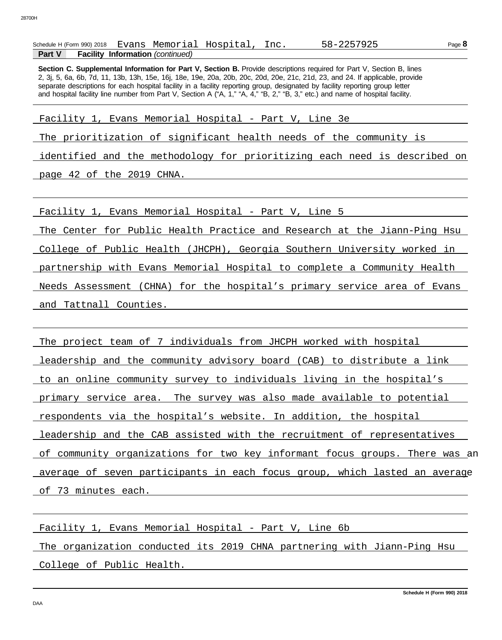|               | Schedule H (Form 990) 2018 |                                         | Evans Memorial Hospital, Inc. | 58-2257925 |
|---------------|----------------------------|-----------------------------------------|-------------------------------|------------|
| <b>Part V</b> |                            | <b>Facility Information</b> (continued) |                               |            |

2, 3j, 5, 6a, 6b, 7d, 11, 13b, 13h, 15e, 16j, 18e, 19e, 20a, 20b, 20c, 20d, 20e, 21c, 21d, 23, and 24. If applicable, provide separate descriptions for each hospital facility in a facility reporting group, designated by facility reporting group letter **Section C. Supplemental Information for Part V. Section B.** Provide descriptions required for Part V. Section B. lines and hospital facility line number from Part V, Section A ("A, 1," "A, 4," "B, 2," "B, 3," etc.) and name of hospital facility.

Facility 1, Evans Memorial Hospital - Part V, Line 3e

The prioritization of significant health needs of the community is

identified and the methodology for prioritizing each need is described on

page 42 of the 2019 CHNA.

Facility 1, Evans Memorial Hospital - Part V, Line 5

The Center for Public Health Practice and Research at the Jiann-Ping Hsu

College of Public Health (JHCPH), Georgia Southern University worked in

partnership with Evans Memorial Hospital to complete a Community Health

Needs Assessment (CHNA) for the hospital's primary service area of Evans and Tattnall Counties.

The project team of 7 individuals from JHCPH worked with hospital leadership and the community advisory board (CAB) to distribute a link to an online community survey to individuals living in the hospital's primary service area. The survey was also made available to potential respondents via the hospital's website. In addition, the hospital leadership and the CAB assisted with the recruitment of representatives of community organizations for two key informant focus groups. There was an average of seven participants in each focus group, which lasted an average of 73 minutes each.

Facility 1, Evans Memorial Hospital - Part V, Line 6b

The organization conducted its 2019 CHNA partnering with Jiann-Ping Hsu College of Public Health.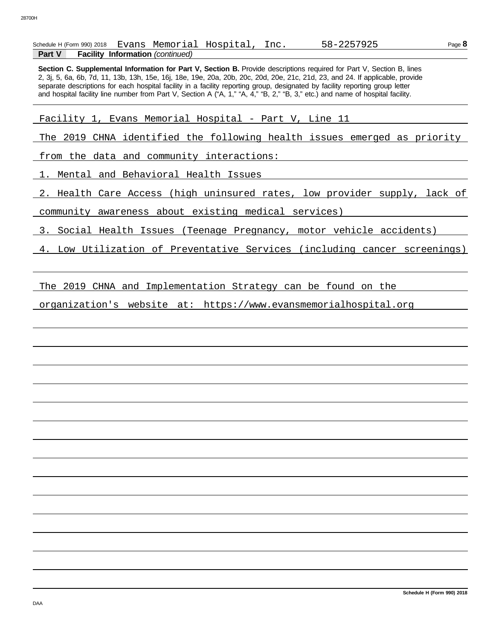|               | Schedule H (Form 990) 2018 |                                         | Evans Memorial Hospital, Inc. | 58-2257925 |
|---------------|----------------------------|-----------------------------------------|-------------------------------|------------|
| <b>Part V</b> |                            | <b>Facility Information (continued)</b> |                               |            |

2, 3j, 5, 6a, 6b, 7d, 11, 13b, 13h, 15e, 16j, 18e, 19e, 20a, 20b, 20c, 20d, 20e, 21c, 21d, 23, and 24. If applicable, provide separate descriptions for each hospital facility in a facility reporting group, designated by facility reporting group letter **Section C. Supplemental Information for Part V. Section B.** Provide descriptions required for Part V. Section B. lines and hospital facility line number from Part V, Section A ("A, 1," "A, 4," "B, 2," "B, 3," etc.) and name of hospital facility.

Facility 1, Evans Memorial Hospital - Part V, Line 11

The 2019 CHNA identified the following health issues emerged as priority

from the data and community interactions:

1. Mental and Behavioral Health Issues

2. Health Care Access (high uninsured rates, low provider supply, lack of

community awareness about existing medical services)

3. Social Health Issues (Teenage Pregnancy, motor vehicle accidents)

4. Low Utilization of Preventative Services (including cancer screenings)

The 2019 CHNA and Implementation Strategy can be found on the

organization's website at: https://www.evansmemorialhospital.org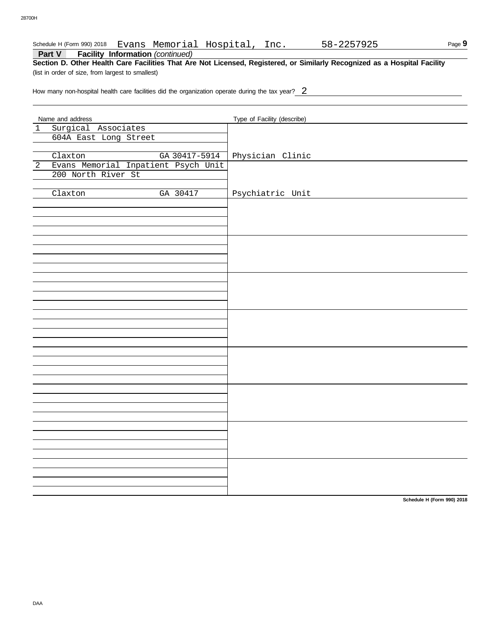#### Schedule H (Form 990) 2018 Evans Memorial Hospital, Inc. 58-2257925

**Part V Facility Information** *(continued)*

**Section D. Other Health Care Facilities That Are Not Licensed, Registered, or Similarly Recognized as a Hospital Facility** (list in order of size, from largest to smallest)

How many non-hospital health care facilities did the organization operate during the tax year? $\underline{2}$ 

|                | Name and address                        | Type of Facility (describe) |
|----------------|-----------------------------------------|-----------------------------|
| $\mathbf 1$    | Surgical Associates                     |                             |
|                | 604A East Long Street                   |                             |
|                |                                         |                             |
|                | Claxton<br>GA 30417-5914                | Physician Clinic            |
| $\overline{2}$ | Evans Memorial Inpatient Psych Unit     |                             |
|                | 200 North River St                      |                             |
|                |                                         |                             |
|                | $\overline{\text{Claxton}}$<br>GA 30417 |                             |
|                |                                         | Psychiatric Unit            |
|                |                                         |                             |
|                |                                         |                             |
|                |                                         |                             |
|                |                                         |                             |
|                |                                         |                             |
|                |                                         |                             |
|                |                                         |                             |
|                |                                         |                             |
|                |                                         |                             |
|                |                                         |                             |
|                |                                         |                             |
|                |                                         |                             |
|                |                                         |                             |
|                |                                         |                             |
|                |                                         |                             |
|                |                                         |                             |
|                |                                         |                             |
|                |                                         |                             |
|                |                                         |                             |
|                |                                         |                             |
|                |                                         |                             |
|                |                                         |                             |
|                |                                         |                             |
|                |                                         |                             |
|                |                                         |                             |
|                |                                         |                             |
|                |                                         |                             |
|                |                                         |                             |
|                |                                         |                             |
|                |                                         |                             |
|                |                                         |                             |
|                |                                         |                             |
|                |                                         |                             |
|                |                                         |                             |
|                |                                         |                             |
|                |                                         |                             |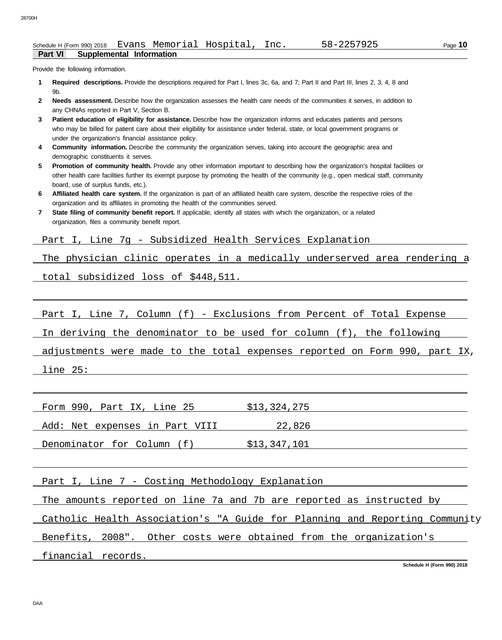Provide the following information.

- **Required descriptions.** Provide the descriptions required for Part I, lines 3c, 6a, and 7; Part II and Part III, lines 2, 3, 4, 8 and **1** 9b.
- **Needs assessment.** Describe how the organization assesses the health care needs of the communities it serves, in addition to **2** any CHNAs reported in Part V, Section B.
- **Patient education of eligibility for assistance.** Describe how the organization informs and educates patients and persons who may be billed for patient care about their eligibility for assistance under federal, state, or local government programs or under the organization's financial assistance policy. **3**
- **Community information.** Describe the community the organization serves, taking into account the geographic area and demographic constituents it serves. **4**
- **Promotion of community health.** Provide any other information important to describing how the organization's hospital facilities or other health care facilities further its exempt purpose by promoting the health of the community (e.g., open medical staff, community **5** board, use of surplus funds, etc.).
- **Affiliated health care system.** If the organization is part of an affiliated health care system, describe the respective roles of the **6** organization and its affiliates in promoting the health of the communities served.
- **State filing of community benefit report.** If applicable, identify all states with which the organization, or a related organization, files a community benefit report. **7**

Part I, Line 7g - Subsidized Health Services Explanation

The physician clinic operates in a medically underserved area rendering a

total subsidized loss of \$448,511.

Part I, Line 7, Column (f) - Exclusions from Percent of Total Expense

In deriving the denominator to be used for column (f), the following

adjustments were made to the total expenses reported on Form 990, part IX,

line 25:

|--|

Add: Net expenses in Part VIII 22,826

Denominator for Column (f) \$13,347,101

Part I, Line 7 - Costing Methodology Explanation

The amounts reported on line 7a and 7b are reported as instructed by

Catholic Health Association's "A Guide for Planning and Reporting Community

Benefits, 2008". Other costs were obtained from the organization's

financial records.

**Schedule H (Form 990) 2018**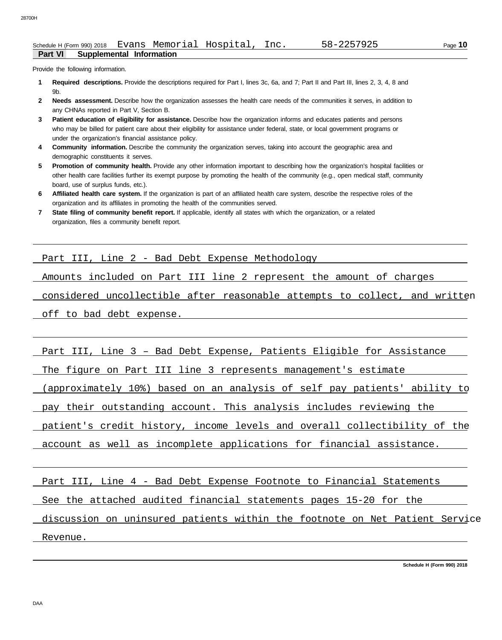Provide the following information.

- **Required descriptions.** Provide the descriptions required for Part I, lines 3c, 6a, and 7; Part II and Part III, lines 2, 3, 4, 8 and **1** 9b.
- **Needs assessment.** Describe how the organization assesses the health care needs of the communities it serves, in addition to **2** any CHNAs reported in Part V, Section B.
- **Patient education of eligibility for assistance.** Describe how the organization informs and educates patients and persons who may be billed for patient care about their eligibility for assistance under federal, state, or local government programs or under the organization's financial assistance policy. **3**
- **Community information.** Describe the community the organization serves, taking into account the geographic area and demographic constituents it serves. **4**
- **Promotion of community health.** Provide any other information important to describing how the organization's hospital facilities or other health care facilities further its exempt purpose by promoting the health of the community (e.g., open medical staff, community **5** board, use of surplus funds, etc.).
- **Affiliated health care system.** If the organization is part of an affiliated health care system, describe the respective roles of the **6** organization and its affiliates in promoting the health of the communities served.
- **State filing of community benefit report.** If applicable, identify all states with which the organization, or a related organization, files a community benefit report. **7**

Part III, Line 2 - Bad Debt Expense Methodology

Amounts included on Part III line 2 represent the amount of charges

considered uncollectible after reasonable attempts to collect, and written

off to bad debt expense.

Part III, Line 3 – Bad Debt Expense, Patients Eligible for Assistance

The figure on Part III line 3 represents management's estimate

(approximately 10%) based on an analysis of self pay patients' ability to

pay their outstanding account. This analysis includes reviewing the

patient's credit history, income levels and overall collectibility of the

account as well as incomplete applications for financial assistance.

Part III, Line 4 - Bad Debt Expense Footnote to Financial Statements

See the attached audited financial statements pages 15-20 for the

discussion on uninsured patients within the footnote on Net Patient Service Revenue.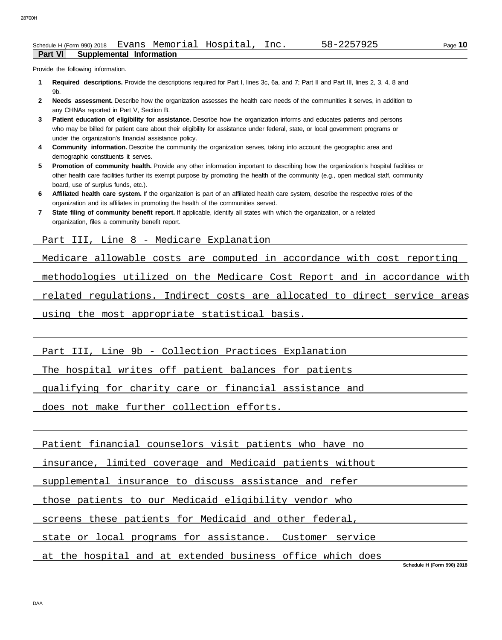Page **10**

### Provide the following information.

- **Required descriptions.** Provide the descriptions required for Part I, lines 3c, 6a, and 7; Part II and Part III, lines 2, 3, 4, 8 and **1** 9b.
- **Needs assessment.** Describe how the organization assesses the health care needs of the communities it serves, in addition to **2** any CHNAs reported in Part V, Section B.
- **Patient education of eligibility for assistance.** Describe how the organization informs and educates patients and persons who may be billed for patient care about their eligibility for assistance under federal, state, or local government programs or under the organization's financial assistance policy. **3**
- **Community information.** Describe the community the organization serves, taking into account the geographic area and demographic constituents it serves. **4**
- **Promotion of community health.** Provide any other information important to describing how the organization's hospital facilities or other health care facilities further its exempt purpose by promoting the health of the community (e.g., open medical staff, community **5** board, use of surplus funds, etc.).
- **Affiliated health care system.** If the organization is part of an affiliated health care system, describe the respective roles of the **6** organization and its affiliates in promoting the health of the communities served.
- **State filing of community benefit report.** If applicable, identify all states with which the organization, or a related organization, files a community benefit report. **7**

Part III, Line 8 - Medicare Explanation

Medicare allowable costs are computed in accordance with cost reporting

methodologies utilized on the Medicare Cost Report and in accordance with

related regulations. Indirect costs are allocated to direct service areas

using the most appropriate statistical basis.

Part III, Line 9b - Collection Practices Explanation

The hospital writes off patient balances for patients

qualifying for charity care or financial assistance and

does not make further collection efforts.

Patient financial counselors visit patients who have no

insurance, limited coverage and Medicaid patients without

supplemental insurance to discuss assistance and refer

those patients to our Medicaid eligibility vendor who

screens these patients for Medicaid and other federal,

state or local programs for assistance. Customer service

at the hospital and at extended business office which does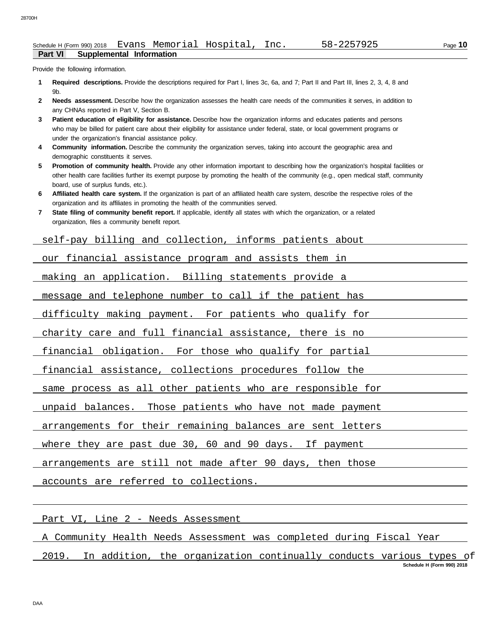Provide the following information.

- **Required descriptions.** Provide the descriptions required for Part I, lines 3c, 6a, and 7; Part II and Part III, lines 2, 3, 4, 8 and **1** 9b.
- **Needs assessment.** Describe how the organization assesses the health care needs of the communities it serves, in addition to **2** any CHNAs reported in Part V, Section B.
- **Patient education of eligibility for assistance.** Describe how the organization informs and educates patients and persons who may be billed for patient care about their eligibility for assistance under federal, state, or local government programs or under the organization's financial assistance policy. **3**
- **Community information.** Describe the community the organization serves, taking into account the geographic area and demographic constituents it serves. **4**
- **Promotion of community health.** Provide any other information important to describing how the organization's hospital facilities or other health care facilities further its exempt purpose by promoting the health of the community (e.g., open medical staff, community **5** board, use of surplus funds, etc.).
- **Affiliated health care system.** If the organization is part of an affiliated health care system, describe the respective roles of the **6** organization and its affiliates in promoting the health of the communities served.
- **State filing of community benefit report.** If applicable, identify all states with which the organization, or a related organization, files a community benefit report. **7**

self-pay billing and collection, informs patients about

our financial assistance program and assists them in

making an application. Billing statements provide a

message and telephone number to call if the patient has

difficulty making payment. For patients who qualify for

charity care and full financial assistance, there is no

financial obligation. For those who qualify for partial

financial assistance, collections procedures follow the

same process as all other patients who are responsible for

unpaid balances. Those patients who have not made payment

arrangements for their remaining balances are sent letters

where they are past due 30, 60 and 90 days. If payment

arrangements are still not made after 90 days, then those

accounts are referred to collections.

Part VI, Line 2 - Needs Assessment

A Community Health Needs Assessment was completed during Fiscal Year

**Schedule H (Form 990) 2018** 2019. In addition, the organization continually conducts various types of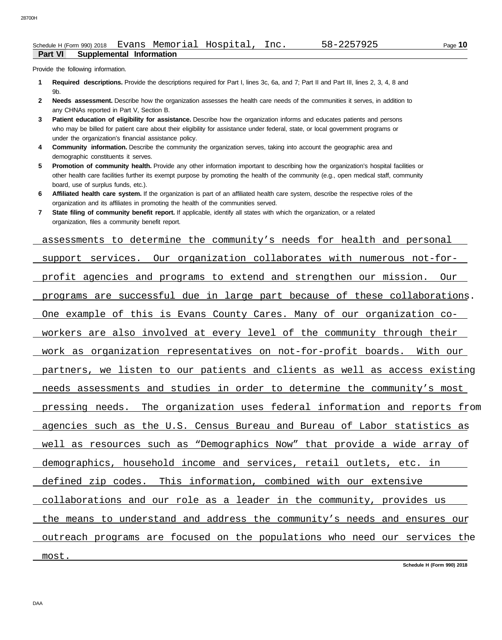#### **Part VI Supplemental Information**  Schedule H (Form 990) 2018 Evans Memorial Hospital, Inc. 58-2257925

Provide the following information.

- **Required descriptions.** Provide the descriptions required for Part I, lines 3c, 6a, and 7; Part II and Part III, lines 2, 3, 4, 8 and **1** 9b.
- **Needs assessment.** Describe how the organization assesses the health care needs of the communities it serves, in addition to **2** any CHNAs reported in Part V, Section B.
- **Patient education of eligibility for assistance.** Describe how the organization informs and educates patients and persons who may be billed for patient care about their eligibility for assistance under federal, state, or local government programs or under the organization's financial assistance policy. **3**
- **Community information.** Describe the community the organization serves, taking into account the geographic area and demographic constituents it serves. **4**
- **Promotion of community health.** Provide any other information important to describing how the organization's hospital facilities or other health care facilities further its exempt purpose by promoting the health of the community (e.g., open medical staff, community **5** board, use of surplus funds, etc.).
- **Affiliated health care system.** If the organization is part of an affiliated health care system, describe the respective roles of the organization and its affiliates in promoting the health of the communities served. **6**
- **State filing of community benefit report.** If applicable, identify all states with which the organization, or a related organization, files a community benefit report. **7**

assessments to determine the community's needs for health and personal support services. Our organization collaborates with numerous not-forprofit agencies and programs to extend and strengthen our mission. Our programs are successful due in large part because of these collaborations. One example of this is Evans County Cares. Many of our organization coworkers are also involved at every level of the community through their work as organization representatives on not-for-profit boards. With our partners, we listen to our patients and clients as well as access existing needs assessments and studies in order to determine the community's most pressing needs. The organization uses federal information and reports from agencies such as the U.S. Census Bureau and Bureau of Labor statistics as well as resources such as "Demographics Now" that provide a wide array of demographics, household income and services, retail outlets, etc. in defined zip codes. This information, combined with our extensive collaborations and our role as a leader in the community, provides us the means to understand and address the community's needs and ensures our outreach programs are focused on the populations who need our services the most.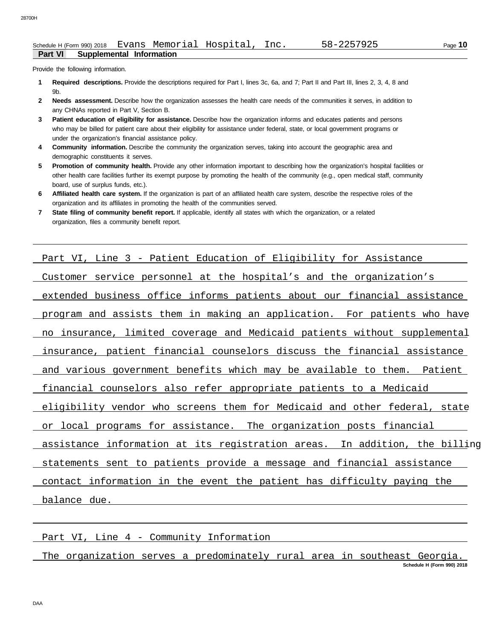Provide the following information.

- **Required descriptions.** Provide the descriptions required for Part I, lines 3c, 6a, and 7; Part II and Part III, lines 2, 3, 4, 8 and **1** 9b.
- **Needs assessment.** Describe how the organization assesses the health care needs of the communities it serves, in addition to **2** any CHNAs reported in Part V, Section B.
- **Patient education of eligibility for assistance.** Describe how the organization informs and educates patients and persons who may be billed for patient care about their eligibility for assistance under federal, state, or local government programs or under the organization's financial assistance policy. **3**
- **Community information.** Describe the community the organization serves, taking into account the geographic area and demographic constituents it serves. **4**
- **Promotion of community health.** Provide any other information important to describing how the organization's hospital facilities or other health care facilities further its exempt purpose by promoting the health of the community (e.g., open medical staff, community **5** board, use of surplus funds, etc.).
- **Affiliated health care system.** If the organization is part of an affiliated health care system, describe the respective roles of the organization and its affiliates in promoting the health of the communities served. **6**
- **State filing of community benefit report.** If applicable, identify all states with which the organization, or a related organization, files a community benefit report. **7**

| Part VI, Line 3 - Patient Education of Eligibility for Assistance          |
|----------------------------------------------------------------------------|
| Customer service personnel at the hospital's and the organization's        |
| extended business office informs patients about our financial assistance   |
| program and assists them in making an application. For patients who have   |
| no insurance, limited coverage and Medicaid patients without supplemental  |
| insurance, patient financial counselors discuss the financial assistance   |
| and various government benefits which may be available to them. Patient    |
| financial counselors also refer appropriate patients to a Medicaid         |
| eligibility vendor who screens them for Medicaid and other federal, state  |
| or local programs for assistance. The organization posts financial         |
| assistance information at its registration areas. In addition, the billing |
| statements sent to patients provide a message and financial assistance     |
| contact information in the event the patient has difficulty paying the     |
| balance due.                                                               |

Part VI, Line 4 - Community Information

**Schedule H (Form 990) 2018** The organization serves a predominately rural area in southeast Georgia.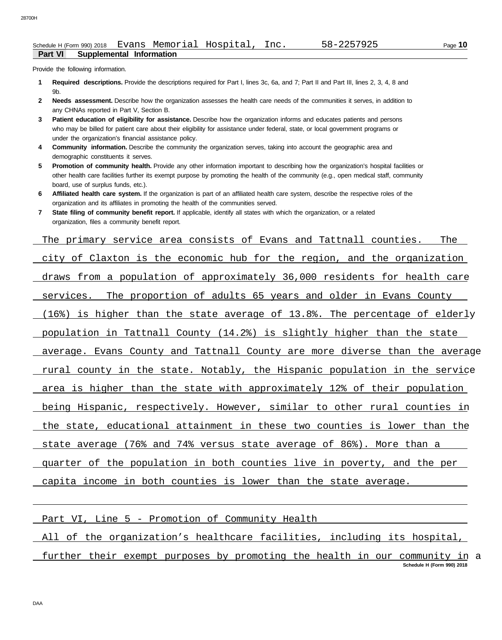Provide the following information.

- **Required descriptions.** Provide the descriptions required for Part I, lines 3c, 6a, and 7; Part II and Part III, lines 2, 3, 4, 8 and **1** 9b.
- **Needs assessment.** Describe how the organization assesses the health care needs of the communities it serves, in addition to **2** any CHNAs reported in Part V, Section B.
- **Patient education of eligibility for assistance.** Describe how the organization informs and educates patients and persons who may be billed for patient care about their eligibility for assistance under federal, state, or local government programs or under the organization's financial assistance policy. **3**
- **Community information.** Describe the community the organization serves, taking into account the geographic area and demographic constituents it serves. **4**
- **Promotion of community health.** Provide any other information important to describing how the organization's hospital facilities or other health care facilities further its exempt purpose by promoting the health of the community (e.g., open medical staff, community **5** board, use of surplus funds, etc.).
- **Affiliated health care system.** If the organization is part of an affiliated health care system, describe the respective roles of the organization and its affiliates in promoting the health of the communities served. **6**
- **State filing of community benefit report.** If applicable, identify all states with which the organization, or a related organization, files a community benefit report. **7**

The primary service area consists of Evans and Tattnall counties. The city of Claxton is the economic hub for the region, and the organization draws from a population of approximately 36,000 residents for health care services. The proportion of adults 65 years and older in Evans County (16%) is higher than the state average of 13.8%. The percentage of elderly population in Tattnall County (14.2%) is slightly higher than the state average. Evans County and Tattnall County are more diverse than the average rural county in the state. Notably, the Hispanic population in the service area is higher than the state with approximately 12% of their population being Hispanic, respectively. However, similar to other rural counties in the state, educational attainment in these two counties is lower than the state average (76% and 74% versus state average of 86%). More than a quarter of the population in both counties live in poverty, and the per capita income in both counties is lower than the state average.

Part VI, Line 5 - Promotion of Community Health

All of the organization's healthcare facilities, including its hospital,

**Schedule H (Form 990) 2018** further their exempt purposes by promoting the health in our community in a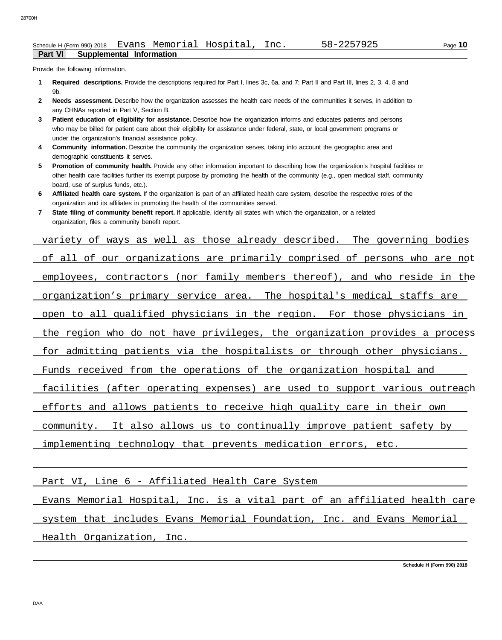Provide the following information.

- **Required descriptions.** Provide the descriptions required for Part I, lines 3c, 6a, and 7; Part II and Part III, lines 2, 3, 4, 8 and **1** 9b.
- **Needs assessment.** Describe how the organization assesses the health care needs of the communities it serves, in addition to **2** any CHNAs reported in Part V, Section B.
- **Patient education of eligibility for assistance.** Describe how the organization informs and educates patients and persons who may be billed for patient care about their eligibility for assistance under federal, state, or local government programs or under the organization's financial assistance policy. **3**
- **Community information.** Describe the community the organization serves, taking into account the geographic area and demographic constituents it serves. **4**
- **Promotion of community health.** Provide any other information important to describing how the organization's hospital facilities or other health care facilities further its exempt purpose by promoting the health of the community (e.g., open medical staff, community **5** board, use of surplus funds, etc.).
- **Affiliated health care system.** If the organization is part of an affiliated health care system, describe the respective roles of the **6** organization and its affiliates in promoting the health of the communities served.
- **State filing of community benefit report.** If applicable, identify all states with which the organization, or a related organization, files a community benefit report. **7**

variety of ways as well as those already described. The governing bodies of all of our organizations are primarily comprised of persons who are not employees, contractors (nor family members thereof), and who reside in the organization's primary service area. The hospital's medical staffs are open to all qualified physicians in the region. For those physicians in the region who do not have privileges, the organization provides a process for admitting patients via the hospitalists or through other physicians. Funds received from the operations of the organization hospital and facilities (after operating expenses) are used to support various outreach efforts and allows patients to receive high quality care in their own community. It also allows us to continually improve patient safety by implementing technology that prevents medication errors, etc.

Part VI, Line 6 - Affiliated Health Care System

Evans Memorial Hospital, Inc. is a vital part of an affiliated health care system that includes Evans Memorial Foundation, Inc. and Evans Memorial Health Organization, Inc.

**Schedule H (Form 990) 2018**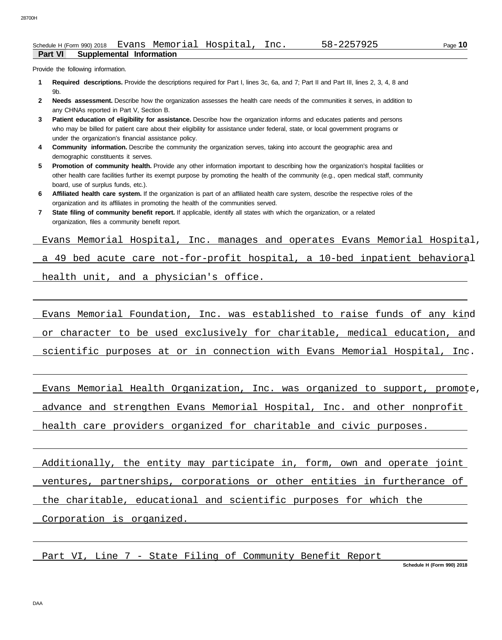Provide the following information.

- **Required descriptions.** Provide the descriptions required for Part I, lines 3c, 6a, and 7; Part II and Part III, lines 2, 3, 4, 8 and **1** 9b.
- **Needs assessment.** Describe how the organization assesses the health care needs of the communities it serves, in addition to **2** any CHNAs reported in Part V, Section B.
- **Patient education of eligibility for assistance.** Describe how the organization informs and educates patients and persons who may be billed for patient care about their eligibility for assistance under federal, state, or local government programs or under the organization's financial assistance policy. **3**
- **Community information.** Describe the community the organization serves, taking into account the geographic area and demographic constituents it serves. **4**
- **Promotion of community health.** Provide any other information important to describing how the organization's hospital facilities or other health care facilities further its exempt purpose by promoting the health of the community (e.g., open medical staff, community **5** board, use of surplus funds, etc.).
- **Affiliated health care system.** If the organization is part of an affiliated health care system, describe the respective roles of the **6** organization and its affiliates in promoting the health of the communities served.
- **State filing of community benefit report.** If applicable, identify all states with which the organization, or a related organization, files a community benefit report. **7**

Evans Memorial Hospital, Inc. manages and operates Evans Memorial Hospital,

a 49 bed acute care not-for-profit hospital, a 10-bed inpatient behavioral

health unit, and a physician's office.

Evans Memorial Foundation, Inc. was established to raise funds of any kind or character to be used exclusively for charitable, medical education, and

scientific purposes at or in connection with Evans Memorial Hospital, Inc.

Evans Memorial Health Organization, Inc. was organized to support, promote,

advance and strengthen Evans Memorial Hospital, Inc. and other nonprofit

health care providers organized for charitable and civic purposes.

Additionally, the entity may participate in, form, own and operate joint ventures, partnerships, corporations or other entities in furtherance of the charitable, educational and scientific purposes for which the

Corporation is organized.

Part VI, Line 7 - State Filing of Community Benefit Report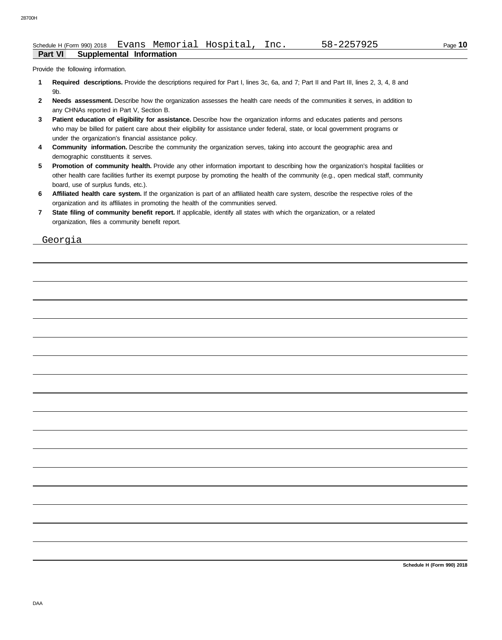Provide the following information.

- **Required descriptions.** Provide the descriptions required for Part I, lines 3c, 6a, and 7; Part II and Part III, lines 2, 3, 4, 8 and **1** 9b.
- Needs assessment. Describe how the organization assesses the health care needs of the communities it serves, in addition to **2** any CHNAs reported in Part V, Section B.
- **Patient education of eligibility for assistance.** Describe how the organization informs and educates patients and persons who may be billed for patient care about their eligibility for assistance under federal, state, or local government programs or under the organization's financial assistance policy. **3**
- **Community information.** Describe the community the organization serves, taking into account the geographic area and demographic constituents it serves. **4**
- **Promotion of community health.** Provide any other information important to describing how the organization's hospital facilities or other health care facilities further its exempt purpose by promoting the health of the community (e.g., open medical staff, community **5** board, use of surplus funds, etc.).
- **Affiliated health care system.** If the organization is part of an affiliated health care system, describe the respective roles of the organization and its affiliates in promoting the health of the communities served. **6**
- **State filing of community benefit report.** If applicable, identify all states with which the organization, or a related organization, files a community benefit report. **7**

Georgia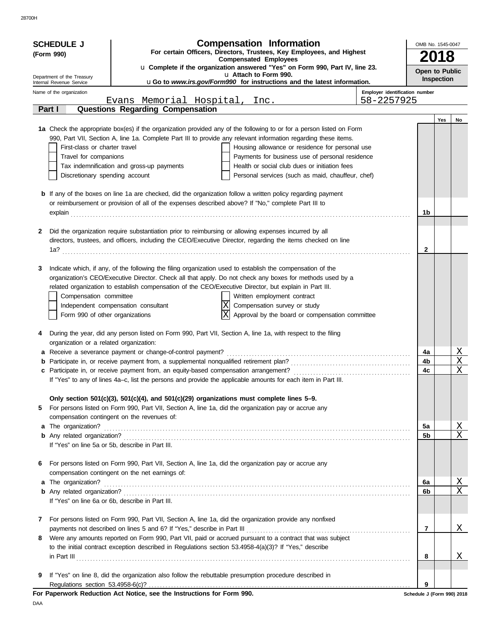28700H

|   | <b>SCHEDULE J</b>                                |                                                                                                        | <b>Compensation Information</b>                                                                                      |                                | OMB No. 1545-0047    |            |                                   |
|---|--------------------------------------------------|--------------------------------------------------------------------------------------------------------|----------------------------------------------------------------------------------------------------------------------|--------------------------------|----------------------|------------|-----------------------------------|
|   | (Form 990)                                       |                                                                                                        | For certain Officers, Directors, Trustees, Key Employees, and Highest                                                |                                |                      |            |                                   |
|   |                                                  |                                                                                                        | <b>Compensated Employees</b>                                                                                         |                                | 2018                 |            |                                   |
|   | Department of the Treasury                       |                                                                                                        | u Complete if the organization answered "Yes" on Form 990, Part IV, line 23.<br>u Attach to Form 990.                |                                | Open to Public       |            |                                   |
|   | Internal Revenue Service                         |                                                                                                        | uGo to www.irs.gov/Form990 for instructions and the latest information.                                              |                                |                      | Inspection |                                   |
|   | Name of the organization                         |                                                                                                        |                                                                                                                      | Employer identification number |                      |            |                                   |
|   | Part I                                           | Evans Memorial Hospital, Inc.                                                                          |                                                                                                                      | 58-2257925                     |                      |            |                                   |
|   |                                                  | Questions Regarding Compensation                                                                       |                                                                                                                      |                                |                      | Yes        | No                                |
|   |                                                  |                                                                                                        | 1a Check the appropriate box(es) if the organization provided any of the following to or for a person listed on Form |                                |                      |            |                                   |
|   |                                                  |                                                                                                        | 990, Part VII, Section A, line 1a. Complete Part III to provide any relevant information regarding these items.      |                                |                      |            |                                   |
|   | First-class or charter travel                    |                                                                                                        | Housing allowance or residence for personal use                                                                      |                                |                      |            |                                   |
|   | Travel for companions                            |                                                                                                        | Payments for business use of personal residence                                                                      |                                |                      |            |                                   |
|   |                                                  | Tax indemnification and gross-up payments                                                              | Health or social club dues or initiation fees                                                                        |                                |                      |            |                                   |
|   | Discretionary spending account                   |                                                                                                        | Personal services (such as maid, chauffeur, chef)                                                                    |                                |                      |            |                                   |
|   |                                                  |                                                                                                        |                                                                                                                      |                                |                      |            |                                   |
|   |                                                  | or reimbursement or provision of all of the expenses described above? If "No," complete Part III to    | <b>b</b> If any of the boxes on line 1a are checked, did the organization follow a written policy regarding payment  |                                |                      |            |                                   |
|   |                                                  |                                                                                                        | explain<br><u>Explain</u><br><u>Explain</u><br><u>Explain</u>                                                        |                                | 1b                   |            |                                   |
|   |                                                  |                                                                                                        |                                                                                                                      |                                |                      |            |                                   |
| 2 |                                                  | Did the organization require substantiation prior to reimbursing or allowing expenses incurred by all  |                                                                                                                      |                                |                      |            |                                   |
|   |                                                  |                                                                                                        | directors, trustees, and officers, including the CEO/Executive Director, regarding the items checked on line         |                                |                      |            |                                   |
|   |                                                  |                                                                                                        |                                                                                                                      |                                | $\mathbf{2}$         |            |                                   |
| 3 |                                                  |                                                                                                        | Indicate which, if any, of the following the filing organization used to establish the compensation of the           |                                |                      |            |                                   |
|   |                                                  |                                                                                                        | organization's CEO/Executive Director. Check all that apply. Do not check any boxes for methods used by a            |                                |                      |            |                                   |
|   |                                                  |                                                                                                        | related organization to establish compensation of the CEO/Executive Director, but explain in Part III.               |                                |                      |            |                                   |
|   | Compensation committee                           |                                                                                                        | Written employment contract                                                                                          |                                |                      |            |                                   |
|   |                                                  | Independent compensation consultant                                                                    | $ X $ Compensation survey or study                                                                                   |                                |                      |            |                                   |
|   | Form 990 of other organizations                  |                                                                                                        | lxl<br>Approval by the board or compensation committee                                                               |                                |                      |            |                                   |
|   |                                                  |                                                                                                        |                                                                                                                      |                                |                      |            |                                   |
| 4 |                                                  |                                                                                                        | During the year, did any person listed on Form 990, Part VII, Section A, line 1a, with respect to the filing         |                                |                      |            |                                   |
|   | organization or a related organization:          |                                                                                                        |                                                                                                                      |                                |                      |            |                                   |
|   |                                                  |                                                                                                        |                                                                                                                      |                                | 4a<br>4b             |            | <u>X</u><br>$\overline{\text{X}}$ |
|   |                                                  |                                                                                                        |                                                                                                                      |                                | 4c                   |            | $\mathbf X$                       |
|   |                                                  |                                                                                                        | If "Yes" to any of lines 4a-c, list the persons and provide the applicable amounts for each item in Part III.        |                                |                      |            |                                   |
|   |                                                  |                                                                                                        |                                                                                                                      |                                |                      |            |                                   |
|   |                                                  | Only section 501(c)(3), 501(c)(4), and 501(c)(29) organizations must complete lines 5-9.               |                                                                                                                      |                                |                      |            |                                   |
| 5 |                                                  | For persons listed on Form 990, Part VII, Section A, line 1a, did the organization pay or accrue any   |                                                                                                                      |                                |                      |            |                                   |
|   |                                                  | compensation contingent on the revenues of:                                                            |                                                                                                                      |                                |                      |            |                                   |
|   | a The organization?                              |                                                                                                        |                                                                                                                      |                                | 5a<br>5 <sub>b</sub> |            | $\frac{X}{X}$                     |
|   | If "Yes" on line 5a or 5b, describe in Part III. |                                                                                                        |                                                                                                                      |                                |                      |            |                                   |
|   |                                                  |                                                                                                        |                                                                                                                      |                                |                      |            |                                   |
| 6 |                                                  | For persons listed on Form 990, Part VII, Section A, line 1a, did the organization pay or accrue any   |                                                                                                                      |                                |                      |            |                                   |
|   |                                                  | compensation contingent on the net earnings of:                                                        |                                                                                                                      |                                |                      |            |                                   |
|   | a The organization?                              |                                                                                                        |                                                                                                                      |                                | 6a                   |            | $\frac{X}{X}$                     |
|   |                                                  |                                                                                                        |                                                                                                                      |                                | 6b                   |            |                                   |
|   | If "Yes" on line 6a or 6b, describe in Part III. |                                                                                                        |                                                                                                                      |                                |                      |            |                                   |
| 7 |                                                  |                                                                                                        | For persons listed on Form 990, Part VII, Section A, line 1a, did the organization provide any nonfixed              |                                |                      |            |                                   |
|   |                                                  |                                                                                                        |                                                                                                                      |                                | 7                    |            | Χ                                 |
| 8 |                                                  |                                                                                                        | Were any amounts reported on Form 990, Part VII, paid or accrued pursuant to a contract that was subject             |                                |                      |            |                                   |
|   |                                                  | to the initial contract exception described in Regulations section 53.4958-4(a)(3)? If "Yes," describe |                                                                                                                      |                                |                      |            |                                   |
|   |                                                  |                                                                                                        | $\ $ n Part III $\ $                                                                                                 |                                | 8                    |            | Χ                                 |
|   |                                                  |                                                                                                        |                                                                                                                      |                                |                      |            |                                   |
| 9 |                                                  |                                                                                                        | If "Yes" on line 8, did the organization also follow the rebuttable presumption procedure described in               |                                | 9                    |            |                                   |
|   |                                                  | For Paperwork Reduction Act Notice, see the Instructions for Form 990.                                 |                                                                                                                      |                                |                      |            | Schedule J (Form 990) 2018        |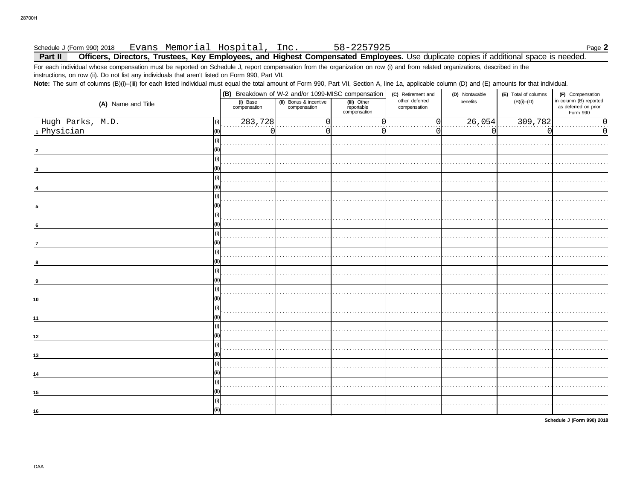#### Evans Memorial Hospital, Inc. 58-2257925 Schedule J (Form 990) 2018 Page 2 Officers, Directors, Trustees, Key Employees, and Highest Compensated Employees. Use duplicate copies if additional space is needed. Part II

For each individual whose compensation must be reported on Schedule J, report compensation from the organization on row (i) and from related organizations, described in the instructions, on row (ii). Do not list any individuals that aren't listed on Form 990, Part VII.

Note: The sum of columns (B)(i)-(iii) for each listed individual must equal the total amount of Form 990, Part VII, Section A, line 1a, applicable column (D) and (E) amounts for that individual.

|                         |                          |                                        | (B) Breakdown of W-2 and/or 1099-MISC compensation | (C) Retirement and             | (D) Nontaxable | (E) Total of columns | (F) Compensation                                           |
|-------------------------|--------------------------|----------------------------------------|----------------------------------------------------|--------------------------------|----------------|----------------------|------------------------------------------------------------|
| (A) Name and Title      | (i) Base<br>compensation | (ii) Bonus & incentive<br>compensation | (iii) Other<br>reportable<br>compensation          | other deferred<br>compensation | benefits       | $(B)(i)$ - $(D)$     | in column (B) reported<br>as deferred on prior<br>Form 990 |
| Hugh Parks, M.D.<br>(i) | 283,728                  | ſ                                      |                                                    | 0                              | 26,054         | 309,782              | $\overline{\phantom{0}}$ .                                 |
| 1 Physician<br>l(ii)    | $\Omega$                 |                                        |                                                    | $\left( \right)$               | $\Omega$       |                      | $\mathsf 0$                                                |
| (i)                     |                          |                                        |                                                    |                                |                |                      |                                                            |
|                         |                          |                                        |                                                    |                                |                |                      |                                                            |
| (i)                     |                          |                                        |                                                    |                                |                |                      |                                                            |
| (i)                     |                          |                                        |                                                    |                                |                |                      |                                                            |
|                         |                          |                                        |                                                    |                                |                |                      |                                                            |
| (i)<br>5                |                          |                                        |                                                    |                                |                |                      |                                                            |
| (i)                     |                          |                                        |                                                    |                                |                |                      |                                                            |
| 6                       |                          |                                        |                                                    |                                |                |                      |                                                            |
| (i)                     |                          |                                        |                                                    |                                |                |                      |                                                            |
| $\overline{7}$<br>(i)   |                          |                                        |                                                    |                                |                |                      |                                                            |
| 8                       |                          |                                        |                                                    |                                |                |                      |                                                            |
| (i)<br>9                |                          |                                        |                                                    |                                |                |                      |                                                            |
| (i)<br>l (iii           |                          |                                        |                                                    |                                |                |                      |                                                            |
| 10<br>(i)               |                          |                                        |                                                    |                                |                |                      |                                                            |
| (iii)<br>11             |                          |                                        |                                                    |                                |                |                      |                                                            |
| (i)                     |                          |                                        |                                                    |                                |                |                      |                                                            |
| (ii)<br>12<br>  (i)     |                          |                                        |                                                    |                                |                |                      |                                                            |
| 13                      |                          |                                        |                                                    |                                |                |                      |                                                            |
| (i)<br>14               |                          |                                        |                                                    |                                |                |                      |                                                            |
| (i)                     |                          |                                        |                                                    |                                |                |                      |                                                            |
| 15                      |                          |                                        |                                                    |                                |                |                      |                                                            |
| (i)<br>(ii)<br>16       |                          |                                        |                                                    |                                |                |                      |                                                            |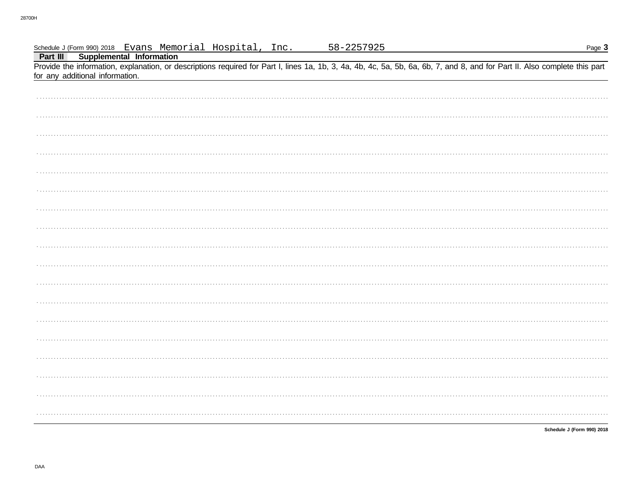| Inc.                                                                                     | <u>58–2257925</u><br>Page 3                                                                                                                                                |
|------------------------------------------------------------------------------------------|----------------------------------------------------------------------------------------------------------------------------------------------------------------------------|
| Schedule J (Form 990) 2018 Evans Memorial Hospital,<br>Part III Supplemental Information |                                                                                                                                                                            |
|                                                                                          | Provide the information, explanation, or descriptions required for Part I, lines 1a, 1b, 3, 4a, 4b, 4c, 5a, 5b, 6a, 6b, 7, and 8, and for Part II. Also complete this part |
| for any additional information.                                                          |                                                                                                                                                                            |
|                                                                                          |                                                                                                                                                                            |
|                                                                                          |                                                                                                                                                                            |
|                                                                                          |                                                                                                                                                                            |
|                                                                                          |                                                                                                                                                                            |
|                                                                                          |                                                                                                                                                                            |
|                                                                                          |                                                                                                                                                                            |
|                                                                                          |                                                                                                                                                                            |
|                                                                                          |                                                                                                                                                                            |
|                                                                                          |                                                                                                                                                                            |
|                                                                                          |                                                                                                                                                                            |
|                                                                                          |                                                                                                                                                                            |
|                                                                                          |                                                                                                                                                                            |
|                                                                                          |                                                                                                                                                                            |
|                                                                                          |                                                                                                                                                                            |
|                                                                                          |                                                                                                                                                                            |
|                                                                                          |                                                                                                                                                                            |
|                                                                                          |                                                                                                                                                                            |
|                                                                                          |                                                                                                                                                                            |
|                                                                                          |                                                                                                                                                                            |
|                                                                                          |                                                                                                                                                                            |
|                                                                                          |                                                                                                                                                                            |
|                                                                                          |                                                                                                                                                                            |
|                                                                                          |                                                                                                                                                                            |
|                                                                                          |                                                                                                                                                                            |
|                                                                                          |                                                                                                                                                                            |
|                                                                                          |                                                                                                                                                                            |
|                                                                                          |                                                                                                                                                                            |
|                                                                                          |                                                                                                                                                                            |
|                                                                                          |                                                                                                                                                                            |
|                                                                                          |                                                                                                                                                                            |
|                                                                                          |                                                                                                                                                                            |
|                                                                                          |                                                                                                                                                                            |
|                                                                                          |                                                                                                                                                                            |
|                                                                                          |                                                                                                                                                                            |
|                                                                                          |                                                                                                                                                                            |
|                                                                                          |                                                                                                                                                                            |
|                                                                                          |                                                                                                                                                                            |
|                                                                                          |                                                                                                                                                                            |
|                                                                                          |                                                                                                                                                                            |
|                                                                                          |                                                                                                                                                                            |
|                                                                                          | Schedule J (Form 990) 2018                                                                                                                                                 |
|                                                                                          |                                                                                                                                                                            |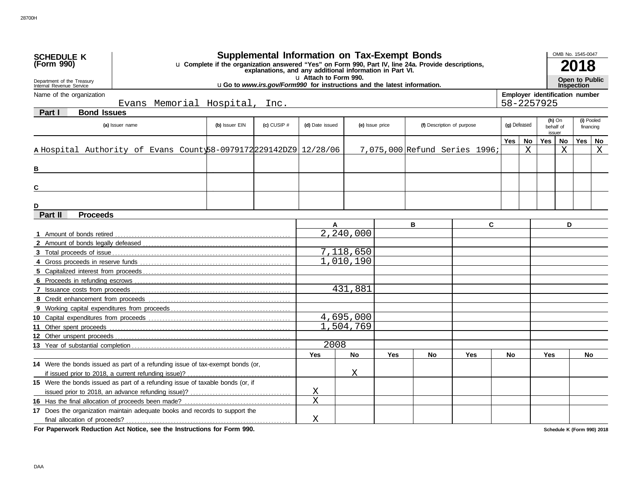| u Complete if the organization answered "Yes" on Form 990, Part IV, line 24a. Provide descriptions,<br>(Form 990)<br>explanations, and any additional information in Part VI.<br>u Attach to Form 990.<br><b>Open to Public</b><br>Department of the Treasury<br><b>uGo to www.irs.gov/Form990 for instructions and the latest information.</b><br><b>Inspection</b><br>Internal Revenue Service<br>Employer identification number<br>Name of the organization<br>Evans Memorial Hospital,<br>58-2257925<br>Inc.<br><b>Bond Issues</b><br><b>Part I</b><br>(i) Pooled<br>$(h)$ On<br>(b) Issuer EIN<br>(c) CUSIP $#$<br>(f) Description of purpose<br>(g) Defeased<br>(a) Issuer name<br>(d) Date issued<br>(e) Issue price<br>behalf of<br>financing<br>issuer<br>Yes  <br>No<br>Yes<br><b>No</b><br>Yes<br>No<br>X<br>A Hospital Authority of Evans County 58-0979172 22914 2DZ9 12/28 / 06<br>Χ<br>$\mathbf X$<br>7,075,000 Refund Series 1996;<br>в<br>C<br>Part II<br><b>Proceeds</b><br>B<br>C<br>D<br>A<br>2,240,000<br>7,118,650<br>1,010,190<br>431,881<br>4,695,000<br>1,504,769<br>2008<br><b>No</b><br><b>Yes</b><br>Yes<br>No<br><b>Yes</b><br><b>No</b><br><b>Yes</b><br><b>No</b><br>14 Were the bonds issued as part of a refunding issue of tax-exempt bonds (or,<br>Χ<br>15 Were the bonds issued as part of a refunding issue of taxable bonds (or, if<br>Χ<br>$\overline{X}$<br>17 Does the organization maintain adequate books and records to support the | <b>SCHEDULE K</b> |  | <b>Supplemental Information on Tax-Exempt Bonds</b> |   |  |  |  |  | OMB No. 1545-0047 |  |
|---------------------------------------------------------------------------------------------------------------------------------------------------------------------------------------------------------------------------------------------------------------------------------------------------------------------------------------------------------------------------------------------------------------------------------------------------------------------------------------------------------------------------------------------------------------------------------------------------------------------------------------------------------------------------------------------------------------------------------------------------------------------------------------------------------------------------------------------------------------------------------------------------------------------------------------------------------------------------------------------------------------------------------------------------------------------------------------------------------------------------------------------------------------------------------------------------------------------------------------------------------------------------------------------------------------------------------------------------------------------------------------------------------------------------------------------------------------------------------|-------------------|--|-----------------------------------------------------|---|--|--|--|--|-------------------|--|
|                                                                                                                                                                                                                                                                                                                                                                                                                                                                                                                                                                                                                                                                                                                                                                                                                                                                                                                                                                                                                                                                                                                                                                                                                                                                                                                                                                                                                                                                                 |                   |  |                                                     |   |  |  |  |  |                   |  |
|                                                                                                                                                                                                                                                                                                                                                                                                                                                                                                                                                                                                                                                                                                                                                                                                                                                                                                                                                                                                                                                                                                                                                                                                                                                                                                                                                                                                                                                                                 |                   |  |                                                     |   |  |  |  |  |                   |  |
|                                                                                                                                                                                                                                                                                                                                                                                                                                                                                                                                                                                                                                                                                                                                                                                                                                                                                                                                                                                                                                                                                                                                                                                                                                                                                                                                                                                                                                                                                 |                   |  |                                                     |   |  |  |  |  |                   |  |
|                                                                                                                                                                                                                                                                                                                                                                                                                                                                                                                                                                                                                                                                                                                                                                                                                                                                                                                                                                                                                                                                                                                                                                                                                                                                                                                                                                                                                                                                                 |                   |  |                                                     |   |  |  |  |  |                   |  |
|                                                                                                                                                                                                                                                                                                                                                                                                                                                                                                                                                                                                                                                                                                                                                                                                                                                                                                                                                                                                                                                                                                                                                                                                                                                                                                                                                                                                                                                                                 |                   |  |                                                     |   |  |  |  |  |                   |  |
|                                                                                                                                                                                                                                                                                                                                                                                                                                                                                                                                                                                                                                                                                                                                                                                                                                                                                                                                                                                                                                                                                                                                                                                                                                                                                                                                                                                                                                                                                 |                   |  |                                                     |   |  |  |  |  |                   |  |
|                                                                                                                                                                                                                                                                                                                                                                                                                                                                                                                                                                                                                                                                                                                                                                                                                                                                                                                                                                                                                                                                                                                                                                                                                                                                                                                                                                                                                                                                                 |                   |  |                                                     |   |  |  |  |  |                   |  |
|                                                                                                                                                                                                                                                                                                                                                                                                                                                                                                                                                                                                                                                                                                                                                                                                                                                                                                                                                                                                                                                                                                                                                                                                                                                                                                                                                                                                                                                                                 |                   |  |                                                     |   |  |  |  |  |                   |  |
|                                                                                                                                                                                                                                                                                                                                                                                                                                                                                                                                                                                                                                                                                                                                                                                                                                                                                                                                                                                                                                                                                                                                                                                                                                                                                                                                                                                                                                                                                 |                   |  |                                                     |   |  |  |  |  |                   |  |
|                                                                                                                                                                                                                                                                                                                                                                                                                                                                                                                                                                                                                                                                                                                                                                                                                                                                                                                                                                                                                                                                                                                                                                                                                                                                                                                                                                                                                                                                                 |                   |  |                                                     |   |  |  |  |  |                   |  |
|                                                                                                                                                                                                                                                                                                                                                                                                                                                                                                                                                                                                                                                                                                                                                                                                                                                                                                                                                                                                                                                                                                                                                                                                                                                                                                                                                                                                                                                                                 |                   |  |                                                     |   |  |  |  |  |                   |  |
|                                                                                                                                                                                                                                                                                                                                                                                                                                                                                                                                                                                                                                                                                                                                                                                                                                                                                                                                                                                                                                                                                                                                                                                                                                                                                                                                                                                                                                                                                 |                   |  |                                                     |   |  |  |  |  |                   |  |
|                                                                                                                                                                                                                                                                                                                                                                                                                                                                                                                                                                                                                                                                                                                                                                                                                                                                                                                                                                                                                                                                                                                                                                                                                                                                                                                                                                                                                                                                                 |                   |  |                                                     |   |  |  |  |  |                   |  |
|                                                                                                                                                                                                                                                                                                                                                                                                                                                                                                                                                                                                                                                                                                                                                                                                                                                                                                                                                                                                                                                                                                                                                                                                                                                                                                                                                                                                                                                                                 |                   |  |                                                     |   |  |  |  |  |                   |  |
|                                                                                                                                                                                                                                                                                                                                                                                                                                                                                                                                                                                                                                                                                                                                                                                                                                                                                                                                                                                                                                                                                                                                                                                                                                                                                                                                                                                                                                                                                 |                   |  |                                                     |   |  |  |  |  |                   |  |
|                                                                                                                                                                                                                                                                                                                                                                                                                                                                                                                                                                                                                                                                                                                                                                                                                                                                                                                                                                                                                                                                                                                                                                                                                                                                                                                                                                                                                                                                                 |                   |  |                                                     |   |  |  |  |  |                   |  |
|                                                                                                                                                                                                                                                                                                                                                                                                                                                                                                                                                                                                                                                                                                                                                                                                                                                                                                                                                                                                                                                                                                                                                                                                                                                                                                                                                                                                                                                                                 |                   |  |                                                     |   |  |  |  |  |                   |  |
|                                                                                                                                                                                                                                                                                                                                                                                                                                                                                                                                                                                                                                                                                                                                                                                                                                                                                                                                                                                                                                                                                                                                                                                                                                                                                                                                                                                                                                                                                 |                   |  |                                                     |   |  |  |  |  |                   |  |
|                                                                                                                                                                                                                                                                                                                                                                                                                                                                                                                                                                                                                                                                                                                                                                                                                                                                                                                                                                                                                                                                                                                                                                                                                                                                                                                                                                                                                                                                                 |                   |  |                                                     |   |  |  |  |  |                   |  |
|                                                                                                                                                                                                                                                                                                                                                                                                                                                                                                                                                                                                                                                                                                                                                                                                                                                                                                                                                                                                                                                                                                                                                                                                                                                                                                                                                                                                                                                                                 |                   |  |                                                     |   |  |  |  |  |                   |  |
|                                                                                                                                                                                                                                                                                                                                                                                                                                                                                                                                                                                                                                                                                                                                                                                                                                                                                                                                                                                                                                                                                                                                                                                                                                                                                                                                                                                                                                                                                 |                   |  |                                                     |   |  |  |  |  |                   |  |
|                                                                                                                                                                                                                                                                                                                                                                                                                                                                                                                                                                                                                                                                                                                                                                                                                                                                                                                                                                                                                                                                                                                                                                                                                                                                                                                                                                                                                                                                                 |                   |  |                                                     |   |  |  |  |  |                   |  |
|                                                                                                                                                                                                                                                                                                                                                                                                                                                                                                                                                                                                                                                                                                                                                                                                                                                                                                                                                                                                                                                                                                                                                                                                                                                                                                                                                                                                                                                                                 |                   |  |                                                     |   |  |  |  |  |                   |  |
|                                                                                                                                                                                                                                                                                                                                                                                                                                                                                                                                                                                                                                                                                                                                                                                                                                                                                                                                                                                                                                                                                                                                                                                                                                                                                                                                                                                                                                                                                 |                   |  |                                                     |   |  |  |  |  |                   |  |
|                                                                                                                                                                                                                                                                                                                                                                                                                                                                                                                                                                                                                                                                                                                                                                                                                                                                                                                                                                                                                                                                                                                                                                                                                                                                                                                                                                                                                                                                                 |                   |  |                                                     |   |  |  |  |  |                   |  |
|                                                                                                                                                                                                                                                                                                                                                                                                                                                                                                                                                                                                                                                                                                                                                                                                                                                                                                                                                                                                                                                                                                                                                                                                                                                                                                                                                                                                                                                                                 |                   |  |                                                     |   |  |  |  |  |                   |  |
|                                                                                                                                                                                                                                                                                                                                                                                                                                                                                                                                                                                                                                                                                                                                                                                                                                                                                                                                                                                                                                                                                                                                                                                                                                                                                                                                                                                                                                                                                 |                   |  |                                                     |   |  |  |  |  |                   |  |
|                                                                                                                                                                                                                                                                                                                                                                                                                                                                                                                                                                                                                                                                                                                                                                                                                                                                                                                                                                                                                                                                                                                                                                                                                                                                                                                                                                                                                                                                                 |                   |  |                                                     |   |  |  |  |  |                   |  |
|                                                                                                                                                                                                                                                                                                                                                                                                                                                                                                                                                                                                                                                                                                                                                                                                                                                                                                                                                                                                                                                                                                                                                                                                                                                                                                                                                                                                                                                                                 |                   |  |                                                     |   |  |  |  |  |                   |  |
|                                                                                                                                                                                                                                                                                                                                                                                                                                                                                                                                                                                                                                                                                                                                                                                                                                                                                                                                                                                                                                                                                                                                                                                                                                                                                                                                                                                                                                                                                 |                   |  |                                                     |   |  |  |  |  |                   |  |
|                                                                                                                                                                                                                                                                                                                                                                                                                                                                                                                                                                                                                                                                                                                                                                                                                                                                                                                                                                                                                                                                                                                                                                                                                                                                                                                                                                                                                                                                                 |                   |  |                                                     |   |  |  |  |  |                   |  |
|                                                                                                                                                                                                                                                                                                                                                                                                                                                                                                                                                                                                                                                                                                                                                                                                                                                                                                                                                                                                                                                                                                                                                                                                                                                                                                                                                                                                                                                                                 |                   |  |                                                     |   |  |  |  |  |                   |  |
|                                                                                                                                                                                                                                                                                                                                                                                                                                                                                                                                                                                                                                                                                                                                                                                                                                                                                                                                                                                                                                                                                                                                                                                                                                                                                                                                                                                                                                                                                 |                   |  |                                                     |   |  |  |  |  |                   |  |
|                                                                                                                                                                                                                                                                                                                                                                                                                                                                                                                                                                                                                                                                                                                                                                                                                                                                                                                                                                                                                                                                                                                                                                                                                                                                                                                                                                                                                                                                                 |                   |  |                                                     |   |  |  |  |  |                   |  |
|                                                                                                                                                                                                                                                                                                                                                                                                                                                                                                                                                                                                                                                                                                                                                                                                                                                                                                                                                                                                                                                                                                                                                                                                                                                                                                                                                                                                                                                                                 |                   |  |                                                     | X |  |  |  |  |                   |  |

**For Paperwork Reduction Act Notice, see the Instructions for Form 990.**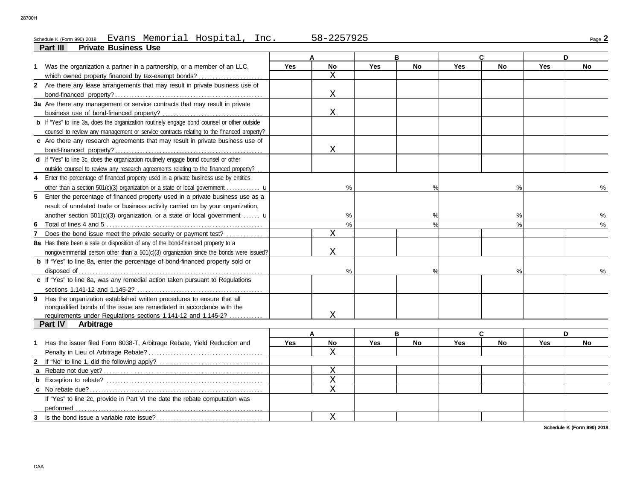#### Schedule K (Form 990) 2018 EVans Memorial Hospital,Inc. 58-2257925 <sub>Page</sub> 2 Evans Memorial Hospital, Inc. 58-2257925

|              | <b>Private Business Use</b><br>Part III                                                            |     |                      |            |               |            |              |            |           |
|--------------|----------------------------------------------------------------------------------------------------|-----|----------------------|------------|---------------|------------|--------------|------------|-----------|
|              |                                                                                                    |     | A                    |            | в             |            | $\mathbf{C}$ |            | D         |
|              | 1 Was the organization a partner in a partnership, or a member of an LLC,                          | Yes | No<br>$\overline{X}$ | <b>Yes</b> | No            | <b>Yes</b> | No           | <b>Yes</b> | No        |
|              | which owned property financed by tax-exempt bonds?                                                 |     |                      |            |               |            |              |            |           |
|              | 2 Are there any lease arrangements that may result in private business use of                      |     | X                    |            |               |            |              |            |           |
|              |                                                                                                    |     |                      |            |               |            |              |            |           |
|              | 3a Are there any management or service contracts that may result in private                        |     |                      |            |               |            |              |            |           |
|              |                                                                                                    |     | X                    |            |               |            |              |            |           |
|              | <b>b</b> If "Yes" to line 3a, does the organization routinely engage bond counsel or other outside |     |                      |            |               |            |              |            |           |
|              | counsel to review any management or service contracts relating to the financed property?           |     |                      |            |               |            |              |            |           |
|              | c Are there any research agreements that may result in private business use of                     |     |                      |            |               |            |              |            |           |
|              |                                                                                                    |     | X                    |            |               |            |              |            |           |
|              | d If "Yes" to line 3c, does the organization routinely engage bond counsel or other                |     |                      |            |               |            |              |            |           |
|              | outside counsel to review any research agreements relating to the financed property?               |     |                      |            |               |            |              |            |           |
|              | 4 Enter the percentage of financed property used in a private business use by entities             |     |                      |            |               |            |              |            |           |
|              | other than a section 501(c)(3) organization or a state or local government                         |     | $\frac{0}{0}$        |            | $\frac{0}{0}$ |            | %            |            | $\%$      |
|              | 5 Enter the percentage of financed property used in a private business use as a                    |     |                      |            |               |            |              |            |           |
|              | result of unrelated trade or business activity carried on by your organization,                    |     |                      |            |               |            |              |            |           |
|              | another section 501(c)(3) organization, or a state or local government $\mathbf{u}$                |     | %                    |            | $\%$          |            | %            |            | $\%$      |
| 6            |                                                                                                    |     | $\%$                 |            | %             |            | %            |            | $\%$      |
| 7            | Does the bond issue meet the private security or payment test?                                     |     | $\rm X$              |            |               |            |              |            |           |
|              | 8a Has there been a sale or disposition of any of the bond-financed property to a                  |     |                      |            |               |            |              |            |           |
|              | nongovernmental person other than a 501(c)(3) organization since the bonds were issued?            |     | X                    |            |               |            |              |            |           |
|              | <b>b</b> If "Yes" to line 8a, enter the percentage of bond-financed property sold or               |     |                      |            |               |            |              |            |           |
|              |                                                                                                    |     | $\frac{0}{0}$        |            | %             |            | $\%$         |            | $\%$      |
|              | c If "Yes" to line 8a, was any remedial action taken pursuant to Regulations                       |     |                      |            |               |            |              |            |           |
|              |                                                                                                    |     |                      |            |               |            |              |            |           |
|              | 9 Has the organization established written procedures to ensure that all                           |     |                      |            |               |            |              |            |           |
|              | nonqualified bonds of the issue are remediated in accordance with the                              |     |                      |            |               |            |              |            |           |
|              | requirements under Regulations sections 1.141-12 and 1.145-2?                                      |     | X                    |            |               |            |              |            |           |
|              | Part IV<br><b>Arbitrage</b>                                                                        |     |                      |            |               |            |              |            |           |
|              |                                                                                                    |     | A                    |            | B             |            | C            |            | D         |
|              | 1 Has the issuer filed Form 8038-T, Arbitrage Rebate, Yield Reduction and                          | Yes | No                   | Yes        | <b>No</b>     | <b>Yes</b> | <b>No</b>    | <b>Yes</b> | <b>No</b> |
|              |                                                                                                    |     | X                    |            |               |            |              |            |           |
| $\mathbf{2}$ |                                                                                                    |     |                      |            |               |            |              |            |           |
| a            |                                                                                                    |     | Χ                    |            |               |            |              |            |           |
|              |                                                                                                    |     | $\mathbf X$          |            |               |            |              |            |           |
|              |                                                                                                    |     | $\overline{X}$       |            |               |            |              |            |           |
|              | If "Yes" to line 2c, provide in Part VI the date the rebate computation was                        |     |                      |            |               |            |              |            |           |
|              | performed                                                                                          |     |                      |            |               |            |              |            |           |
| 3            |                                                                                                    |     | X                    |            |               |            |              |            |           |
|              |                                                                                                    |     |                      |            |               |            |              |            |           |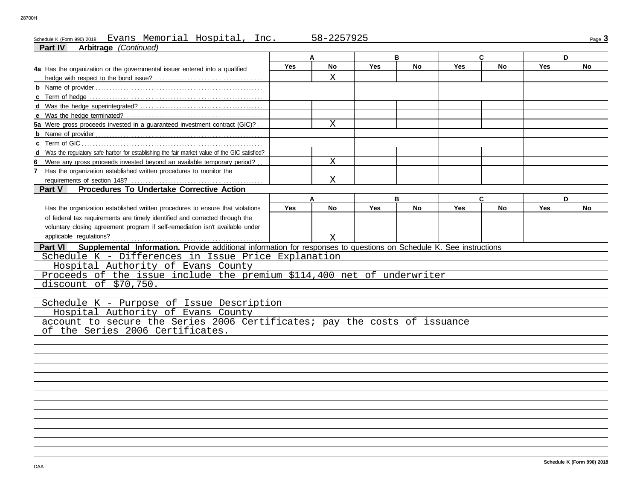# Schedule K (Form 990) 2018 Page **3** Evans Memorial Hospital, Inc. 58-2257925

| <b>Arbitrage</b> (Continued)<br>Part IV                                                                                        |            | A  |            | B         |            | C         | D          |    |
|--------------------------------------------------------------------------------------------------------------------------------|------------|----|------------|-----------|------------|-----------|------------|----|
| 4a Has the organization or the governmental issuer entered into a qualified                                                    | <b>Yes</b> | No | <b>Yes</b> | <b>No</b> | Yes        | No        | <b>Yes</b> | No |
|                                                                                                                                |            | X  |            |           |            |           |            |    |
|                                                                                                                                |            |    |            |           |            |           |            |    |
|                                                                                                                                |            |    |            |           |            |           |            |    |
|                                                                                                                                |            |    |            |           |            |           |            |    |
|                                                                                                                                |            |    |            |           |            |           |            |    |
| 5a Were gross proceeds invested in a guaranteed investment contract (GIC)?                                                     |            | X  |            |           |            |           |            |    |
|                                                                                                                                |            |    |            |           |            |           |            |    |
| c Term of GIC                                                                                                                  |            |    |            |           |            |           |            |    |
| d Was the regulatory safe harbor for establishing the fair market value of the GIC satisfied?                                  |            |    |            |           |            |           |            |    |
| Were any gross proceeds invested beyond an available temporary period?                                                         |            | X  |            |           |            |           |            |    |
| 7 Has the organization established written procedures to monitor the                                                           |            |    |            |           |            |           |            |    |
| requirements of section 148?                                                                                                   |            | Χ  |            |           |            |           |            |    |
| Procedures To Undertake Corrective Action<br>Part V                                                                            |            |    |            |           |            |           |            |    |
|                                                                                                                                |            | А  |            | B         |            | C.        |            | D  |
| Has the organization established written procedures to ensure that violations                                                  | <b>Yes</b> | No | Yes        | <b>No</b> | <b>Yes</b> | <b>No</b> | <b>Yes</b> | No |
| of federal tax requirements are timely identified and corrected through the                                                    |            |    |            |           |            |           |            |    |
| voluntary closing agreement program if self-remediation isn't available under                                                  |            |    |            |           |            |           |            |    |
| applicable regulations?                                                                                                        |            | X  |            |           |            |           |            |    |
| Supplemental Information. Provide additional information for responses to questions on Schedule K. See instructions<br>Part VI |            |    |            |           |            |           |            |    |
| Schedule K - Differences in Issue Price Explanation                                                                            |            |    |            |           |            |           |            |    |
| Hospital Authority of Evans County                                                                                             |            |    |            |           |            |           |            |    |
| Proceeds of the issue include the premium \$114,400 net of underwriter                                                         |            |    |            |           |            |           |            |    |
| discount of \$70,750.                                                                                                          |            |    |            |           |            |           |            |    |
|                                                                                                                                |            |    |            |           |            |           |            |    |
| Schedule K - Purpose of Issue Description                                                                                      |            |    |            |           |            |           |            |    |
| Hospital Authority of Evans County                                                                                             |            |    |            |           |            |           |            |    |
| account to secure the Series 2006 Certificates; pay the costs of issuance                                                      |            |    |            |           |            |           |            |    |
| of the Series 2006 Certificates.                                                                                               |            |    |            |           |            |           |            |    |
|                                                                                                                                |            |    |            |           |            |           |            |    |
|                                                                                                                                |            |    |            |           |            |           |            |    |
|                                                                                                                                |            |    |            |           |            |           |            |    |
|                                                                                                                                |            |    |            |           |            |           |            |    |
|                                                                                                                                |            |    |            |           |            |           |            |    |
|                                                                                                                                |            |    |            |           |            |           |            |    |
|                                                                                                                                |            |    |            |           |            |           |            |    |
|                                                                                                                                |            |    |            |           |            |           |            |    |
|                                                                                                                                |            |    |            |           |            |           |            |    |
|                                                                                                                                |            |    |            |           |            |           |            |    |
|                                                                                                                                |            |    |            |           |            |           |            |    |
|                                                                                                                                |            |    |            |           |            |           |            |    |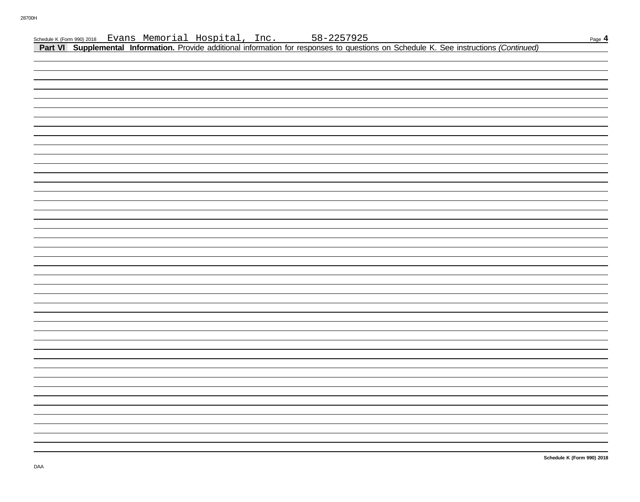|  |  |  |                                                                                                                                                                                                                       | Page 4 |
|--|--|--|-----------------------------------------------------------------------------------------------------------------------------------------------------------------------------------------------------------------------|--------|
|  |  |  | Schedule K (Form 990) 2018 Evans Memorial Hospital, Inc. 58-2257925<br>Part VI Supplemental Information. Provide additional information for responses to questions on Schedule K. See instructions <i>(Continued)</i> |        |
|  |  |  |                                                                                                                                                                                                                       |        |
|  |  |  |                                                                                                                                                                                                                       |        |
|  |  |  |                                                                                                                                                                                                                       |        |
|  |  |  |                                                                                                                                                                                                                       |        |
|  |  |  |                                                                                                                                                                                                                       |        |
|  |  |  |                                                                                                                                                                                                                       |        |
|  |  |  |                                                                                                                                                                                                                       |        |
|  |  |  |                                                                                                                                                                                                                       |        |
|  |  |  |                                                                                                                                                                                                                       |        |
|  |  |  |                                                                                                                                                                                                                       |        |
|  |  |  |                                                                                                                                                                                                                       |        |
|  |  |  |                                                                                                                                                                                                                       |        |
|  |  |  |                                                                                                                                                                                                                       |        |
|  |  |  |                                                                                                                                                                                                                       |        |
|  |  |  |                                                                                                                                                                                                                       |        |
|  |  |  |                                                                                                                                                                                                                       |        |
|  |  |  |                                                                                                                                                                                                                       |        |
|  |  |  |                                                                                                                                                                                                                       |        |
|  |  |  |                                                                                                                                                                                                                       |        |
|  |  |  |                                                                                                                                                                                                                       |        |
|  |  |  |                                                                                                                                                                                                                       |        |
|  |  |  |                                                                                                                                                                                                                       |        |
|  |  |  |                                                                                                                                                                                                                       |        |
|  |  |  |                                                                                                                                                                                                                       |        |
|  |  |  |                                                                                                                                                                                                                       |        |
|  |  |  |                                                                                                                                                                                                                       |        |
|  |  |  |                                                                                                                                                                                                                       |        |
|  |  |  |                                                                                                                                                                                                                       |        |
|  |  |  |                                                                                                                                                                                                                       |        |
|  |  |  |                                                                                                                                                                                                                       |        |
|  |  |  |                                                                                                                                                                                                                       |        |
|  |  |  |                                                                                                                                                                                                                       |        |
|  |  |  |                                                                                                                                                                                                                       |        |
|  |  |  |                                                                                                                                                                                                                       |        |
|  |  |  |                                                                                                                                                                                                                       |        |
|  |  |  |                                                                                                                                                                                                                       |        |
|  |  |  |                                                                                                                                                                                                                       |        |
|  |  |  |                                                                                                                                                                                                                       |        |
|  |  |  |                                                                                                                                                                                                                       |        |
|  |  |  |                                                                                                                                                                                                                       |        |
|  |  |  |                                                                                                                                                                                                                       |        |
|  |  |  |                                                                                                                                                                                                                       |        |
|  |  |  |                                                                                                                                                                                                                       |        |
|  |  |  |                                                                                                                                                                                                                       |        |
|  |  |  |                                                                                                                                                                                                                       |        |
|  |  |  |                                                                                                                                                                                                                       |        |
|  |  |  |                                                                                                                                                                                                                       |        |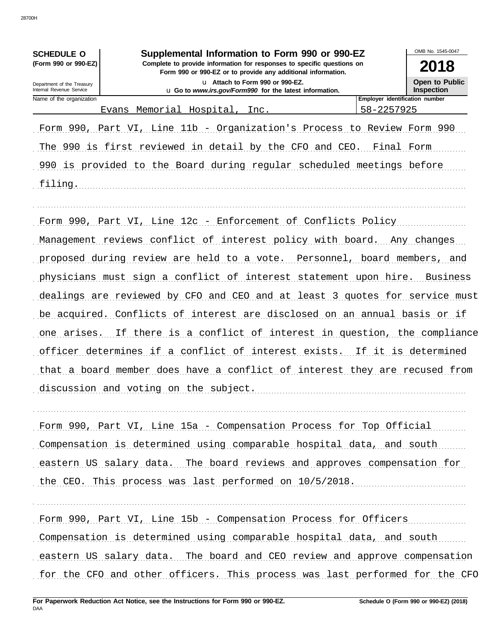| <b>SCHEDULE O</b>                                      | Supplemental Information to Form 990 or 990-EZ                                                                                                                                                                                                                                                                                                                                                                                                                                                                                                                                                                                                                                                                           | OMB No. 1545-0047                          |
|--------------------------------------------------------|--------------------------------------------------------------------------------------------------------------------------------------------------------------------------------------------------------------------------------------------------------------------------------------------------------------------------------------------------------------------------------------------------------------------------------------------------------------------------------------------------------------------------------------------------------------------------------------------------------------------------------------------------------------------------------------------------------------------------|--------------------------------------------|
| (Form 990 or 990-EZ)                                   | Complete to provide information for responses to specific questions on<br>Form 990 or 990-EZ or to provide any additional information.                                                                                                                                                                                                                                                                                                                                                                                                                                                                                                                                                                                   | 2018                                       |
| Department of the Treasury<br>Internal Revenue Service | u Attach to Form 990 or 990-EZ.<br>u Go to www.irs.gov/Form990 for the latest information.                                                                                                                                                                                                                                                                                                                                                                                                                                                                                                                                                                                                                               | <b>Open to Public</b><br><b>Inspection</b> |
| Name of the organization                               |                                                                                                                                                                                                                                                                                                                                                                                                                                                                                                                                                                                                                                                                                                                          | <b>Employer identification number</b>      |
|                                                        | Evans Memorial Hospital, Inc.                                                                                                                                                                                                                                                                                                                                                                                                                                                                                                                                                                                                                                                                                            | 58-2257925                                 |
|                                                        | Form 990, Part VI, Line 11b - Organization's Process to Review Form 990                                                                                                                                                                                                                                                                                                                                                                                                                                                                                                                                                                                                                                                  |                                            |
|                                                        | The 990 is first reviewed in detail by the CFO and CEO. Final Form                                                                                                                                                                                                                                                                                                                                                                                                                                                                                                                                                                                                                                                       |                                            |
|                                                        | 990 is provided to the Board during regular scheduled meetings before                                                                                                                                                                                                                                                                                                                                                                                                                                                                                                                                                                                                                                                    |                                            |
| filing.                                                |                                                                                                                                                                                                                                                                                                                                                                                                                                                                                                                                                                                                                                                                                                                          |                                            |
| one arises.                                            | Form 990, Part VI, Line 12c - Enforcement of Conflicts Policy<br>Management reviews conflict of interest policy with board. Any changes<br>proposed during review are held to a vote. Personnel, board members, and<br>physicians must sign a conflict of interest statement upon hire.<br>dealings are reviewed by CFO and CEO and at least 3 quotes for service must<br>be acquired. Conflicts of interest are disclosed on an annual basis or if<br>If there is a conflict of interest in question, the compliance<br>officer determines if a conflict of interest exists. If it is determined<br>that a board member does have a conflict of interest they are recused from<br>discussion and voting on the subject. | Business                                   |
|                                                        |                                                                                                                                                                                                                                                                                                                                                                                                                                                                                                                                                                                                                                                                                                                          |                                            |
|                                                        |                                                                                                                                                                                                                                                                                                                                                                                                                                                                                                                                                                                                                                                                                                                          |                                            |

Form 990, Part VI, Line 15a - Compensation Process for Top Official Compensation is determined using comparable hospital data, and south eastern US salary data. The board reviews and approves compensation for the CEO. This process was last performed on 10/5/2018.

Form 990, Part VI, Line 15b - Compensation Process for Officers

Compensation is determined using comparable hospital data, and south eastern US salary data. The board and CEO review and approve compensation for the CFO and other officers. This process was last performed for the CFO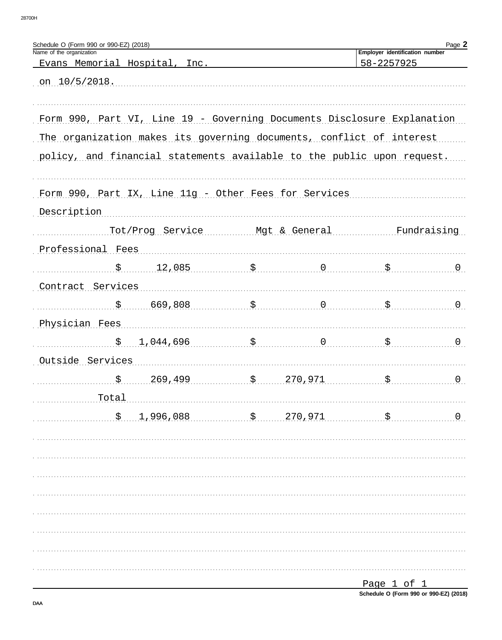| Schedule O (Form 990 or 990-EZ) (2018)                                  |                                       |                                                                   | <b>Employer identification number</b>      | Page 2           |
|-------------------------------------------------------------------------|---------------------------------------|-------------------------------------------------------------------|--------------------------------------------|------------------|
| Name of the organization<br>Evans Memorial Hospital, Inc.               |                                       |                                                                   | 58-2257925                                 |                  |
|                                                                         |                                       |                                                                   |                                            |                  |
| on $10/5/2018$ .                                                        |                                       |                                                                   |                                            |                  |
|                                                                         |                                       |                                                                   |                                            |                  |
| Form 990, Part VI, Line 19 - Governing Documents Disclosure Explanation |                                       |                                                                   |                                            |                  |
| The organization makes its governing documents, conflict of interest    |                                       |                                                                   |                                            |                  |
| policy, and financial statements available to the public upon request.  |                                       |                                                                   |                                            |                  |
|                                                                         |                                       |                                                                   |                                            |                  |
| Form 990, Part IX, Line 11g - Other Fees for Services                   |                                       |                                                                   |                                            |                  |
| Description                                                             |                                       |                                                                   |                                            |                  |
|                                                                         |                                       |                                                                   |                                            |                  |
|                                                                         |                                       |                                                                   | Tot/Prog Service Mgt & General Fundraising |                  |
| Professional Fees                                                       |                                       |                                                                   |                                            |                  |
|                                                                         | $\frac{12,085}{900}$ \$ 0             |                                                                   |                                            | $\overline{0}$   |
| Contract Services                                                       |                                       |                                                                   |                                            |                  |
|                                                                         | $\frac{1}{5}$ 669,808 $\frac{1}{5}$ 0 |                                                                   |                                            | $\overline{0}$   |
| Physician Fees                                                          |                                       |                                                                   |                                            |                  |
|                                                                         | $\frac{1}{2}$ , 044, 696 \$           |                                                                   |                                            | $\overline{0}$   |
| Outside Services                                                        |                                       |                                                                   |                                            |                  |
|                                                                         |                                       |                                                                   |                                            | $\overline{0}$ . |
| $\frac{\$}{\$}$ 269,499 $\frac{\$}{\$}$ 270,971 $\frac{\$}{\$}$         |                                       |                                                                   |                                            |                  |
| Total                                                                   |                                       |                                                                   |                                            |                  |
|                                                                         |                                       | $\frac{1,996,088}{5}$ , $\frac{270,971}{5}$ , $\frac{270,971}{5}$ |                                            | $\overline{0}$   |
|                                                                         |                                       |                                                                   |                                            |                  |
|                                                                         |                                       |                                                                   |                                            |                  |
|                                                                         |                                       |                                                                   |                                            |                  |
|                                                                         |                                       |                                                                   |                                            |                  |
|                                                                         |                                       |                                                                   |                                            |                  |
|                                                                         |                                       |                                                                   |                                            |                  |
|                                                                         |                                       |                                                                   |                                            |                  |
|                                                                         |                                       |                                                                   |                                            |                  |
|                                                                         |                                       |                                                                   |                                            |                  |
|                                                                         |                                       |                                                                   | <u>Page 1 of 1</u>                         |                  |

Schedule O (Form 990 or 990-EZ) (2018)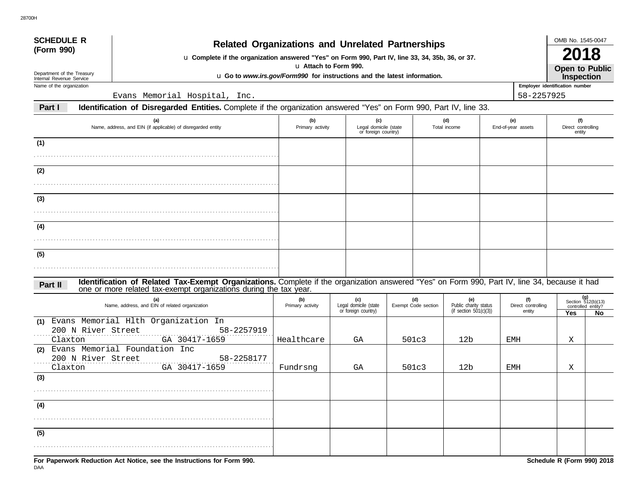| <b>SCHEDULE R</b>                                                                                                                                           |                                                                                                                                                                                                                    |                         |                                                     |  |                            |                                                        |  |                                     | OMB No. 1545-0047                                               |                                     |
|-------------------------------------------------------------------------------------------------------------------------------------------------------------|--------------------------------------------------------------------------------------------------------------------------------------------------------------------------------------------------------------------|-------------------------|-----------------------------------------------------|--|----------------------------|--------------------------------------------------------|--|-------------------------------------|-----------------------------------------------------------------|-------------------------------------|
| (Form 990)                                                                                                                                                  | <b>Related Organizations and Unrelated Partnerships</b><br>u Complete if the organization answered "Yes" on Form 990, Part IV, line 33, 34, 35b, 36, or 37.                                                        |                         |                                                     |  |                            |                                                        |  |                                     |                                                                 | <b>2018</b>                         |
| u Attach to Form 990.<br>Department of the Treasury<br>u Go to www.irs.gov/Form990 for instructions and the latest information.<br>Internal Revenue Service |                                                                                                                                                                                                                    |                         |                                                     |  |                            |                                                        |  |                                     |                                                                 | Open to Public<br><b>Inspection</b> |
| Employer identification number<br>Name of the organization                                                                                                  |                                                                                                                                                                                                                    |                         |                                                     |  |                            |                                                        |  |                                     |                                                                 |                                     |
|                                                                                                                                                             | Evans Memorial Hospital, Inc.                                                                                                                                                                                      |                         |                                                     |  |                            |                                                        |  | 58-2257925                          |                                                                 |                                     |
| Part I                                                                                                                                                      | Identification of Disregarded Entities. Complete if the organization answered "Yes" on Form 990, Part IV, line 33.                                                                                                 |                         |                                                     |  |                            |                                                        |  |                                     |                                                                 |                                     |
|                                                                                                                                                             | (a)<br>Name, address, and EIN (if applicable) of disregarded entity                                                                                                                                                | (b)<br>Primary activity | (c)<br>Legal domicile (state<br>or foreign country) |  |                            | (d)<br>Total income                                    |  | (e)<br>End-of-year assets           | (f)<br>Direct controlling<br>entity                             |                                     |
| (1)                                                                                                                                                         |                                                                                                                                                                                                                    |                         |                                                     |  |                            |                                                        |  |                                     |                                                                 |                                     |
| (2)                                                                                                                                                         |                                                                                                                                                                                                                    |                         |                                                     |  |                            |                                                        |  |                                     |                                                                 |                                     |
|                                                                                                                                                             |                                                                                                                                                                                                                    |                         |                                                     |  |                            |                                                        |  |                                     |                                                                 |                                     |
| (3)                                                                                                                                                         |                                                                                                                                                                                                                    |                         |                                                     |  |                            |                                                        |  |                                     |                                                                 |                                     |
| (4)                                                                                                                                                         |                                                                                                                                                                                                                    |                         |                                                     |  |                            |                                                        |  |                                     |                                                                 |                                     |
| (5)                                                                                                                                                         |                                                                                                                                                                                                                    |                         |                                                     |  |                            |                                                        |  |                                     |                                                                 |                                     |
|                                                                                                                                                             |                                                                                                                                                                                                                    |                         |                                                     |  |                            |                                                        |  |                                     |                                                                 |                                     |
| Part II                                                                                                                                                     | Identification of Related Tax-Exempt Organizations. Complete if the organization answered "Yes" on Form 990, Part IV, line 34, because it had<br>one or more related tax-exempt organizations during the tax year. |                         |                                                     |  |                            |                                                        |  |                                     |                                                                 |                                     |
|                                                                                                                                                             | (a)<br>Name, address, and EIN of related organization                                                                                                                                                              | (b)<br>Primary activity | (c)<br>Legal domicile (state<br>or foreign country) |  | (d)<br>Exempt Code section | (e)<br>Public charity status<br>(if section 501(c)(3)) |  | (f)<br>Direct controlling<br>entity | (g)<br>Section $512(b)(13)$<br>controlled entity?<br><b>Yes</b> | No                                  |
| (1)<br>200 N River Street                                                                                                                                   | Evans Memorial Hlth Organization In<br>58-2257919                                                                                                                                                                  |                         |                                                     |  |                            |                                                        |  |                                     |                                                                 |                                     |
| Claxton<br>(2)                                                                                                                                              | GA 30417-1659<br>Evans Memorial Foundation Inc                                                                                                                                                                     | Healthcare              | GA                                                  |  | 501c3                      | 12b                                                    |  | EMH                                 | Χ                                                               |                                     |
| 200 N River Street<br>Claxton                                                                                                                               | 58-2258177<br>GA 30417-1659                                                                                                                                                                                        | Fundrsng                | GA                                                  |  | 501c3                      | 12b                                                    |  | EMH                                 | Χ                                                               |                                     |
| (3)                                                                                                                                                         |                                                                                                                                                                                                                    |                         |                                                     |  |                            |                                                        |  |                                     |                                                                 |                                     |
| (4)                                                                                                                                                         |                                                                                                                                                                                                                    |                         |                                                     |  |                            |                                                        |  |                                     |                                                                 |                                     |
|                                                                                                                                                             |                                                                                                                                                                                                                    |                         |                                                     |  |                            |                                                        |  |                                     |                                                                 |                                     |
| (5)                                                                                                                                                         |                                                                                                                                                                                                                    |                         |                                                     |  |                            |                                                        |  |                                     |                                                                 |                                     |
|                                                                                                                                                             |                                                                                                                                                                                                                    |                         |                                                     |  |                            |                                                        |  |                                     |                                                                 |                                     |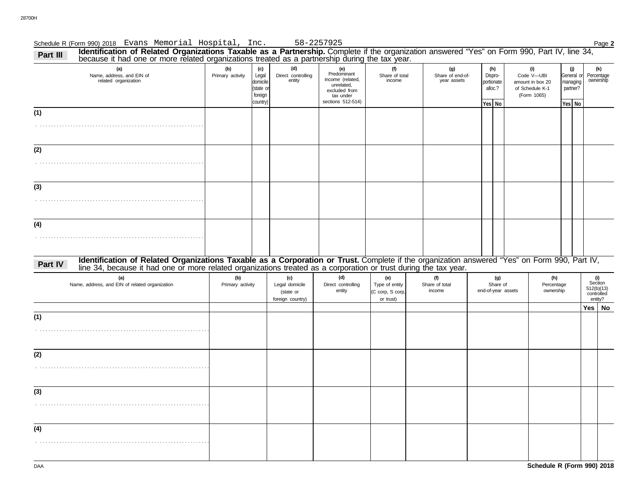| Identification of Related Organizations Taxable as a Partnership. Complete if the organization answered "Yes" on Form 990, Part IV, line 34,<br>Part III<br>because it had one or more related organizations treated as a partnership during the tax year. |                         |                                                             |                                                        |                                                                                                         |                                                        |                                        |                                                     |                                       |                                                                         |                                                     |                                                       |
|------------------------------------------------------------------------------------------------------------------------------------------------------------------------------------------------------------------------------------------------------------|-------------------------|-------------------------------------------------------------|--------------------------------------------------------|---------------------------------------------------------------------------------------------------------|--------------------------------------------------------|----------------------------------------|-----------------------------------------------------|---------------------------------------|-------------------------------------------------------------------------|-----------------------------------------------------|-------------------------------------------------------|
| (a)<br>Name, address, and EIN of<br>related organization                                                                                                                                                                                                   | (b)<br>Primary activity | (c)<br>Legal<br>domicile<br>state or<br>foreign<br>country) | (d)<br>Direct controlling<br>entity                    | (e)<br>Predominant<br>income (related,<br>unrelated,<br>excluded from<br>tax under<br>sections 512-514) | (f)<br>Share of total<br>income                        | (g)<br>Share of end-of-<br>year assets | (h)<br>Dispro-<br>portionate<br>alloc.?<br>Yes   No |                                       | (i)<br>Code V-UBI<br>amount in box 20<br>of Schedule K-1<br>(Form 1065) | (j)<br>General or<br>managing<br>partner?<br>Yes No | (k)<br>Percentage<br>ownership                        |
| (1)                                                                                                                                                                                                                                                        |                         |                                                             |                                                        |                                                                                                         |                                                        |                                        |                                                     |                                       |                                                                         |                                                     |                                                       |
| (2)                                                                                                                                                                                                                                                        |                         |                                                             |                                                        |                                                                                                         |                                                        |                                        |                                                     |                                       |                                                                         |                                                     |                                                       |
| (3)                                                                                                                                                                                                                                                        |                         |                                                             |                                                        |                                                                                                         |                                                        |                                        |                                                     |                                       |                                                                         |                                                     |                                                       |
| (4)                                                                                                                                                                                                                                                        |                         |                                                             |                                                        |                                                                                                         |                                                        |                                        |                                                     |                                       |                                                                         |                                                     |                                                       |
| Identification of Related Organizations Taxable as a Corporation or Trust. Complete if the organization answered "Yes" on Form 990, Part IV, line 34, because it had one or more related organizations treated as a corporatio<br>Part IV                  |                         |                                                             |                                                        |                                                                                                         |                                                        |                                        |                                                     |                                       |                                                                         |                                                     |                                                       |
| (a)<br>Name, address, and EIN of related organization                                                                                                                                                                                                      | (b)<br>Primary activity |                                                             | (c)<br>Legal domicile<br>(state or<br>foreign country) | (d)<br>Direct controlling<br>entity                                                                     | (e)<br>Type of entity<br>(C corp, S corp,<br>or trust) | (f)<br>Share of total<br>income        |                                                     | (g)<br>Share of<br>end-of-year assets | (h)<br>Percentage<br>ownership                                          |                                                     | (i)<br>Section<br>512(b)(13)<br>controlled<br>entity? |
| (1)                                                                                                                                                                                                                                                        |                         |                                                             |                                                        |                                                                                                         |                                                        |                                        |                                                     |                                       |                                                                         |                                                     | $Yes \mid No$                                         |
| (2)                                                                                                                                                                                                                                                        |                         |                                                             |                                                        |                                                                                                         |                                                        |                                        |                                                     |                                       |                                                                         |                                                     |                                                       |
| (3)                                                                                                                                                                                                                                                        |                         |                                                             |                                                        |                                                                                                         |                                                        |                                        |                                                     |                                       |                                                                         |                                                     |                                                       |
| (4)                                                                                                                                                                                                                                                        |                         |                                                             |                                                        |                                                                                                         |                                                        |                                        |                                                     |                                       |                                                                         |                                                     |                                                       |
|                                                                                                                                                                                                                                                            |                         |                                                             |                                                        |                                                                                                         |                                                        |                                        |                                                     |                                       |                                                                         |                                                     |                                                       |

Schedule R (Form 990) 2018 Page **2** Evans Memorial Hospital, Inc. 58-2257925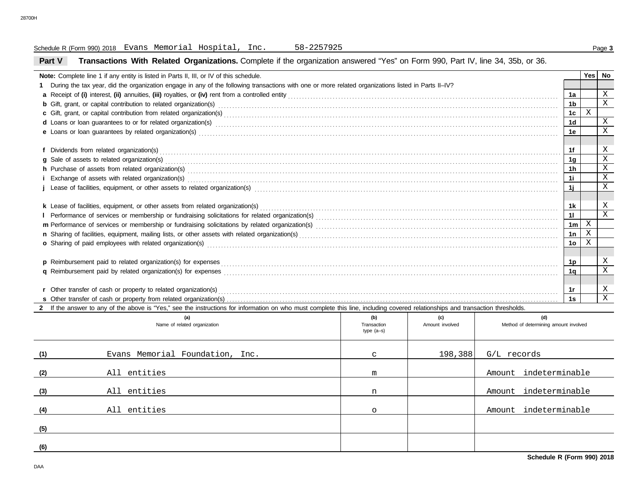#### **Part V Transactions With Related Organizations.** Complete if the organization answered "Yes" on Form 990, Part IV, line 34, 35b, or 36. Schedule R (Form 990) 2018 Page **3** Evans Memorial Hospital, Inc. 58-2257925 **Note:** Complete line 1 if any entity is listed in Parts II, III, or IV of this schedule. **1** During the tax year, did the organization engage in any of the following transactions with one or more related organizations listed in Parts II–IV? **a** Receipt of **(i)** interest, **(ii)** annuities, **(iii)** royalties, or **(iv)** rent from a controlled entity . . . . . . . . . . . . . . . . . . . . . . . . . . . . . . . . . . . . . . . . . . . . . . . . . . . . . . . . . . . . . . . . . . . . . . . . . . . . . . . . . . . . . . . . . . . . . . . . . **b** Gift, grant, or capital contribution to related organization(s) with the content content content content content content or capital contribution to related organization(s) with content content content content content c **c** Gift, grant, or capital contribution from related organization(s) . . . . . . . . . . . . . . . . . . . . . . . . . . . . . . . . . . . . . . . . . . . . . . . . . . . . . . . . . . . . . . . . . . . . . . . . . . . . . . . . . . . . . . . . . . . . . . . . . . . . . . . . . . . . . . . . . . . . . . . . d Loans or loan guarantees to or for related organization(s) with an example construction and conserve conserved to conserve the conserved or conserved to conserve the conserved or conserved or  $\mathbf{s}$  and  $\mathbf{s}$  and  $\mathbf$  $\bm e$  Loans or loan guarantees by related organization(s) with an example construction and construction construction of  $\bm s$ **f** Dividends from related organization(s) **g** Sale of assets to related organization(s) . . . . . . . . . . . . . . . . . . . . . . . . . . . . . . . . . . . . . . . . . . . . . . . . . . . . . . . . . . . . . . . . . . . . . . . . . . . . . . . . . . . . . . . . . . . . . . . . . . . . . . . . . . . . . . . . . . . . . . . . . . . . . . . . . . . . . . . . . . . . . h Purchase of assets from related organization(s) with an example contained and contained and contained and contained and contained and contained and contained and contained and contained and contained and contained and co i Exchange of assets with related organization(s) with an accommendational control and contained a state of an account of the state of assets with related organization(s) with an accommendation of the contained and contain j Lease of facilities, equipment, or other assets to related organization(s) with an example conserved and conserved the conserved facilities, equipment, or other assets to related organization(s) with an example conserved k Lease of facilities, equipment, or other assets from related organization(s) with the content content content to content the content of facilities, equipment, or other assets from related organization(s) with content con **l** Performance of services or membership or fundraising solicitations for related organization(s) . . . . . . . . . . . . . . . . . . . . . . . . . . . . . . . . . . . . . . . . . . . . . . . . . . . . . . . . . . . . . . . . . . . . . . . . . . . . . . . . . . . . . . . **m** Performance of services or membership or fundraising solicitations by related organization(s) . . . . . . . . . . . . . . . . . . . . . . . . . . . . . . . . . . . . . . . . . . . . . . . . . . . . . . . . . . . . . . . . . . . . . . . . . . . . . . . . . . . . . . . **n** Sharing of facilities, equipment, mailing lists, or other assets with related organization(s) . . . . . . . . . . . . . . . . . . . . . . . . . . . . . . . . . . . . . . . . . . . . . . . . . . . . . . . . . . . . . . . . . . . . . . . . . . . . . . . . . . . . . . . . . . . . . o Sharing of paid employees with related organization(s) with an example and contain an example and container the state of Sharing of paid employees with related organization(s) with an example and contained and contained p Reimbursement paid to related organization(s) for expenses with the content of the content of the content of the content of the content of the content of the content of the content of the content of the content of the co **q** Reimbursement paid by related organization(s) for expenses with an experience interaction and contained an experiment paid by related organization(s) for expenses with an expense with an experiment of  $\mathbf{R}$  and  $\mathbf$ **s** Other transfer of cash or property from related organization(s) . . . . . . . . . . . . . . . . . . . . . . . . . . . . . . . . . . . . . . . . . . . . . . . . . . . . . . . . . . . . . . . . . . . . . . . . . . . . . . . . . . . . . . . . . . . . . . . . . . . . . . . . . . . . . . . . . . . . . . . r Other transfer of cash or property to related organization(s) with the subsequence in the content of the content of the content of the content of the content of the content of the content of the content of the content of **1a 1b 1c 1d 1e 1f 1g 1h 1i 1j 1k 1l 1m 1n 1o 1p 1q 1s Yes No** . . . . . . . . . . . . . . . . . . . . . . . . . . . . . . . . . . . . . . . . . . . . . . . . . . . . . . . . . . . . . . . . . . . . . . . . . . . . . . . . . . . . . . . . . . . . . . . . . . . . . . . . . . . . . . . . . . . . . . . . . . . . . . . . . . . . . . . . . . . . . . . . X X X X X X X X X X X X X X X X X X X

2 If the answer to any of the above is "Yes," see the instructions for information on who must complete this line, including covered relationships and transaction thresholds.

|     | (a)<br>Name of related organization | (b)<br>Transaction<br>type $(a-s)$ | (c)<br>Amount involved | (d)<br>Method of determining amount involved |
|-----|-------------------------------------|------------------------------------|------------------------|----------------------------------------------|
| (1) | Evans Memorial Foundation, Inc.     | $\mathbf C$                        | 198,388                | G/L records                                  |
| (2) | All entities                        | m                                  |                        | indeterminable<br>Amount                     |
| (3) | All entities                        | n                                  |                        | indeterminable<br>Amount                     |
| (4) | All entities                        | $\circ$                            |                        | indeterminable<br>Amount                     |
| (5) |                                     |                                    |                        |                                              |
| (6) |                                     |                                    |                        |                                              |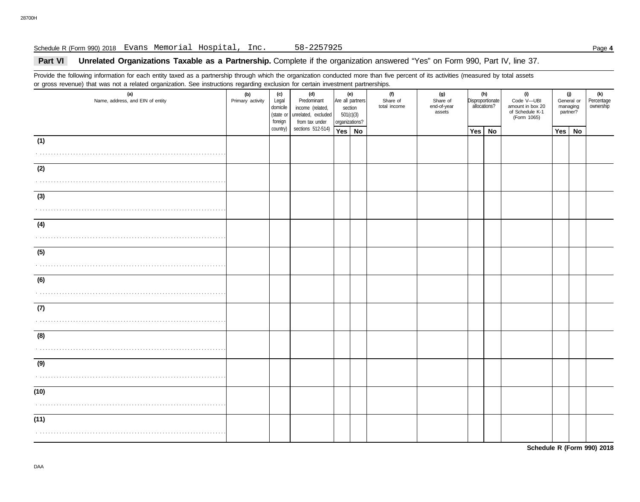## Schedule R (Form 990) 2018 Page **4** Evans Memorial Hospital, Inc. 58-2257925

# **Part VI** Unrelated Organizations Taxable as a Partnership. Complete if the organization answered "Yes" on Form 990, Part IV, line 37.

Provide the following information for each entity taxed as a partnership through which the organization conducted more than five percent of its activities (measured by total assets or gross revenue) that was not a related organization. See instructions regarding exclusion for certain investment partnerships.

| $\sim$ 9.000 $\sim$ . 0.000 $\sim$<br>(a)<br>Name, address, and EIN of entity | (b)<br>Primary activity | (c)<br>Legal<br>domicile<br>foreign | (d)<br>Predominant<br>income (related,<br>(state or unrelated, excluded<br>from tax under<br>sections 512-514) | (e)<br>Are all partners<br>section<br>501(c)(3)<br>organizations? |  | $55.1$ and $1.1$ $5.1$ and $1.5$ and $1.5$ and $1.5$ and $1.5$ and $1.5$ and $1.5$ and $1.5$ and $1.5$ and $1.5$ and $1.5$ and $1.5$ and $1.5$ and $1.5$ and $1.5$ and $1.5$ and $1.5$ and $1.5$ and $1.5$ and $1.5$ and $1.5$<br>(f)<br>Share of<br>total income | (g)<br>Share of<br>end-of-year<br>assets | (h)<br>Disproportionate<br>allocations? |  | (i)<br>Code V-UBI<br>amount in box 20<br>of Schedule K-1<br>(Form 1065) | (j)<br>General or<br>managing<br>partner? |  | (k)<br>Percentage<br>ownership |
|-------------------------------------------------------------------------------|-------------------------|-------------------------------------|----------------------------------------------------------------------------------------------------------------|-------------------------------------------------------------------|--|-------------------------------------------------------------------------------------------------------------------------------------------------------------------------------------------------------------------------------------------------------------------|------------------------------------------|-----------------------------------------|--|-------------------------------------------------------------------------|-------------------------------------------|--|--------------------------------|
|                                                                               |                         | country)                            |                                                                                                                | Yes   No                                                          |  |                                                                                                                                                                                                                                                                   |                                          | <b>No</b><br>Yes                        |  |                                                                         | $Yes \mid No$                             |  |                                |
| (1)                                                                           |                         |                                     |                                                                                                                |                                                                   |  |                                                                                                                                                                                                                                                                   |                                          |                                         |  |                                                                         |                                           |  |                                |
| (2)<br>.                                                                      |                         |                                     |                                                                                                                |                                                                   |  |                                                                                                                                                                                                                                                                   |                                          |                                         |  |                                                                         |                                           |  |                                |
| (3)                                                                           |                         |                                     |                                                                                                                |                                                                   |  |                                                                                                                                                                                                                                                                   |                                          |                                         |  |                                                                         |                                           |  |                                |
| (4)                                                                           |                         |                                     |                                                                                                                |                                                                   |  |                                                                                                                                                                                                                                                                   |                                          |                                         |  |                                                                         |                                           |  |                                |
| (5)                                                                           |                         |                                     |                                                                                                                |                                                                   |  |                                                                                                                                                                                                                                                                   |                                          |                                         |  |                                                                         |                                           |  |                                |
| (6)                                                                           |                         |                                     |                                                                                                                |                                                                   |  |                                                                                                                                                                                                                                                                   |                                          |                                         |  |                                                                         |                                           |  |                                |
| (7)                                                                           |                         |                                     |                                                                                                                |                                                                   |  |                                                                                                                                                                                                                                                                   |                                          |                                         |  |                                                                         |                                           |  |                                |
| (8)                                                                           |                         |                                     |                                                                                                                |                                                                   |  |                                                                                                                                                                                                                                                                   |                                          |                                         |  |                                                                         |                                           |  |                                |
| (9)                                                                           |                         |                                     |                                                                                                                |                                                                   |  |                                                                                                                                                                                                                                                                   |                                          |                                         |  |                                                                         |                                           |  |                                |
| (10)                                                                          |                         |                                     |                                                                                                                |                                                                   |  |                                                                                                                                                                                                                                                                   |                                          |                                         |  |                                                                         |                                           |  |                                |
| (11)                                                                          |                         |                                     |                                                                                                                |                                                                   |  |                                                                                                                                                                                                                                                                   |                                          |                                         |  |                                                                         |                                           |  |                                |